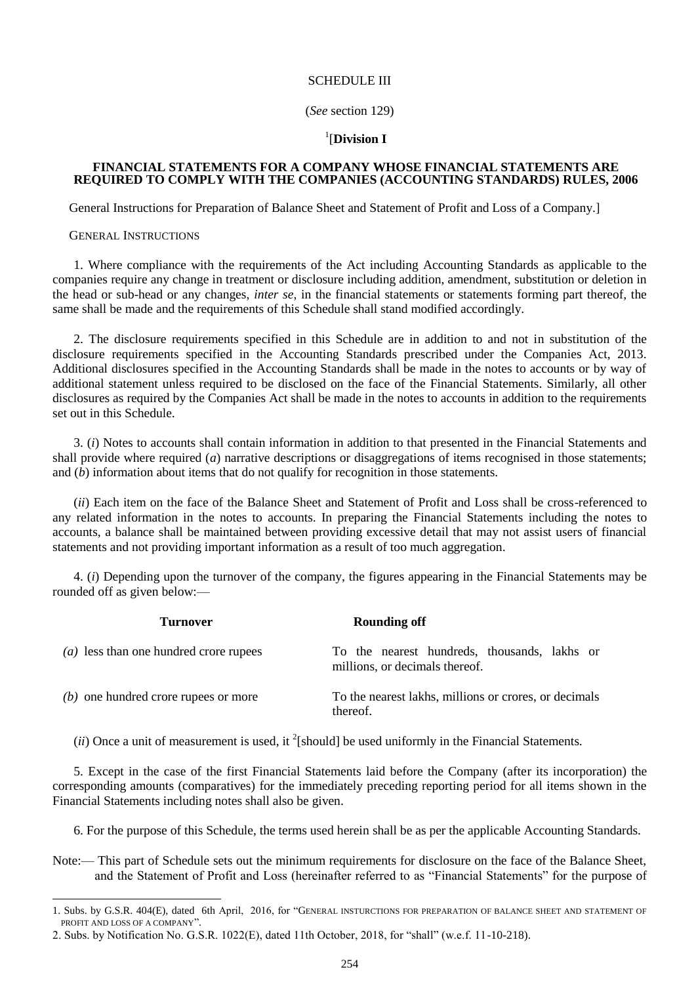## SCHEDULE III

### (*See* section 129)

# 1 [**Division I**

## **FINANCIAL STATEMENTS FOR A COMPANY WHOSE FINANCIAL STATEMENTS ARE REQUIRED TO COMPLY WITH THE COMPANIES (ACCOUNTING STANDARDS) RULES, 2006**

General Instructions for Preparation of Balance Sheet and Statement of Profit and Loss of a Company.]

GENERAL INSTRUCTIONS

-

1. Where compliance with the requirements of the Act including Accounting Standards as applicable to the companies require any change in treatment or disclosure including addition, amendment, substitution or deletion in the head or sub-head or any changes, *inter se*, in the financial statements or statements forming part thereof, the same shall be made and the requirements of this Schedule shall stand modified accordingly.

2. The disclosure requirements specified in this Schedule are in addition to and not in substitution of the disclosure requirements specified in the Accounting Standards prescribed under the Companies Act, 2013. Additional disclosures specified in the Accounting Standards shall be made in the notes to accounts or by way of additional statement unless required to be disclosed on the face of the Financial Statements. Similarly, all other disclosures as required by the Companies Act shall be made in the notes to accounts in addition to the requirements set out in this Schedule.

3. (*i*) Notes to accounts shall contain information in addition to that presented in the Financial Statements and shall provide where required (*a*) narrative descriptions or disaggregations of items recognised in those statements; and (*b*) information about items that do not qualify for recognition in those statements.

(*ii*) Each item on the face of the Balance Sheet and Statement of Profit and Loss shall be cross-referenced to any related information in the notes to accounts. In preparing the Financial Statements including the notes to accounts, a balance shall be maintained between providing excessive detail that may not assist users of financial statements and not providing important information as a result of too much aggregation.

4. (*i*) Depending upon the turnover of the company, the figures appearing in the Financial Statements may be rounded off as given below:—

| <b>Turnover</b>                          | <b>Rounding off</b>                                                            |
|------------------------------------------|--------------------------------------------------------------------------------|
| $(a)$ less than one hundred crore rupees | To the nearest hundreds, thousands, lakhs or<br>millions, or decimals thereof. |
| $(b)$ one hundred crore rupees or more   | To the nearest lakhs, millions or crores, or decimals<br>thereof.              |

 $(ii)$  Once a unit of measurement is used, it <sup>2</sup>[should] be used uniformly in the Financial Statements.

5. Except in the case of the first Financial Statements laid before the Company (after its incorporation) the corresponding amounts (comparatives) for the immediately preceding reporting period for all items shown in the Financial Statements including notes shall also be given.

6. For the purpose of this Schedule, the terms used herein shall be as per the applicable Accounting Standards.

Note:— This part of Schedule sets out the minimum requirements for disclosure on the face of the Balance Sheet, and the Statement of Profit and Loss (hereinafter referred to as "Financial Statements" for the purpose of

<sup>1.</sup> Subs. by G.S.R. 404(E), dated 6th April, 2016, for "GENERAL INSTURCTIONS FOR PREPARATION OF BALANCE SHEET AND STATEMENT OF PROFIT AND LOSS OF A COMPANY".

<sup>2.</sup> Subs. by Notification No. G.S.R. 1022(E), dated 11th October, 2018, for "shall" (w.e.f. 11-10-218).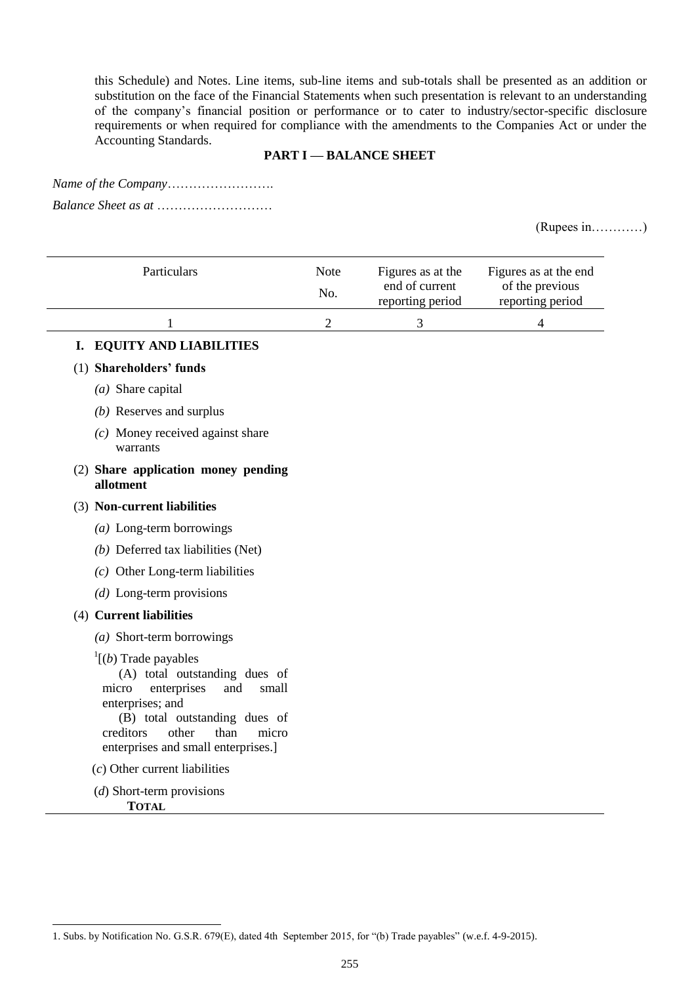this Schedule) and Notes. Line items, sub-line items and sub-totals shall be presented as an addition or substitution on the face of the Financial Statements when such presentation is relevant to an understanding of the company's financial position or performance or to cater to industry/sector-specific disclosure requirements or when required for compliance with the amendments to the Companies Act or under the Accounting Standards.

# **PART I — BALANCE SHEET**

(Rupees in…………)

|    | Particulars                                                                                                                                                                                                                                     | Note<br>No.    | Figures as at the<br>end of current | Figures as at the end<br>of the previous |  |
|----|-------------------------------------------------------------------------------------------------------------------------------------------------------------------------------------------------------------------------------------------------|----------------|-------------------------------------|------------------------------------------|--|
|    |                                                                                                                                                                                                                                                 |                | reporting period                    | reporting period                         |  |
|    | 1                                                                                                                                                                                                                                               | $\overline{2}$ | 3                                   | 4                                        |  |
| I. | <b>EQUITY AND LIABILITIES</b>                                                                                                                                                                                                                   |                |                                     |                                          |  |
|    | (1) Shareholders' funds                                                                                                                                                                                                                         |                |                                     |                                          |  |
|    | $(a)$ Share capital                                                                                                                                                                                                                             |                |                                     |                                          |  |
|    | $(b)$ Reserves and surplus                                                                                                                                                                                                                      |                |                                     |                                          |  |
|    | $(c)$ Money received against share<br>warrants                                                                                                                                                                                                  |                |                                     |                                          |  |
|    | (2) Share application money pending<br>allotment                                                                                                                                                                                                |                |                                     |                                          |  |
|    | (3) Non-current liabilities                                                                                                                                                                                                                     |                |                                     |                                          |  |
|    | $(a)$ Long-term borrowings                                                                                                                                                                                                                      |                |                                     |                                          |  |
|    | $(b)$ Deferred tax liabilities (Net)                                                                                                                                                                                                            |                |                                     |                                          |  |
|    | $(c)$ Other Long-term liabilities                                                                                                                                                                                                               |                |                                     |                                          |  |
|    | $(d)$ Long-term provisions                                                                                                                                                                                                                      |                |                                     |                                          |  |
|    | (4) Current liabilities                                                                                                                                                                                                                         |                |                                     |                                          |  |
|    | $(a)$ Short-term borrowings                                                                                                                                                                                                                     |                |                                     |                                          |  |
|    | $\int$ [( <i>b</i> ) Trade payables<br>(A) total outstanding dues of<br>micro<br>enterprises<br>small<br>and<br>enterprises; and<br>(B) total outstanding dues of<br>creditors<br>other<br>than<br>micro<br>enterprises and small enterprises.] |                |                                     |                                          |  |
|    | $(c)$ Other current liabilities                                                                                                                                                                                                                 |                |                                     |                                          |  |
|    | $(d)$ Short-term provisions<br><b>TOTAL</b>                                                                                                                                                                                                     |                |                                     |                                          |  |

-

<sup>1.</sup> Subs. by Notification No. G.S.R. 679(E), dated 4th September 2015, for "(b) Trade payables" (w.e.f. 4-9-2015).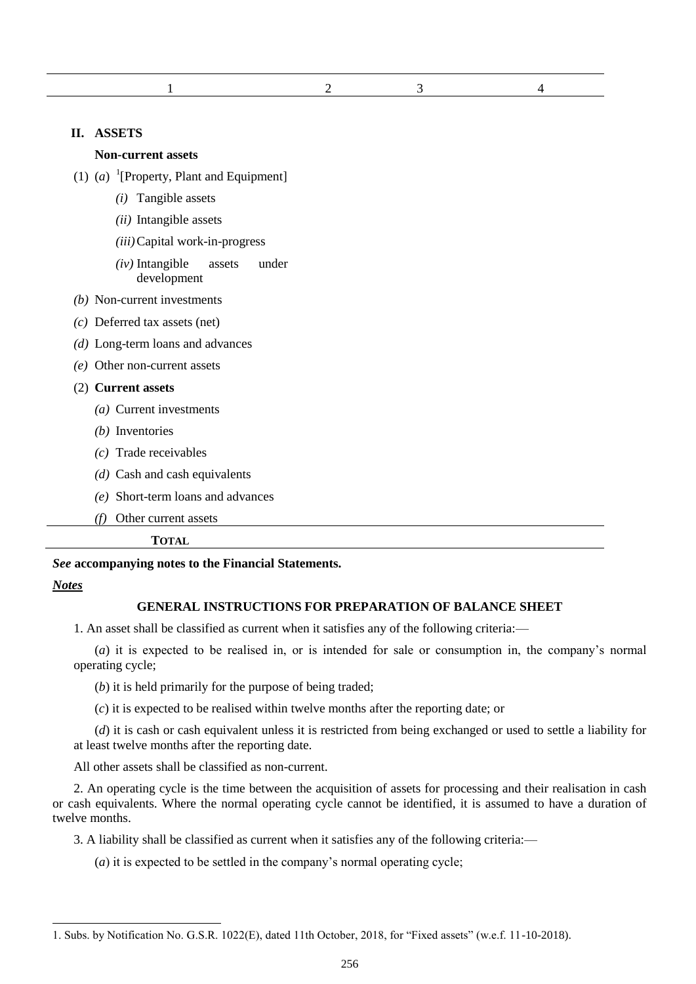# **II. ASSETS**

## **Non-current assets**

- $(1)$   $(a)$  <sup>1</sup>[Property, Plant and Equipment]
	- *(i)* Tangible assets
	- *(ii)* Intangible assets
	- *(iii)*Capital work-in-progress
	- *(iv)* Intangible assets under development
- *(b)* Non-current investments
- *(c)* Deferred tax assets (net)
- *(d)* Long-term loans and advances
- *(e)* Other non-current assets

## (2) **Current assets**

- *(a)* Current investments
- *(b)* Inventories
- *(c)* Trade receivables
- *(d)* Cash and cash equivalents
- *(e)* Short-term loans and advances
- *(f)* Other current assets

## **TOTAL**

## *See* **accompanying notes to the Financial Statements.**

## *Notes*

-

# **GENERAL INSTRUCTIONS FOR PREPARATION OF BALANCE SHEET**

1. An asset shall be classified as current when it satisfies any of the following criteria:—

(*a*) it is expected to be realised in, or is intended for sale or consumption in, the company's normal operating cycle;

(*b*) it is held primarily for the purpose of being traded;

(*c*) it is expected to be realised within twelve months after the reporting date; or

(*d*) it is cash or cash equivalent unless it is restricted from being exchanged or used to settle a liability for at least twelve months after the reporting date.

All other assets shall be classified as non-current.

2. An operating cycle is the time between the acquisition of assets for processing and their realisation in cash or cash equivalents. Where the normal operating cycle cannot be identified, it is assumed to have a duration of twelve months.

3. A liability shall be classified as current when it satisfies any of the following criteria:—

(*a*) it is expected to be settled in the company's normal operating cycle;

<sup>1.</sup> Subs. by Notification No. G.S.R. 1022(E), dated 11th October, 2018, for "Fixed assets" (w.e.f. 11-10-2018).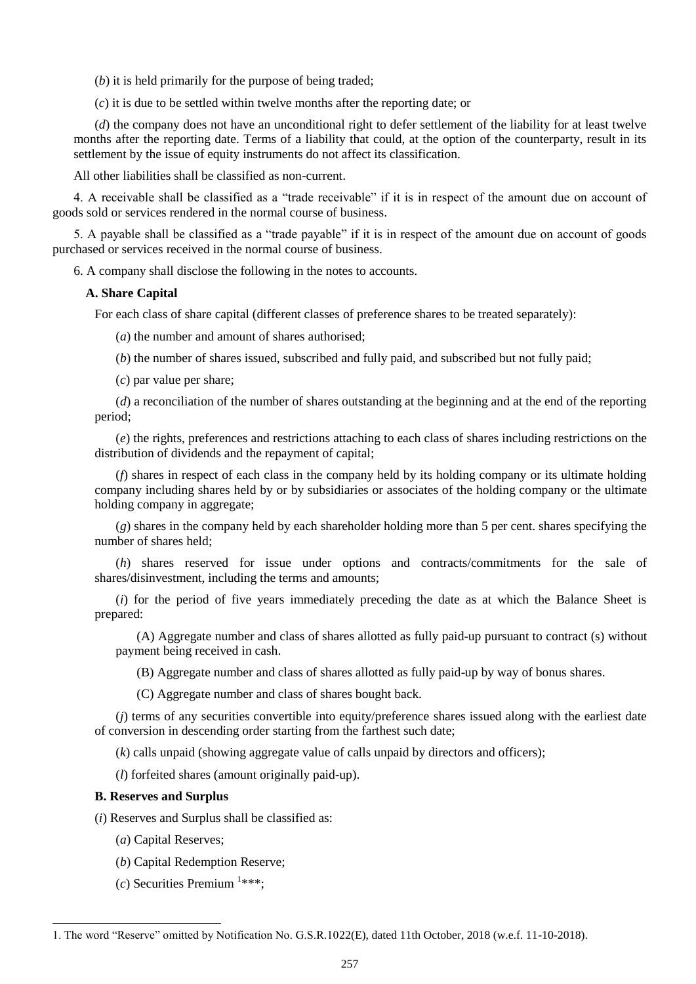(*b*) it is held primarily for the purpose of being traded;

(*c*) it is due to be settled within twelve months after the reporting date; or

(*d*) the company does not have an unconditional right to defer settlement of the liability for at least twelve months after the reporting date. Terms of a liability that could, at the option of the counterparty, result in its settlement by the issue of equity instruments do not affect its classification.

All other liabilities shall be classified as non-current.

4. A receivable shall be classified as a "trade receivable" if it is in respect of the amount due on account of goods sold or services rendered in the normal course of business.

5. A payable shall be classified as a "trade payable" if it is in respect of the amount due on account of goods purchased or services received in the normal course of business.

6. A company shall disclose the following in the notes to accounts.

### **A. Share Capital**

For each class of share capital (different classes of preference shares to be treated separately):

(*a*) the number and amount of shares authorised;

- (*b*) the number of shares issued, subscribed and fully paid, and subscribed but not fully paid;
- (*c*) par value per share;

(*d*) a reconciliation of the number of shares outstanding at the beginning and at the end of the reporting period;

(*e*) the rights, preferences and restrictions attaching to each class of shares including restrictions on the distribution of dividends and the repayment of capital;

(*f*) shares in respect of each class in the company held by its holding company or its ultimate holding company including shares held by or by subsidiaries or associates of the holding company or the ultimate holding company in aggregate;

(*g*) shares in the company held by each shareholder holding more than 5 per cent. shares specifying the number of shares held;

(*h*) shares reserved for issue under options and contracts/commitments for the sale of shares/disinvestment, including the terms and amounts;

(*i*) for the period of five years immediately preceding the date as at which the Balance Sheet is prepared:

(A) Aggregate number and class of shares allotted as fully paid-up pursuant to contract (s) without payment being received in cash.

(B) Aggregate number and class of shares allotted as fully paid-up by way of bonus shares.

(C) Aggregate number and class of shares bought back.

(*j*) terms of any securities convertible into equity/preference shares issued along with the earliest date of conversion in descending order starting from the farthest such date;

(*k*) calls unpaid (showing aggregate value of calls unpaid by directors and officers);

(*l*) forfeited shares (amount originally paid-up).

### **B. Reserves and Surplus**

(*i*) Reserves and Surplus shall be classified as:

(*a*) Capital Reserves;

-

- (*b*) Capital Redemption Reserve;
- $(c)$  Securities Premium<sup>1\*\*\*</sup>;

<sup>1.</sup> The word "Reserve" omitted by Notification No. G.S.R.1022(E), dated 11th October, 2018 (w.e.f. 11-10-2018).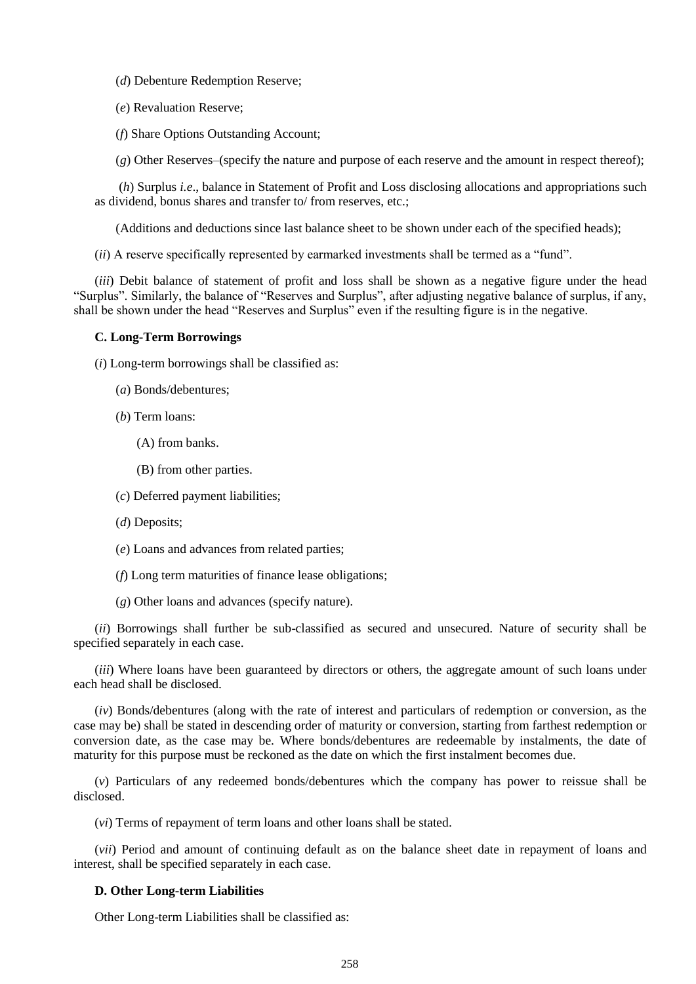- (*d*) Debenture Redemption Reserve;
- (*e*) Revaluation Reserve;
- (*f*) Share Options Outstanding Account;

(*g*) Other Reserves–(specify the nature and purpose of each reserve and the amount in respect thereof);

(*h*) Surplus *i.e*., balance in Statement of Profit and Loss disclosing allocations and appropriations such as dividend, bonus shares and transfer to/ from reserves, etc.;

(Additions and deductions since last balance sheet to be shown under each of the specified heads);

(*ii*) A reserve specifically represented by earmarked investments shall be termed as a "fund".

(*iii*) Debit balance of statement of profit and loss shall be shown as a negative figure under the head ―Surplus‖. Similarly, the balance of ―Reserves and Surplus‖, after adjusting negative balance of surplus, if any, shall be shown under the head "Reserves and Surplus" even if the resulting figure is in the negative.

## **C. Long-Term Borrowings**

(*i*) Long-term borrowings shall be classified as:

- (*a*) Bonds/debentures;
- (*b*) Term loans:
	- (A) from banks.
	- (B) from other parties.
- (*c*) Deferred payment liabilities;
- (*d*) Deposits;
- (*e*) Loans and advances from related parties;
- (*f*) Long term maturities of finance lease obligations;
- (*g*) Other loans and advances (specify nature).

(*ii*) Borrowings shall further be sub-classified as secured and unsecured. Nature of security shall be specified separately in each case.

(*iii*) Where loans have been guaranteed by directors or others, the aggregate amount of such loans under each head shall be disclosed.

(*iv*) Bonds/debentures (along with the rate of interest and particulars of redemption or conversion, as the case may be) shall be stated in descending order of maturity or conversion, starting from farthest redemption or conversion date, as the case may be. Where bonds/debentures are redeemable by instalments, the date of maturity for this purpose must be reckoned as the date on which the first instalment becomes due.

(*v*) Particulars of any redeemed bonds/debentures which the company has power to reissue shall be disclosed.

(*vi*) Terms of repayment of term loans and other loans shall be stated.

(*vii*) Period and amount of continuing default as on the balance sheet date in repayment of loans and interest, shall be specified separately in each case.

## **D. Other Long-term Liabilities**

Other Long-term Liabilities shall be classified as: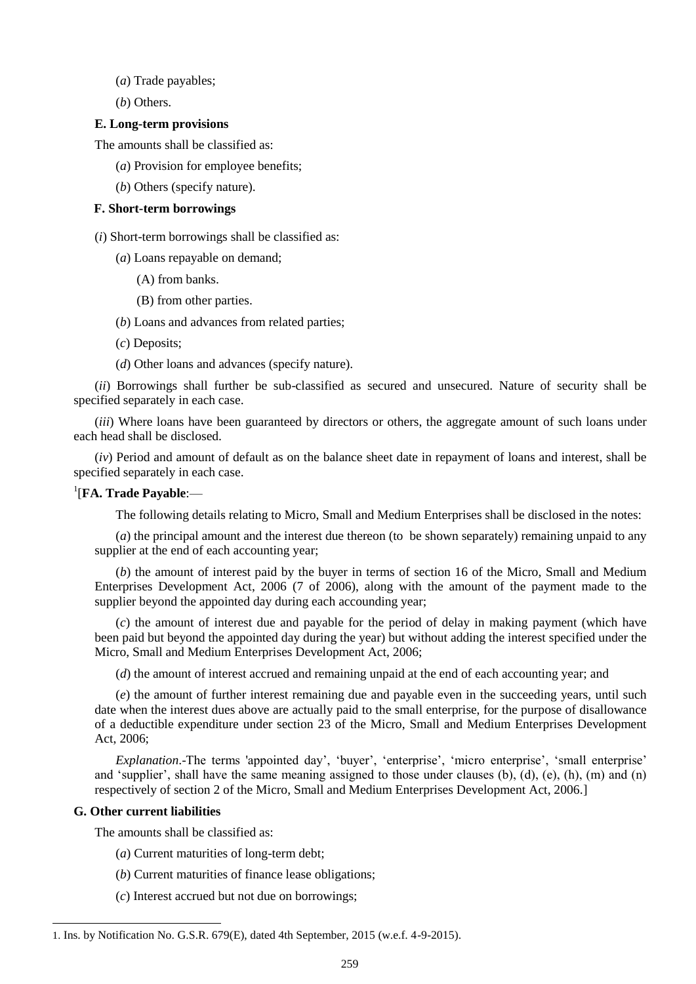- (*a*) Trade payables;
- (*b*) Others.

## **E. Long-term provisions**

The amounts shall be classified as:

- (*a*) Provision for employee benefits;
- (*b*) Others (specify nature).

## **F. Short-term borrowings**

- (*i*) Short-term borrowings shall be classified as:
	- (*a*) Loans repayable on demand;
		- (A) from banks.
		- (B) from other parties.
	- (*b*) Loans and advances from related parties;
	- (*c*) Deposits;
	- (*d*) Other loans and advances (specify nature).

(*ii*) Borrowings shall further be sub-classified as secured and unsecured. Nature of security shall be specified separately in each case.

(*iii*) Where loans have been guaranteed by directors or others, the aggregate amount of such loans under each head shall be disclosed.

(*iv*) Period and amount of default as on the balance sheet date in repayment of loans and interest, shall be specified separately in each case.

# 1 [**FA. Trade Payable**:—

The following details relating to Micro, Small and Medium Enterprises shall be disclosed in the notes:

(*a*) the principal amount and the interest due thereon (to be shown separately) remaining unpaid to any supplier at the end of each accounting year;

(*b*) the amount of interest paid by the buyer in terms of section 16 of the Micro, Small and Medium Enterprises Development Act, 2006 (7 of 2006), along with the amount of the payment made to the supplier beyond the appointed day during each accounding year;

(*c*) the amount of interest due and payable for the period of delay in making payment (which have been paid but beyond the appointed day during the year) but without adding the interest specified under the Micro, Small and Medium Enterprises Development Act, 2006;

(*d*) the amount of interest accrued and remaining unpaid at the end of each accounting year; and

(*e*) the amount of further interest remaining due and payable even in the succeeding years, until such date when the interest dues above are actually paid to the small enterprise, for the purpose of disallowance of a deductible expenditure under section 23 of the Micro, Small and Medium Enterprises Development Act, 2006;

*Explanation*.-The terms 'appointed day', 'buyer', 'enterprise', 'micro enterprise', 'small enterprise' and 'supplier', shall have the same meaning assigned to those under clauses (b), (d), (e), (h), (m) and (n) respectively of section 2 of the Micro, Small and Medium Enterprises Development Act, 2006.]

# **G. Other current liabilities**

-

The amounts shall be classified as:

- (*a*) Current maturities of long-term debt;
- (*b*) Current maturities of finance lease obligations;
- (*c*) Interest accrued but not due on borrowings;

<sup>1.</sup> Ins. by Notification No. G.S.R. 679(E), dated 4th September, 2015 (w.e.f. 4-9-2015).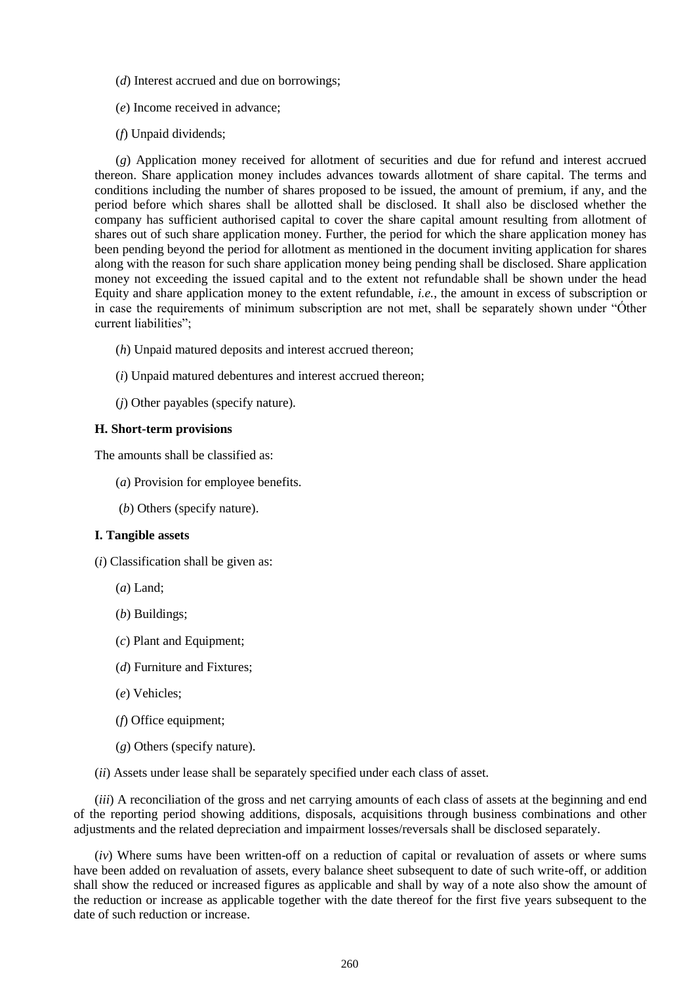- (*d*) Interest accrued and due on borrowings;
- (*e*) Income received in advance;
- (*f*) Unpaid dividends;

(*g*) Application money received for allotment of securities and due for refund and interest accrued thereon. Share application money includes advances towards allotment of share capital. The terms and conditions including the number of shares proposed to be issued, the amount of premium, if any, and the period before which shares shall be allotted shall be disclosed. It shall also be disclosed whether the company has sufficient authorised capital to cover the share capital amount resulting from allotment of shares out of such share application money. Further, the period for which the share application money has been pending beyond the period for allotment as mentioned in the document inviting application for shares along with the reason for such share application money being pending shall be disclosed. Share application money not exceeding the issued capital and to the extent not refundable shall be shown under the head Equity and share application money to the extent refundable, *i.e.*, the amount in excess of subscription or in case the requirements of minimum subscription are not met, shall be separately shown under "Other" current liabilities";

- (*h*) Unpaid matured deposits and interest accrued thereon;
- (*i*) Unpaid matured debentures and interest accrued thereon;
- (*j*) Other payables (specify nature).

## **H. Short-term provisions**

The amounts shall be classified as:

- (*a*) Provision for employee benefits.
- (*b*) Others (specify nature).

## **I. Tangible assets**

(*i*) Classification shall be given as:

- (*a*) Land;
- (*b*) Buildings;
- (*c*) Plant and Equipment;
- (*d*) Furniture and Fixtures;
- (*e*) Vehicles;
- (*f*) Office equipment;
- (*g*) Others (specify nature).

(*ii*) Assets under lease shall be separately specified under each class of asset.

(*iii*) A reconciliation of the gross and net carrying amounts of each class of assets at the beginning and end of the reporting period showing additions, disposals, acquisitions through business combinations and other adjustments and the related depreciation and impairment losses/reversals shall be disclosed separately.

(*iv*) Where sums have been written-off on a reduction of capital or revaluation of assets or where sums have been added on revaluation of assets, every balance sheet subsequent to date of such write-off, or addition shall show the reduced or increased figures as applicable and shall by way of a note also show the amount of the reduction or increase as applicable together with the date thereof for the first five years subsequent to the date of such reduction or increase.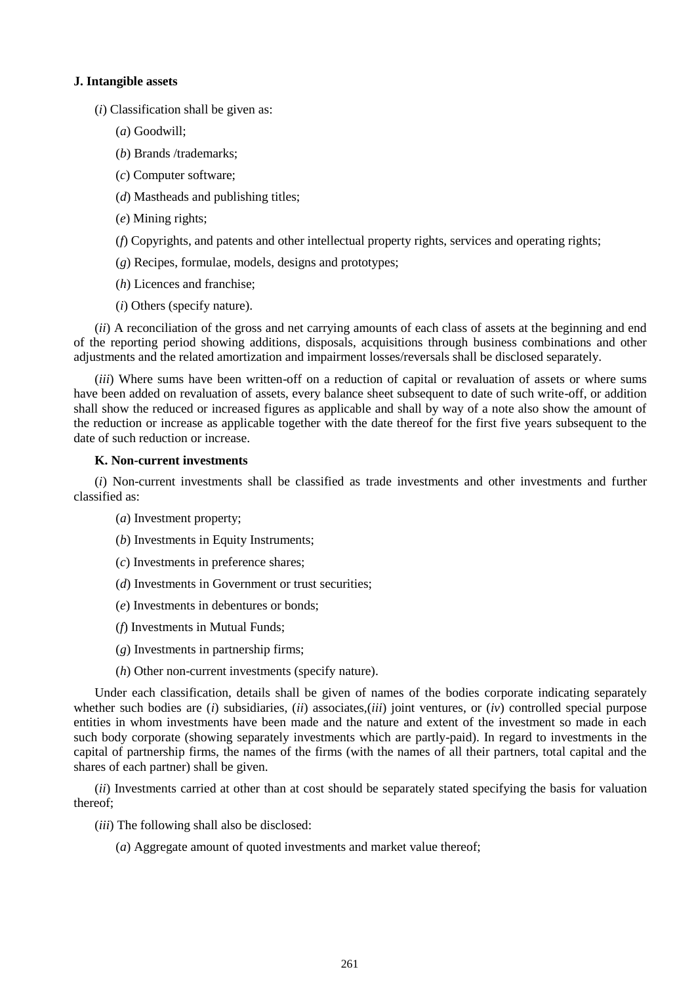## **J. Intangible assets**

- (*i*) Classification shall be given as:
	- (*a*) Goodwill;
	- (*b*) Brands /trademarks;
	- (*c*) Computer software;
	- (*d*) Mastheads and publishing titles;
	- (*e*) Mining rights;
	- (*f*) Copyrights, and patents and other intellectual property rights, services and operating rights;
	- (*g*) Recipes, formulae, models, designs and prototypes;
	- (*h*) Licences and franchise;
	- (*i*) Others (specify nature).

(*ii*) A reconciliation of the gross and net carrying amounts of each class of assets at the beginning and end of the reporting period showing additions, disposals, acquisitions through business combinations and other adjustments and the related amortization and impairment losses/reversals shall be disclosed separately.

(*iii*) Where sums have been written-off on a reduction of capital or revaluation of assets or where sums have been added on revaluation of assets, every balance sheet subsequent to date of such write-off, or addition shall show the reduced or increased figures as applicable and shall by way of a note also show the amount of the reduction or increase as applicable together with the date thereof for the first five years subsequent to the date of such reduction or increase.

## **K. Non-current investments**

(*i*) Non-current investments shall be classified as trade investments and other investments and further classified as:

- (*a*) Investment property;
- (*b*) Investments in Equity Instruments;
- (*c*) Investments in preference shares;
- (*d*) Investments in Government or trust securities;
- (*e*) Investments in debentures or bonds;
- (*f*) Investments in Mutual Funds;
- (*g*) Investments in partnership firms;
- (*h*) Other non-current investments (specify nature).

Under each classification, details shall be given of names of the bodies corporate indicating separately whether such bodies are (*i*) subsidiaries, (*ii*) associates,(*iii*) joint ventures, or (*iv*) controlled special purpose entities in whom investments have been made and the nature and extent of the investment so made in each such body corporate (showing separately investments which are partly-paid). In regard to investments in the capital of partnership firms, the names of the firms (with the names of all their partners, total capital and the shares of each partner) shall be given.

(*ii*) Investments carried at other than at cost should be separately stated specifying the basis for valuation thereof;

- (*iii*) The following shall also be disclosed:
	- (*a*) Aggregate amount of quoted investments and market value thereof;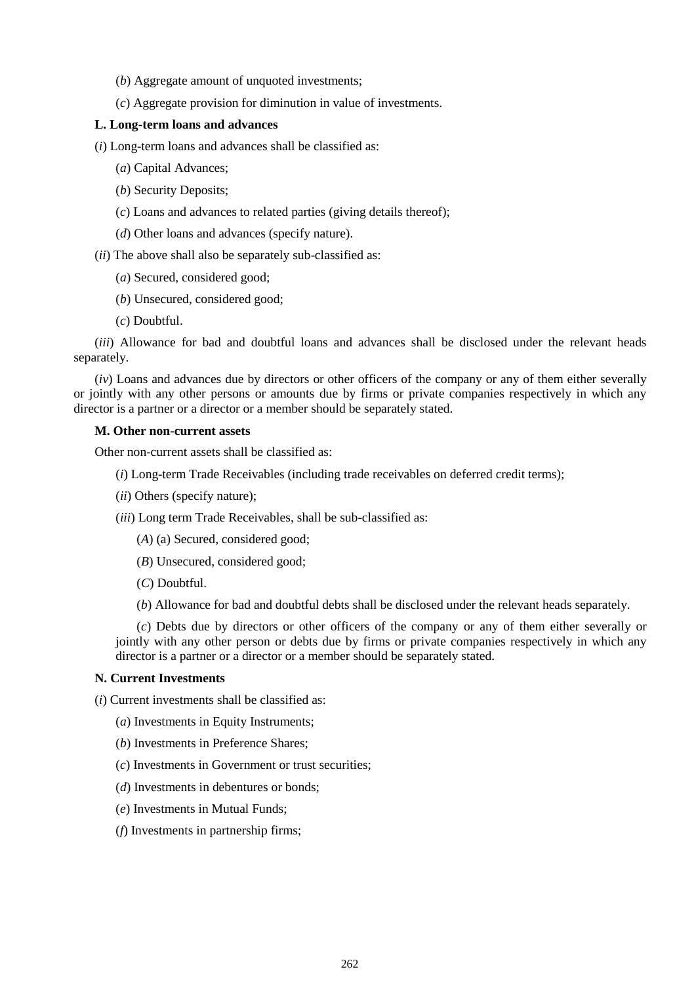- (*b*) Aggregate amount of unquoted investments;
- (*c*) Aggregate provision for diminution in value of investments.

## **L. Long-term loans and advances**

(*i*) Long-term loans and advances shall be classified as:

- (*a*) Capital Advances;
- (*b*) Security Deposits;
- (*c*) Loans and advances to related parties (giving details thereof);
- (*d*) Other loans and advances (specify nature).

(*ii*) The above shall also be separately sub-classified as:

- (*a*) Secured, considered good;
- (*b*) Unsecured, considered good;
- (*c*) Doubtful.

(*iii*) Allowance for bad and doubtful loans and advances shall be disclosed under the relevant heads separately.

(*iv*) Loans and advances due by directors or other officers of the company or any of them either severally or jointly with any other persons or amounts due by firms or private companies respectively in which any director is a partner or a director or a member should be separately stated.

## **M. Other non-current assets**

Other non-current assets shall be classified as:

- (*i*) Long-term Trade Receivables (including trade receivables on deferred credit terms);
- (*ii*) Others (specify nature);
- (*iii*) Long term Trade Receivables, shall be sub-classified as:
	- (*A*) (a) Secured, considered good;
	- (*B*) Unsecured, considered good;
	- (*C*) Doubtful.

(*b*) Allowance for bad and doubtful debts shall be disclosed under the relevant heads separately.

(*c*) Debts due by directors or other officers of the company or any of them either severally or jointly with any other person or debts due by firms or private companies respectively in which any director is a partner or a director or a member should be separately stated.

# **N. Current Investments**

(*i*) Current investments shall be classified as:

- (*a*) Investments in Equity Instruments;
- (*b*) Investments in Preference Shares;
- (*c*) Investments in Government or trust securities;
- (*d*) Investments in debentures or bonds;
- (*e*) Investments in Mutual Funds;
- (*f*) Investments in partnership firms;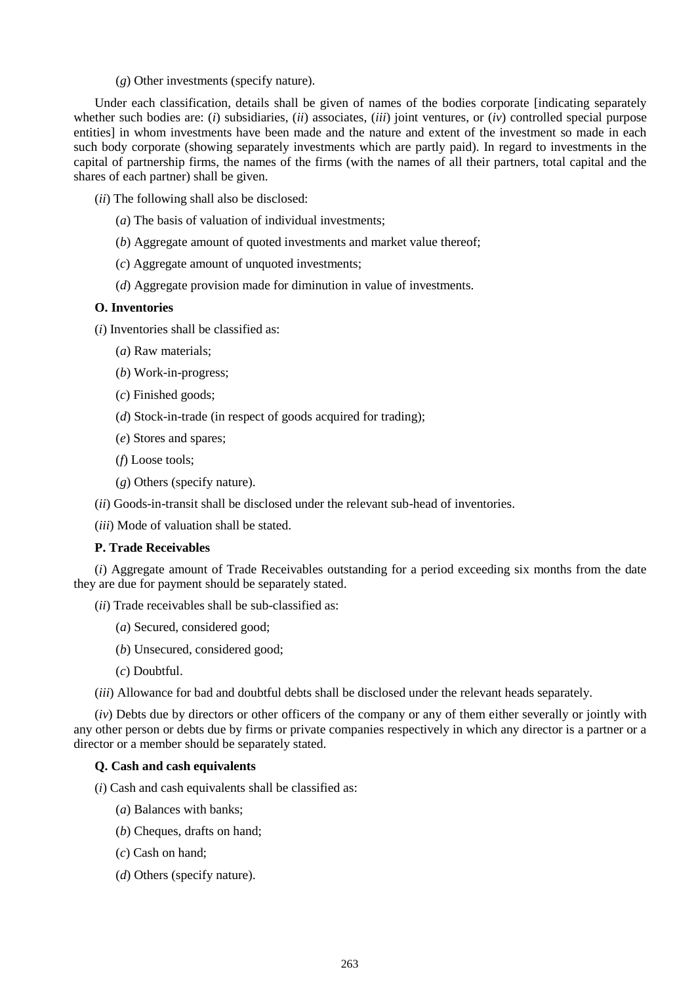(*g*) Other investments (specify nature).

Under each classification, details shall be given of names of the bodies corporate [indicating separately whether such bodies are: (*i*) subsidiaries, (*ii*) associates, (*iii*) joint ventures, or (*iv*) controlled special purpose entities] in whom investments have been made and the nature and extent of the investment so made in each such body corporate (showing separately investments which are partly paid). In regard to investments in the capital of partnership firms, the names of the firms (with the names of all their partners, total capital and the shares of each partner) shall be given.

- (*ii*) The following shall also be disclosed:
	- (*a*) The basis of valuation of individual investments;
	- (*b*) Aggregate amount of quoted investments and market value thereof;
	- (*c*) Aggregate amount of unquoted investments;
	- (*d*) Aggregate provision made for diminution in value of investments.

## **O. Inventories**

- (*i*) Inventories shall be classified as:
	- (*a*) Raw materials;
	- (*b*) Work-in-progress;
	- (*c*) Finished goods;
	- (*d*) Stock-in-trade (in respect of goods acquired for trading);
	- (*e*) Stores and spares;
	- (*f*) Loose tools;
	- (*g*) Others (specify nature).
- (*ii*) Goods-in-transit shall be disclosed under the relevant sub-head of inventories.
- (*iii*) Mode of valuation shall be stated.

# **P. Trade Receivables**

(*i*) Aggregate amount of Trade Receivables outstanding for a period exceeding six months from the date they are due for payment should be separately stated.

- (*ii*) Trade receivables shall be sub-classified as:
	- (*a*) Secured, considered good;
	- (*b*) Unsecured, considered good;
	- (*c*) Doubtful.

(*iii*) Allowance for bad and doubtful debts shall be disclosed under the relevant heads separately.

(*iv*) Debts due by directors or other officers of the company or any of them either severally or jointly with any other person or debts due by firms or private companies respectively in which any director is a partner or a director or a member should be separately stated.

# **Q. Cash and cash equivalents**

(*i*) Cash and cash equivalents shall be classified as:

- (*a*) Balances with banks;
- (*b*) Cheques, drafts on hand;
- (*c*) Cash on hand;
- (*d*) Others (specify nature).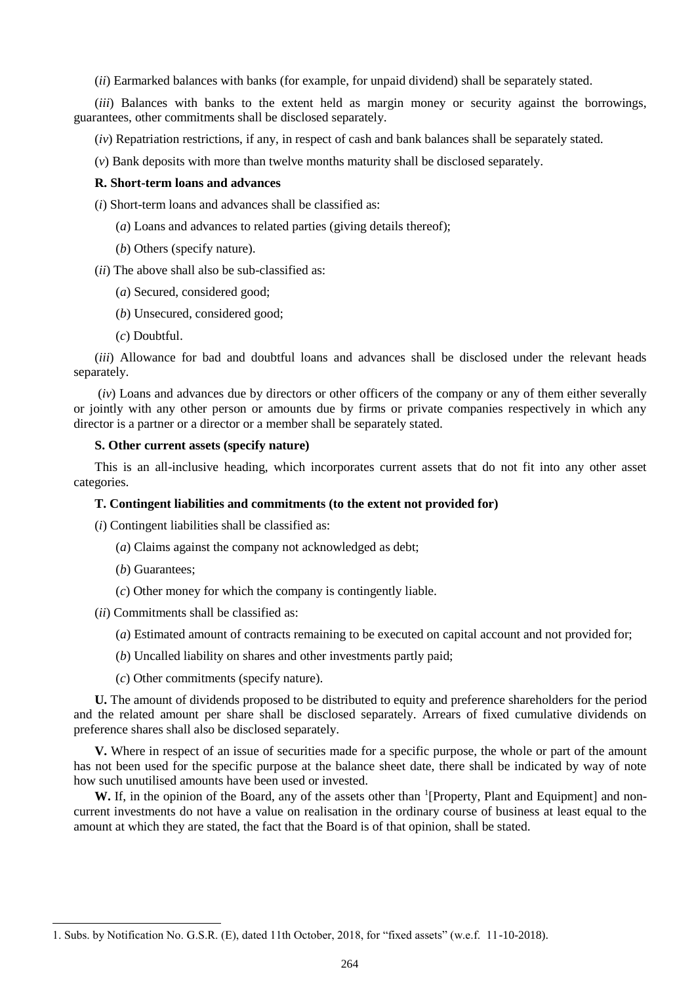(*ii*) Earmarked balances with banks (for example, for unpaid dividend) shall be separately stated.

(*iii*) Balances with banks to the extent held as margin money or security against the borrowings, guarantees, other commitments shall be disclosed separately.

(*iv*) Repatriation restrictions, if any, in respect of cash and bank balances shall be separately stated.

(*v*) Bank deposits with more than twelve months maturity shall be disclosed separately.

## **R. Short-term loans and advances**

(*i*) Short-term loans and advances shall be classified as:

- (*a*) Loans and advances to related parties (giving details thereof);
- (*b*) Others (specify nature).

(*ii*) The above shall also be sub-classified as:

- (*a*) Secured, considered good;
- (*b*) Unsecured, considered good;
- (*c*) Doubtful.

(*iii*) Allowance for bad and doubtful loans and advances shall be disclosed under the relevant heads separately.

(*iv*) Loans and advances due by directors or other officers of the company or any of them either severally or jointly with any other person or amounts due by firms or private companies respectively in which any director is a partner or a director or a member shall be separately stated.

## **S. Other current assets (specify nature)**

This is an all-inclusive heading, which incorporates current assets that do not fit into any other asset categories.

# **T. Contingent liabilities and commitments (to the extent not provided for)**

(*i*) Contingent liabilities shall be classified as:

- (*a*) Claims against the company not acknowledged as debt;
- (*b*) Guarantees;

-

(*c*) Other money for which the company is contingently liable.

(*ii*) Commitments shall be classified as:

- (*a*) Estimated amount of contracts remaining to be executed on capital account and not provided for;
- (*b*) Uncalled liability on shares and other investments partly paid;
- (*c*) Other commitments (specify nature).

**U.** The amount of dividends proposed to be distributed to equity and preference shareholders for the period and the related amount per share shall be disclosed separately. Arrears of fixed cumulative dividends on preference shares shall also be disclosed separately.

**V.** Where in respect of an issue of securities made for a specific purpose, the whole or part of the amount has not been used for the specific purpose at the balance sheet date, there shall be indicated by way of note how such unutilised amounts have been used or invested.

W. If, in the opinion of the Board, any of the assets other than <sup>1</sup>[Property, Plant and Equipment] and noncurrent investments do not have a value on realisation in the ordinary course of business at least equal to the amount at which they are stated, the fact that the Board is of that opinion, shall be stated.

<sup>1.</sup> Subs. by Notification No. G.S.R. (E), dated 11th October, 2018, for "fixed assets" (w.e.f. 11-10-2018).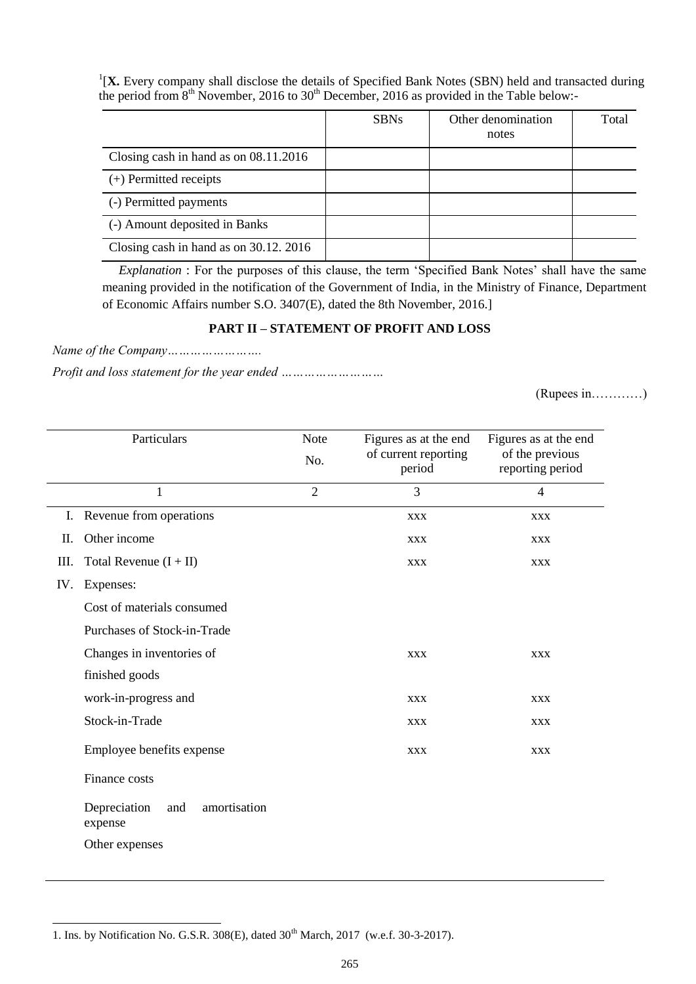<sup>1</sup>[X. Every company shall disclose the details of Specified Bank Notes (SBN) held and transacted during the period from  $8<sup>th</sup>$  November, 2016 to  $30<sup>th</sup>$  December, 2016 as provided in the Table below:-

|                                           | <b>SBNs</b> | Other denomination<br>notes | Total |
|-------------------------------------------|-------------|-----------------------------|-------|
| Closing cash in hand as on $08.11.2016$   |             |                             |       |
| (+) Permitted receipts                    |             |                             |       |
| (-) Permitted payments                    |             |                             |       |
| (-) Amount deposited in Banks             |             |                             |       |
| Closing cash in hand as on $30.12$ . 2016 |             |                             |       |

*Explanation* : For the purposes of this clause, the term 'Specified Bank Notes' shall have the same meaning provided in the notification of the Government of India, in the Ministry of Finance, Department of Economic Affairs number S.O. 3407(E), dated the 8th November, 2016.]

# **PART II – STATEMENT OF PROFIT AND LOSS**

*Name of the Company…………………….*

*Profit and loss statement for the year ended ………………………*

(Rupees in…………)

| Particulars                    | <b>Note</b>    | Figures as at the end          | Figures as at the end               |
|--------------------------------|----------------|--------------------------------|-------------------------------------|
|                                | No.            | of current reporting<br>period | of the previous<br>reporting period |
| 1                              | $\overline{2}$ | 3                              | $\overline{4}$                      |
| Revenue from operations<br>I.  |                | <b>XXX</b>                     | <b>XXX</b>                          |
| Other income<br>П.             |                | <b>XXX</b>                     | <b>XXX</b>                          |
| Ш.<br>Total Revenue $(I + II)$ |                | <b>XXX</b>                     | <b>XXX</b>                          |
| IV.<br>Expenses:               |                |                                |                                     |
| Cost of materials consumed     |                |                                |                                     |
| Purchases of Stock-in-Trade    |                |                                |                                     |
| Changes in inventories of      |                | <b>XXX</b>                     | <b>XXX</b>                          |
| finished goods                 |                |                                |                                     |
| work-in-progress and           |                | <b>XXX</b>                     | <b>XXX</b>                          |
| Stock-in-Trade                 |                | <b>XXX</b>                     | <b>XXX</b>                          |
| Employee benefits expense      |                | <b>XXX</b>                     | <b>XXX</b>                          |
| Finance costs                  |                |                                |                                     |
| Depreciation<br>and<br>expense | amortisation   |                                |                                     |
| Other expenses                 |                |                                |                                     |

<sup>-</sup>1. Ins. by Notification No. G.S.R.  $308(E)$ , dated  $30<sup>th</sup>$  March, 2017 (w.e.f. 30-3-2017).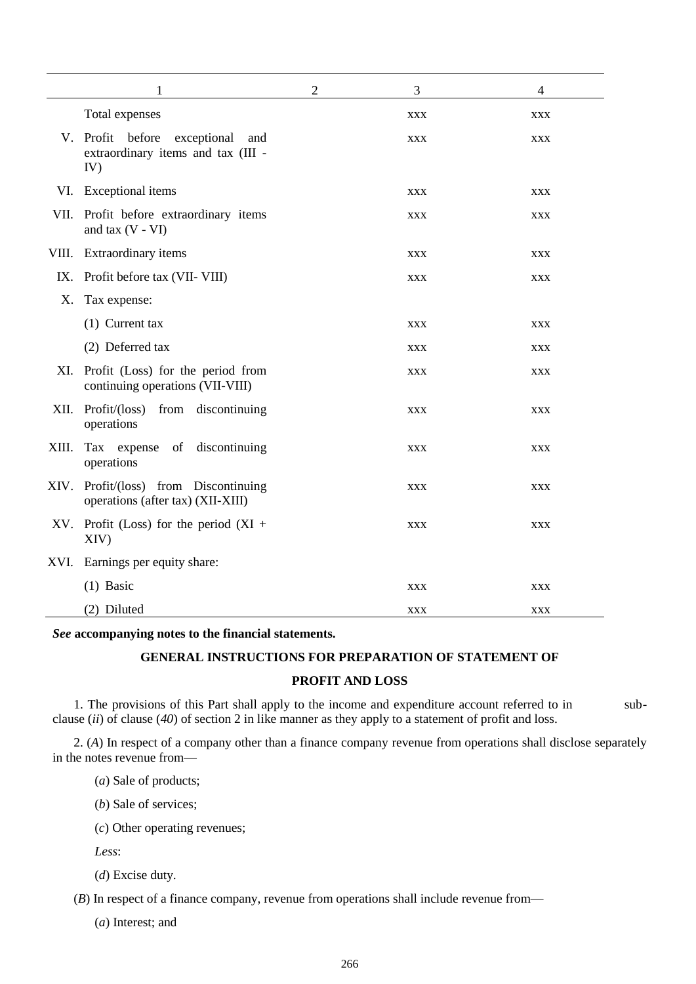|       | 1                                                                                | $\overline{2}$ | 3          | $\overline{4}$ |
|-------|----------------------------------------------------------------------------------|----------------|------------|----------------|
|       | Total expenses                                                                   |                | <b>XXX</b> | <b>XXX</b>     |
|       | V. Profit before exceptional<br>and<br>extraordinary items and tax (III -<br>IV) |                | <b>XXX</b> | <b>XXX</b>     |
|       | VI. Exceptional items                                                            |                | <b>XXX</b> | <b>XXX</b>     |
| VII.  | Profit before extraordinary items<br>and tax $(V - VI)$                          |                | <b>XXX</b> | <b>XXX</b>     |
|       | VIII. Extraordinary items                                                        |                | <b>XXX</b> | <b>XXX</b>     |
|       | IX. Profit before tax (VII- VIII)                                                |                | <b>XXX</b> | <b>XXX</b>     |
| Χ.    | Tax expense:                                                                     |                |            |                |
|       | $(1)$ Current tax                                                                |                | <b>XXX</b> | <b>XXX</b>     |
|       | (2) Deferred tax                                                                 |                | <b>XXX</b> | <b>XXX</b>     |
| XI.   | Profit (Loss) for the period from<br>continuing operations (VII-VIII)            |                | <b>XXX</b> | <b>XXX</b>     |
|       | XII. Profit/(loss) from discontinuing<br>operations                              |                | <b>XXX</b> | <b>XXX</b>     |
| XIII. | Tax expense of discontinuing<br>operations                                       |                | <b>XXX</b> | <b>XXX</b>     |
| XIV.  | Profit/(loss) from Discontinuing<br>operations (after tax) (XII-XIII)            |                | <b>XXX</b> | <b>XXX</b>     |
|       | XV. Profit (Loss) for the period $(XI +$<br>XIV                                  |                | <b>XXX</b> | <b>XXX</b>     |
| XVI.  | Earnings per equity share:                                                       |                |            |                |
|       | $(1)$ Basic                                                                      |                | <b>XXX</b> | <b>XXX</b>     |
|       | (2) Diluted                                                                      |                | <b>XXX</b> | <b>XXX</b>     |

### *See* **accompanying notes to the financial statements.**

## **GENERAL INSTRUCTIONS FOR PREPARATION OF STATEMENT OF**

### **PROFIT AND LOSS**

1. The provisions of this Part shall apply to the income and expenditure account referred to in subclause (*ii*) of clause (*40*) of section 2 in like manner as they apply to a statement of profit and loss.

2. (*A*) In respect of a company other than a finance company revenue from operations shall disclose separately in the notes revenue from—

(*a*) Sale of products;

(*b*) Sale of services;

(*c*) Other operating revenues;

*Less*:

(*d*) Excise duty.

(*B*) In respect of a finance company, revenue from operations shall include revenue from—

(*a*) Interest; and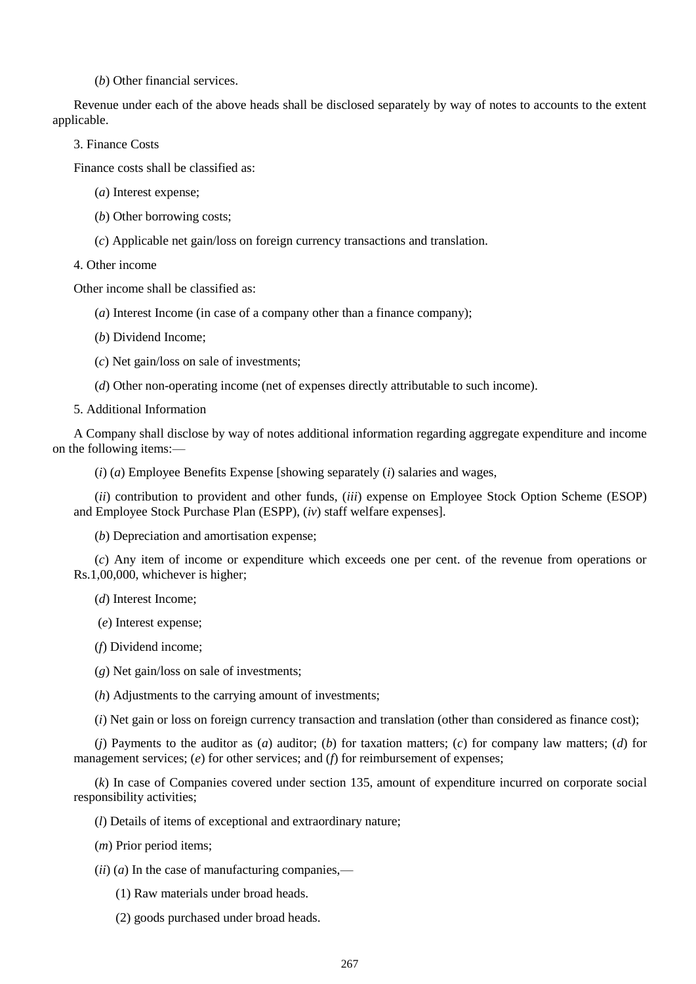(*b*) Other financial services.

Revenue under each of the above heads shall be disclosed separately by way of notes to accounts to the extent applicable.

3. Finance Costs

Finance costs shall be classified as:

- (*a*) Interest expense;
- (*b*) Other borrowing costs;
- (*c*) Applicable net gain/loss on foreign currency transactions and translation.
- 4. Other income

Other income shall be classified as:

- (*a*) Interest Income (in case of a company other than a finance company);
- (*b*) Dividend Income;
- (*c*) Net gain/loss on sale of investments;
- (*d*) Other non-operating income (net of expenses directly attributable to such income).

## 5. Additional Information

A Company shall disclose by way of notes additional information regarding aggregate expenditure and income on the following items:—

(*i*) (*a*) Employee Benefits Expense [showing separately (*i*) salaries and wages,

(*ii*) contribution to provident and other funds, (*iii*) expense on Employee Stock Option Scheme (ESOP) and Employee Stock Purchase Plan (ESPP), (*iv*) staff welfare expenses].

(*b*) Depreciation and amortisation expense;

(*c*) Any item of income or expenditure which exceeds one per cent. of the revenue from operations or Rs.1,00,000, whichever is higher;

- (*d*) Interest Income;
- (*e*) Interest expense;
- (*f*) Dividend income;
- (*g*) Net gain/loss on sale of investments;
- (*h*) Adjustments to the carrying amount of investments;

(*i*) Net gain or loss on foreign currency transaction and translation (other than considered as finance cost);

(*j*) Payments to the auditor as (*a*) auditor; (*b*) for taxation matters; (*c*) for company law matters; (*d*) for management services; (*e*) for other services; and (*f*) for reimbursement of expenses;

(*k*) In case of Companies covered under section 135, amount of expenditure incurred on corporate social responsibility activities;

- (*l*) Details of items of exceptional and extraordinary nature;
- (*m*) Prior period items;
- $(iii)$  (*a*) In the case of manufacturing companies,—
	- (1) Raw materials under broad heads.
	- (2) goods purchased under broad heads.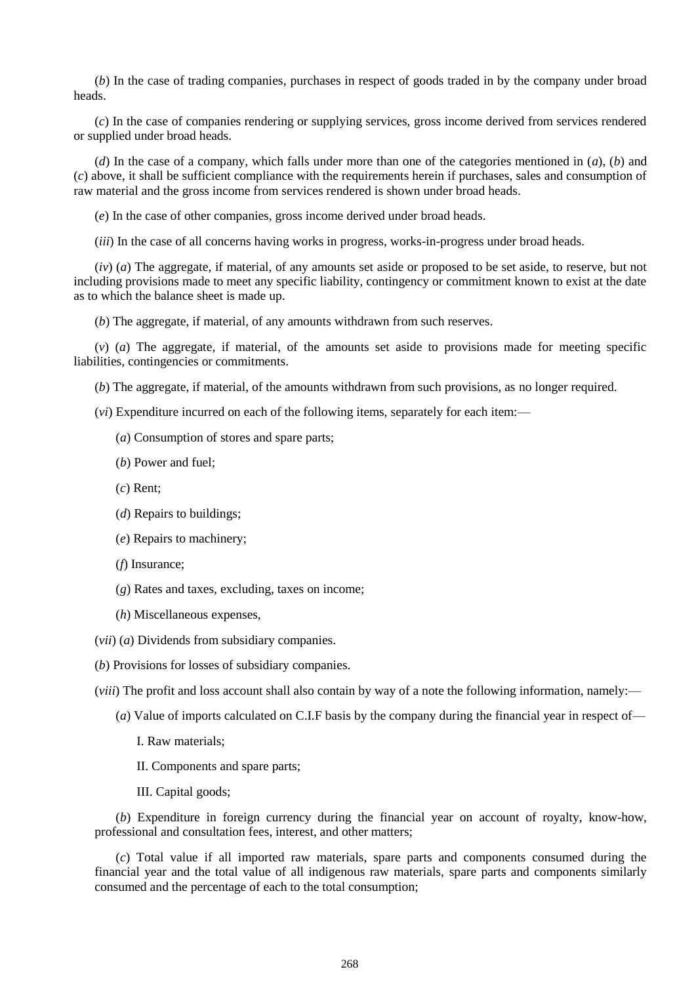(*b*) In the case of trading companies, purchases in respect of goods traded in by the company under broad heads.

(*c*) In the case of companies rendering or supplying services, gross income derived from services rendered or supplied under broad heads.

(*d*) In the case of a company, which falls under more than one of the categories mentioned in (*a*), (*b*) and (*c*) above, it shall be sufficient compliance with the requirements herein if purchases, sales and consumption of raw material and the gross income from services rendered is shown under broad heads.

(*e*) In the case of other companies, gross income derived under broad heads.

(*iii*) In the case of all concerns having works in progress, works-in-progress under broad heads.

(*iv*) (*a*) The aggregate, if material, of any amounts set aside or proposed to be set aside, to reserve, but not including provisions made to meet any specific liability, contingency or commitment known to exist at the date as to which the balance sheet is made up.

(*b*) The aggregate, if material, of any amounts withdrawn from such reserves.

(*v*) (*a*) The aggregate, if material, of the amounts set aside to provisions made for meeting specific liabilities, contingencies or commitments.

(*b*) The aggregate, if material, of the amounts withdrawn from such provisions, as no longer required.

(*vi*) Expenditure incurred on each of the following items, separately for each item:—

- (*a*) Consumption of stores and spare parts;
- (*b*) Power and fuel;
- (*c*) Rent;
- (*d*) Repairs to buildings;
- (*e*) Repairs to machinery;
- (*f*) Insurance;
- (*g*) Rates and taxes, excluding, taxes on income;
- (*h*) Miscellaneous expenses,
- (*vii*) (*a*) Dividends from subsidiary companies.
- (*b*) Provisions for losses of subsidiary companies.
- (*viii*) The profit and loss account shall also contain by way of a note the following information, namely:—
	- (*a*) Value of imports calculated on C.I.F basis by the company during the financial year in respect of—
		- I. Raw materials;
		- II. Components and spare parts;
		- III. Capital goods;

(*b*) Expenditure in foreign currency during the financial year on account of royalty, know-how, professional and consultation fees, interest, and other matters;

(*c*) Total value if all imported raw materials, spare parts and components consumed during the financial year and the total value of all indigenous raw materials, spare parts and components similarly consumed and the percentage of each to the total consumption;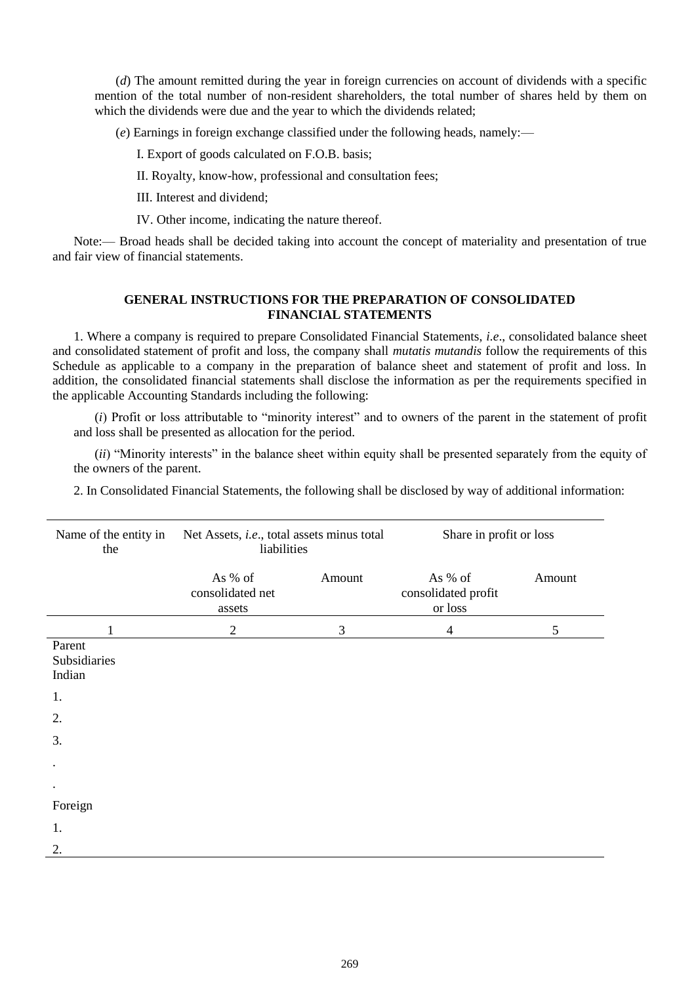(*d*) The amount remitted during the year in foreign currencies on account of dividends with a specific mention of the total number of non-resident shareholders, the total number of shares held by them on which the dividends were due and the year to which the dividends related;

(*e*) Earnings in foreign exchange classified under the following heads, namely:—

I. Export of goods calculated on F.O.B. basis;

II. Royalty, know-how, professional and consultation fees;

III. Interest and dividend;

IV. Other income, indicating the nature thereof.

Note:— Broad heads shall be decided taking into account the concept of materiality and presentation of true and fair view of financial statements.

# **GENERAL INSTRUCTIONS FOR THE PREPARATION OF CONSOLIDATED FINANCIAL STATEMENTS**

1. Where a company is required to prepare Consolidated Financial Statements, *i.e*., consolidated balance sheet and consolidated statement of profit and loss, the company shall *mutatis mutandis* follow the requirements of this Schedule as applicable to a company in the preparation of balance sheet and statement of profit and loss. In addition, the consolidated financial statements shall disclose the information as per the requirements specified in the applicable Accounting Standards including the following:

(*i*) Profit or loss attributable to "minority interest" and to owners of the parent in the statement of profit and loss shall be presented as allocation for the period.

(*ii*) "Minority interests" in the balance sheet within equity shall be presented separately from the equity of the owners of the parent.

2. In Consolidated Financial Statements, the following shall be disclosed by way of additional information:

| Name of the entity in<br>the     | Net Assets, i.e., total assets minus total<br>liabilities |        | Share in profit or loss                   |        |
|----------------------------------|-----------------------------------------------------------|--------|-------------------------------------------|--------|
|                                  | As % of<br>consolidated net<br>assets                     | Amount | As % of<br>consolidated profit<br>or loss | Amount |
| $\mathbf{1}$                     | $\mathbf{2}$                                              | 3      | $\overline{4}$                            | 5      |
| Parent<br>Subsidiaries<br>Indian |                                                           |        |                                           |        |
| 1.                               |                                                           |        |                                           |        |
| 2.                               |                                                           |        |                                           |        |
| 3.                               |                                                           |        |                                           |        |
|                                  |                                                           |        |                                           |        |
|                                  |                                                           |        |                                           |        |
| Foreign                          |                                                           |        |                                           |        |
| 1.                               |                                                           |        |                                           |        |
| 2.                               |                                                           |        |                                           |        |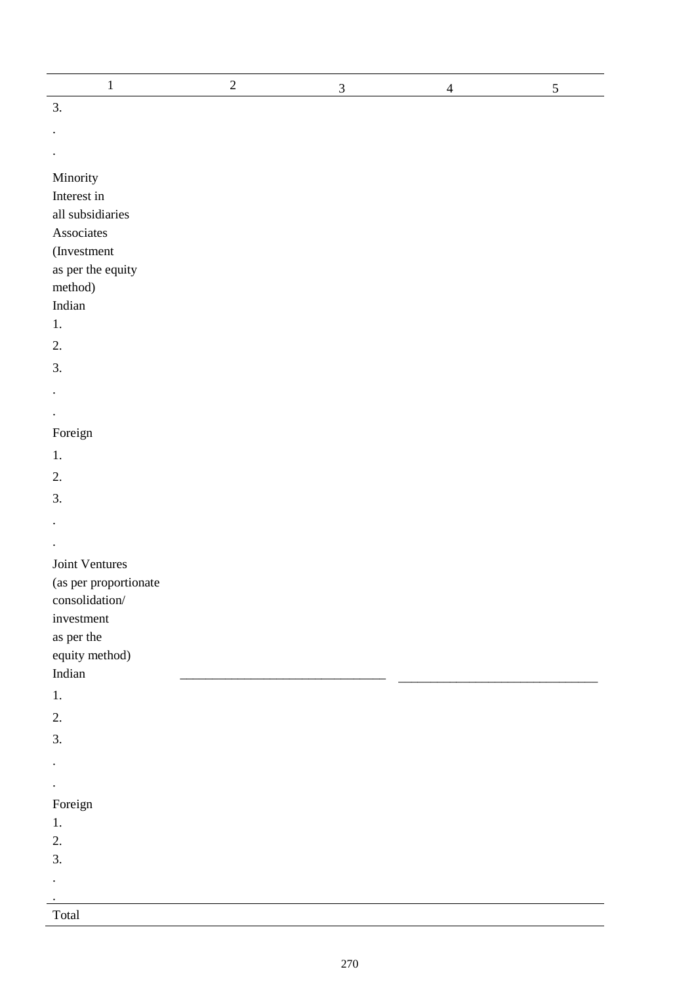| $\,1$                        | $\overline{2}$ | $\mathfrak{Z}$ | $\overline{4}$ | $\sqrt{5}$ |
|------------------------------|----------------|----------------|----------------|------------|
| 3.                           |                |                |                |            |
|                              |                |                |                |            |
|                              |                |                |                |            |
|                              |                |                |                |            |
| Minority<br>Interest in      |                |                |                |            |
| all subsidiaries             |                |                |                |            |
| Associates                   |                |                |                |            |
| (Investment                  |                |                |                |            |
| as per the equity            |                |                |                |            |
| method)                      |                |                |                |            |
| Indian                       |                |                |                |            |
| 1.                           |                |                |                |            |
| 2.                           |                |                |                |            |
| 3.                           |                |                |                |            |
|                              |                |                |                |            |
|                              |                |                |                |            |
| Foreign                      |                |                |                |            |
| 1.                           |                |                |                |            |
|                              |                |                |                |            |
| 2.                           |                |                |                |            |
| 3.                           |                |                |                |            |
|                              |                |                |                |            |
|                              |                |                |                |            |
| Joint Ventures               |                |                |                |            |
| (as per proportionate        |                |                |                |            |
| consolidation/               |                |                |                |            |
| investment                   |                |                |                |            |
| as per the<br>equity method) |                |                |                |            |
| Indian                       |                |                |                |            |
| 1.                           |                |                |                |            |
| 2.                           |                |                |                |            |
|                              |                |                |                |            |
| 3.                           |                |                |                |            |
|                              |                |                |                |            |
|                              |                |                |                |            |
| Foreign                      |                |                |                |            |
| 1.                           |                |                |                |            |
| 2.                           |                |                |                |            |
| 3.                           |                |                |                |            |
|                              |                |                |                |            |
| Total                        |                |                |                |            |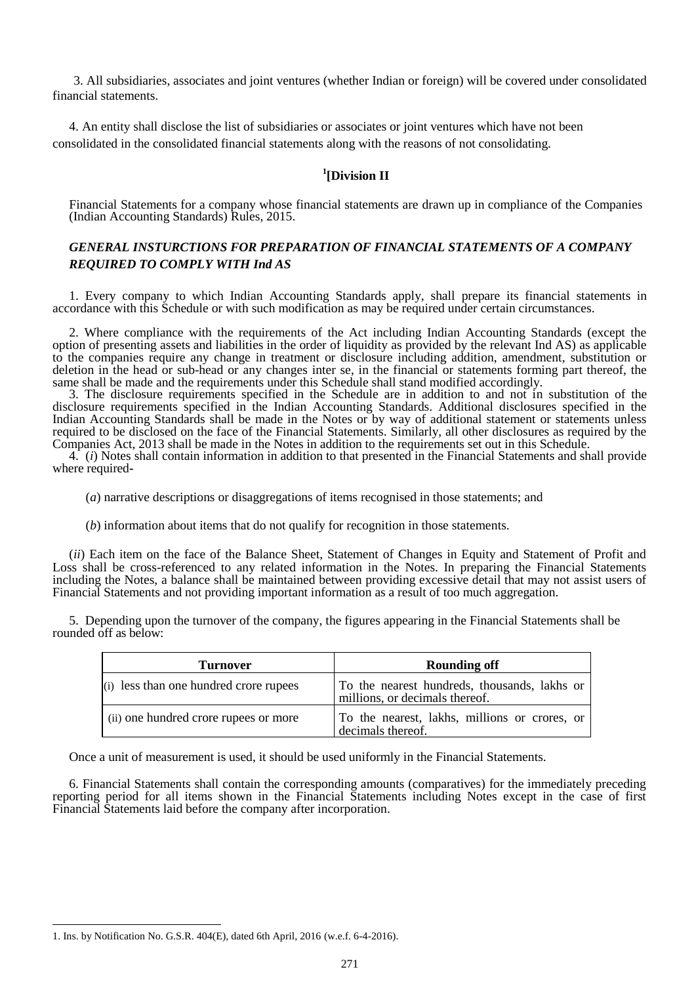3. All subsidiaries, associates and joint ventures (whether Indian or foreign) will be covered under consolidated financial statements.

4. An entity shall disclose the list of subsidiaries or associates or joint ventures which have not been consolidated in the consolidated financial statements along with the reasons of not consolidating.

# **1 [Division II**

Financial Statements for a company whose financial statements are drawn up in compliance of the Companies (Indian Accounting Standards) Rules, 2015.

# *GENERAL INSTURCTIONS FOR PREPARATION OF FINANCIAL STATEMENTS OF A COMPANY REQUIRED TO COMPLY WITH Ind AS*

1. Every company to which Indian Accounting Standards apply, shall prepare its financial statements in accordance with this Schedule or with such modification as may be required under certain circumstances.

2. Where compliance with the requirements of the Act including Indian Accounting Standards (except the option of presenting assets and liabilities in the order of liquidity as provided by the relevant Ind AS) as applicable to the companies require any change in treatment or disclosure including addition, amendment, substitution or deletion in the head or sub-head or any changes inter se, in the financial or statements forming part thereof, the same shall be made and the requirements under this Schedule shall stand modified accordingly.

3. The disclosure requirements specified in the Schedule are in addition to and not in substitution of the disclosure requirements specified in the Indian Accounting Standards. Additional disclosures specified in the Indian Accounting Standards shall be made in the Notes or by way of additional statement or statements unless required to be disclosed on the face of the Financial Statements. Similarly, all other disclosures as required by the Companies Act, 2013 shall be made in the Notes in addition to the requirements set out in this Schedule.

4. (*i*) Notes shall contain information in addition to that presented in the Financial Statements and shall provide where required**-**

- (*a*) narrative descriptions or disaggregations of items recognised in those statements; and
- (*b*) information about items that do not qualify for recognition in those statements.

(*ii*) Each item on the face of the Balance Sheet, Statement of Changes in Equity and Statement of Profit and Loss shall be cross-referenced to any related information in the Notes. In preparing the Financial Statements including the Notes, a balance shall be maintained between providing excessive detail that may not assist users of Financial Statements and not providing important information as a result of too much aggregation.

5. Depending upon the turnover of the company, the figures appearing in the Financial Statements shall be rounded off as below:

| <b>Turnover</b>                        | Rounding off                                                                   |
|----------------------------------------|--------------------------------------------------------------------------------|
| (i) less than one hundred crore rupees | To the nearest hundreds, thousands, lakhs or<br>millions, or decimals thereof. |
| (ii) one hundred crore rupees or more  | To the nearest, lakhs, millions or crores, or<br>decimals thereof.             |

Once a unit of measurement is used, it should be used uniformly in the Financial Statements.

6. Financial Statements shall contain the corresponding amounts (comparatives) for the immediately preceding reporting period for all items shown in the Financial Statements including Notes except in the case of first Financial Statements laid before the company after incorporation.

-

<sup>1.</sup> Ins. by Notification No. G.S.R. 404(E), dated 6th April, 2016 (w.e.f. 6-4-2016).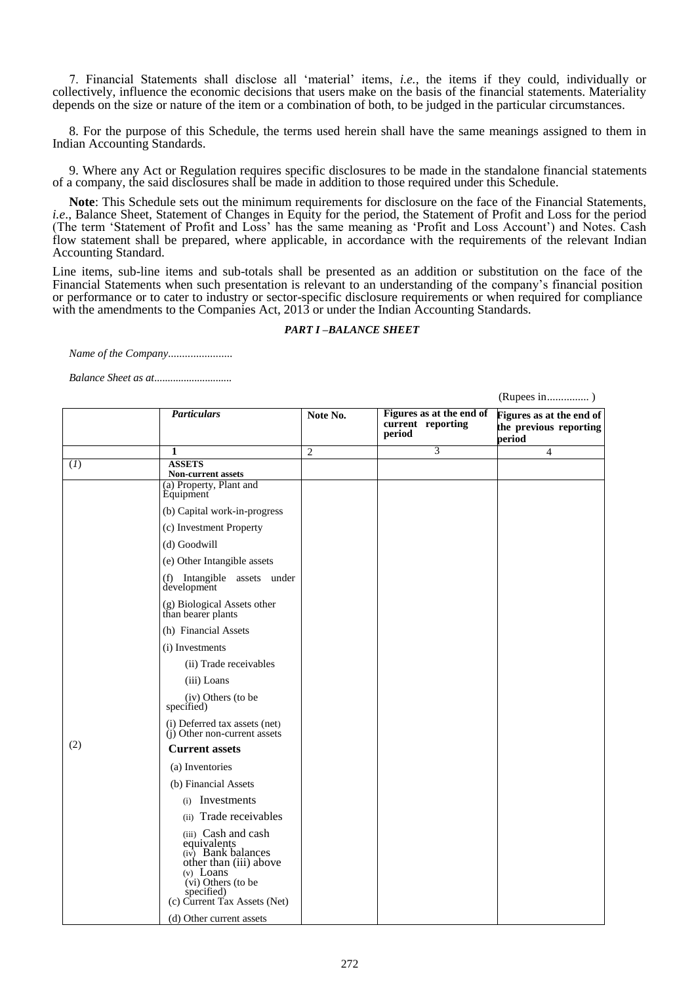7. Financial Statements shall disclose all ‗material' items, *i.e.,* the items if they could, individually or collectively, influence the economic decisions that users make on the basis of the financial statements. Materiality depends on the size or nature of the item or a combination of both, to be judged in the particular circumstances.

8. For the purpose of this Schedule, the terms used herein shall have the same meanings assigned to them in Indian Accounting Standards.

9. Where any Act or Regulation requires specific disclosures to be made in the standalone financial statements of a company, the said disclosures shall be made in addition to those required under this Schedule.

**Note**: This Schedule sets out the minimum requirements for disclosure on the face of the Financial Statements, *i.e*., Balance Sheet, Statement of Changes in Equity for the period, the Statement of Profit and Loss for the period (The term 'Statement of Profit and Loss' has the same meaning as 'Profit and Loss Account') and Notes. Cash flow statement shall be prepared, where applicable, in accordance with the requirements of the relevant Indian Accounting Standard.

Line items, sub-line items and sub-totals shall be presented as an addition or substitution on the face of the Financial Statements when such presentation is relevant to an understanding of the company's financial position or performance or to cater to industry or sector-specific disclosure requirements or when required for compliance with the amendments to the Companies Act, 2013 or under the Indian Accounting Standards.

## *PART I –BALANCE SHEET*

*Name of the Company.......................*

*Balance Sheet as at.............................*

(Rupees in............... )

|     | <b>Particulars</b>                                                                                                                                                    | Note No.       | Figures as at the end of<br>current reporting<br>period | Figures as at the end of<br>the previous reporting<br>period |
|-----|-----------------------------------------------------------------------------------------------------------------------------------------------------------------------|----------------|---------------------------------------------------------|--------------------------------------------------------------|
|     | 1                                                                                                                                                                     | $\overline{c}$ | 3                                                       | $\overline{4}$                                               |
| (I) | <b>ASSETS</b><br>Non-current assets                                                                                                                                   |                |                                                         |                                                              |
|     | (a) Property, Plant and<br>Equipment                                                                                                                                  |                |                                                         |                                                              |
|     | (b) Capital work-in-progress                                                                                                                                          |                |                                                         |                                                              |
|     | (c) Investment Property                                                                                                                                               |                |                                                         |                                                              |
|     | (d) Goodwill                                                                                                                                                          |                |                                                         |                                                              |
|     | (e) Other Intangible assets                                                                                                                                           |                |                                                         |                                                              |
|     | (f) Intangible assets under<br>development                                                                                                                            |                |                                                         |                                                              |
|     | (g) Biological Assets other<br>than bearer plants                                                                                                                     |                |                                                         |                                                              |
|     | (h) Financial Assets                                                                                                                                                  |                |                                                         |                                                              |
|     | (i) Investments                                                                                                                                                       |                |                                                         |                                                              |
|     | (ii) Trade receivables                                                                                                                                                |                |                                                         |                                                              |
|     | (iii) Loans                                                                                                                                                           |                |                                                         |                                                              |
|     | (iv) Others (to be<br>specified)                                                                                                                                      |                |                                                         |                                                              |
|     | (i) Deferred tax assets (net)<br>$(i)$ Other non-current assets                                                                                                       |                |                                                         |                                                              |
| (2) | <b>Current assets</b>                                                                                                                                                 |                |                                                         |                                                              |
|     | (a) Inventories                                                                                                                                                       |                |                                                         |                                                              |
|     | (b) Financial Assets                                                                                                                                                  |                |                                                         |                                                              |
|     | (i) Investments                                                                                                                                                       |                |                                                         |                                                              |
|     | (ii) Trade receivables                                                                                                                                                |                |                                                         |                                                              |
|     | (iii) Cash and cash<br>equivalents<br>(iv) Bank balances<br>other than (iii) above<br>$(v)$ Loans<br>(vi) Others (to be<br>specified)<br>(c) Current Tax Assets (Net) |                |                                                         |                                                              |
|     | (d) Other current assets                                                                                                                                              |                |                                                         |                                                              |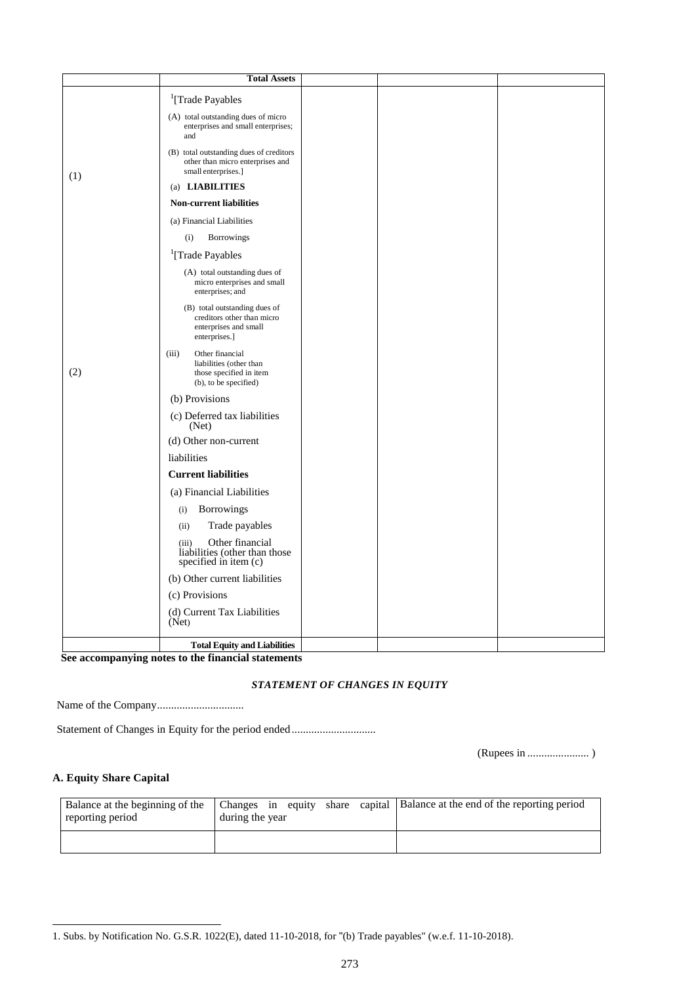|     | <b>Total Assets</b>                                                                                     |  |
|-----|---------------------------------------------------------------------------------------------------------|--|
|     | <sup>1</sup> [Trade Payables                                                                            |  |
|     | (A) total outstanding dues of micro<br>enterprises and small enterprises;<br>and                        |  |
| (1) | (B) total outstanding dues of creditors<br>other than micro enterprises and<br>small enterprises.]      |  |
|     | (a) LIABILITIES                                                                                         |  |
|     | <b>Non-current liabilities</b>                                                                          |  |
|     | (a) Financial Liabilities                                                                               |  |
|     | <b>Borrowings</b><br>(i)                                                                                |  |
|     | <sup>1</sup> [Trade Payables                                                                            |  |
|     | (A) total outstanding dues of<br>micro enterprises and small<br>enterprises; and                        |  |
|     | (B) total outstanding dues of<br>creditors other than micro<br>enterprises and small<br>enterprises.]   |  |
| (2) | (iii)<br>Other financial<br>liabilities (other than<br>those specified in item<br>(b), to be specified) |  |
|     | (b) Provisions                                                                                          |  |
|     | (c) Deferred tax liabilities<br>(Net)                                                                   |  |
|     | (d) Other non-current                                                                                   |  |
|     | liabilities                                                                                             |  |
|     | <b>Current liabilities</b>                                                                              |  |
|     | (a) Financial Liabilities                                                                               |  |
|     | Borrowings<br>(i)                                                                                       |  |
|     | Trade payables<br>(ii)                                                                                  |  |
|     | Other financial<br>(iii)<br>liabilities (other than those<br>specified in item (c)                      |  |
|     | (b) Other current liabilities                                                                           |  |
|     | (c) Provisions                                                                                          |  |
|     | (d) Current Tax Liabilities<br>(Net)                                                                    |  |
|     | <b>Total Equity and Liabilities</b>                                                                     |  |

**See accompanying notes to the financial statements**

# *STATEMENT OF CHANGES IN EQUITY*

Name of the Company...............................

Statement of Changes in Equity for the period ended..............................

(Rupees in ...................... )

# **A. Equity Share Capital**

-

| Balance at the beginning of the<br>reporting period | during the year | Changes in equity share capital Balance at the end of the reporting period |
|-----------------------------------------------------|-----------------|----------------------------------------------------------------------------|
|                                                     |                 |                                                                            |

<sup>1.</sup> Subs. by Notification No. G.S.R. 1022(E), dated 11-10-2018, for "(b) Trade payables" (w.e.f. 11-10-2018).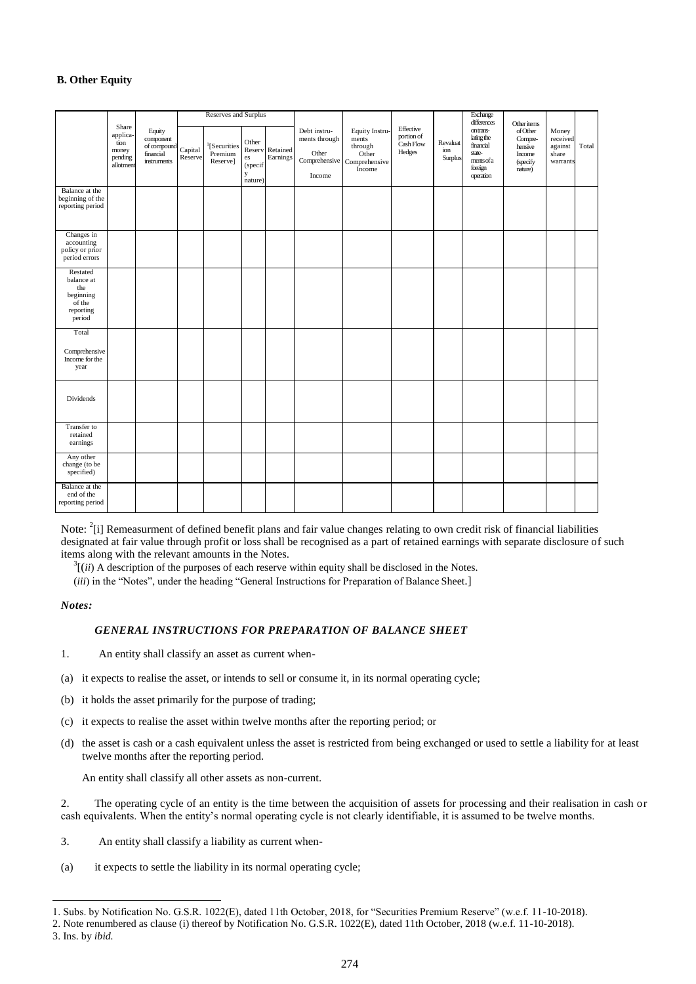## **B. Other Equity**

|                                                                             |                                                   |       |                                                                | Reserves and Surplus |                                                 |                                        |                             |                                                  |                                                                                      |                                                | Exchange<br>differences    | Other items                                                                         |                                                                 |                                                   |       |
|-----------------------------------------------------------------------------|---------------------------------------------------|-------|----------------------------------------------------------------|----------------------|-------------------------------------------------|----------------------------------------|-----------------------------|--------------------------------------------------|--------------------------------------------------------------------------------------|------------------------------------------------|----------------------------|-------------------------------------------------------------------------------------|-----------------------------------------------------------------|---------------------------------------------------|-------|
|                                                                             | applica-<br>tion<br>money<br>pending<br>allotment | Share | Equity<br>component<br>of compound<br>financial<br>instruments | Capital<br>Reserve   | <sup>1</sup> [Securities<br>Premium<br>Reserve] | Other<br>es<br>(specif<br>y<br>nature) | Reserv Retained<br>Earnings | Debt instru-<br>ments through<br>Other<br>Income | Equity Instru-<br>ments<br>through<br>Other<br>Comprehensive Comprehensive<br>Income | Effective<br>portion of<br>Cash Flow<br>Hedges | Revaluat<br>ion<br>Surplus | ontrans-<br>lating the<br>financial<br>state-<br>ments of a<br>foreign<br>operation | of Other<br>Compre-<br>hensive<br>Income<br>(specify<br>nature) | Money<br>received<br>against<br>share<br>warrants | Total |
| Balance at the<br>beginning of the<br>reporting period                      |                                                   |       |                                                                |                      |                                                 |                                        |                             |                                                  |                                                                                      |                                                |                            |                                                                                     |                                                                 |                                                   |       |
| Changes in<br>accounting<br>policy or prior<br>period errors                |                                                   |       |                                                                |                      |                                                 |                                        |                             |                                                  |                                                                                      |                                                |                            |                                                                                     |                                                                 |                                                   |       |
| Restated<br>balance at<br>the<br>beginning<br>of the<br>reporting<br>period |                                                   |       |                                                                |                      |                                                 |                                        |                             |                                                  |                                                                                      |                                                |                            |                                                                                     |                                                                 |                                                   |       |
| Total<br>Comprehensive<br>Income for the<br>year                            |                                                   |       |                                                                |                      |                                                 |                                        |                             |                                                  |                                                                                      |                                                |                            |                                                                                     |                                                                 |                                                   |       |
| <b>Dividends</b>                                                            |                                                   |       |                                                                |                      |                                                 |                                        |                             |                                                  |                                                                                      |                                                |                            |                                                                                     |                                                                 |                                                   |       |
| Transfer to<br>retained<br>earnings                                         |                                                   |       |                                                                |                      |                                                 |                                        |                             |                                                  |                                                                                      |                                                |                            |                                                                                     |                                                                 |                                                   |       |
| Any other<br>change (to be<br>specified)                                    |                                                   |       |                                                                |                      |                                                 |                                        |                             |                                                  |                                                                                      |                                                |                            |                                                                                     |                                                                 |                                                   |       |
| Balance at the<br>end of the<br>reporting period                            |                                                   |       |                                                                |                      |                                                 |                                        |                             |                                                  |                                                                                      |                                                |                            |                                                                                     |                                                                 |                                                   |       |

Note: <sup>2</sup>[i] Remeasurment of defined benefit plans and fair value changes relating to own credit risk of financial liabilities designated at fair value through profit or loss shall be recognised as a part of retained earnings with separate disclosure of such items along with the relevant amounts in the Notes.

 $^{3}$ [(*ii*) A description of the purposes of each reserve within equity shall be disclosed in the Notes.

(*iii*) in the "Notes", under the heading "General Instructions for Preparation of Balance Sheet.]

### *Notes:*

## *GENERAL INSTRUCTIONS FOR PREPARATION OF BALANCE SHEET*

- 1. An entity shall classify an asset as current when-
- (a) it expects to realise the asset, or intends to sell or consume it, in its normal operating cycle;
- (b) it holds the asset primarily for the purpose of trading;
- (c) it expects to realise the asset within twelve months after the reporting period; or
- (d) the asset is cash or a cash equivalent unless the asset is restricted from being exchanged or used to settle a liability for at least twelve months after the reporting period.

An entity shall classify all other assets as non-current.

2. The operating cycle of an entity is the time between the acquisition of assets for processing and their realisation in cash or cash equivalents. When the entity's normal operating cycle is not clearly identifiable, it is assumed to be twelve months.

- 3. An entity shall classify a liability as current when-
- (a) it expects to settle the liability in its normal operating cycle;

-

<sup>1.</sup> Subs. by Notification No. G.S.R. 1022(E), dated 11th October, 2018, for "Securities Premium Reserve" (w.e.f. 11-10-2018).

<sup>2.</sup> Note renumbered as clause (i) thereof by Notification No. G.S.R. 1022(E), dated 11th October, 2018 (w.e.f. 11-10-2018).

<sup>3.</sup> Ins. by *ibid.*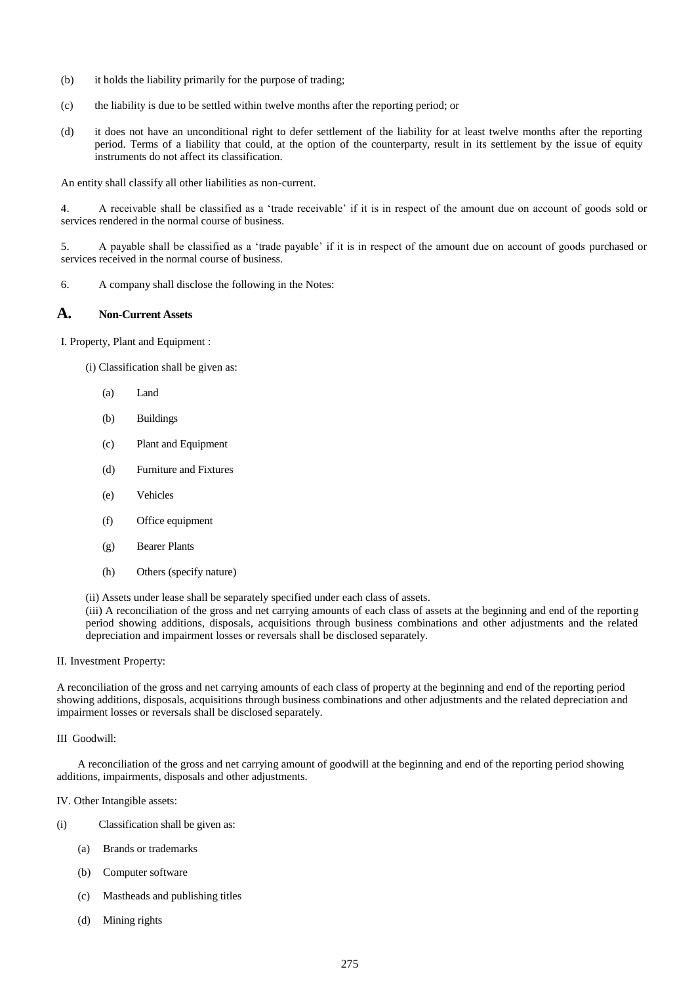- (b) it holds the liability primarily for the purpose of trading;
- (c) the liability is due to be settled within twelve months after the reporting period; or
- (d) it does not have an unconditional right to defer settlement of the liability for at least twelve months after the reporting period. Terms of a liability that could, at the option of the counterparty, result in its settlement by the issue of equity instruments do not affect its classification.

An entity shall classify all other liabilities as non-current.

4. A receivable shall be classified as a 'trade receivable' if it is in respect of the amount due on account of goods sold or services rendered in the normal course of business.

5. A payable shall be classified as a 'trade payable' if it is in respect of the amount due on account of goods purchased or services received in the normal course of business.

6. A company shall disclose the following in the Notes:

## **A. Non-Current Assets**

I. Property, Plant and Equipment :

(i) Classification shall be given as:

- (a) Land
- (b) Buildings
- (c) Plant and Equipment
- (d) Furniture and Fixtures
- (e) Vehicles
- (f) Office equipment
- (g) Bearer Plants
- (h) Others (specify nature)

(ii) Assets under lease shall be separately specified under each class of assets.

(iii) A reconciliation of the gross and net carrying amounts of each class of assets at the beginning and end of the reporting period showing additions, disposals, acquisitions through business combinations and other adjustments and the related depreciation and impairment losses or reversals shall be disclosed separately.

II. Investment Property:

A reconciliation of the gross and net carrying amounts of each class of property at the beginning and end of the reporting period showing additions, disposals, acquisitions through business combinations and other adjustments and the related depreciation and impairment losses or reversals shall be disclosed separately.

### III Goodwill:

A reconciliation of the gross and net carrying amount of goodwill at the beginning and end of the reporting period showing additions, impairments, disposals and other adjustments.

IV. Other Intangible assets:

- (i) Classification shall be given as:
	- (a) Brands or trademarks
	- (b) Computer software
	- (c) Mastheads and publishing titles
	- (d) Mining rights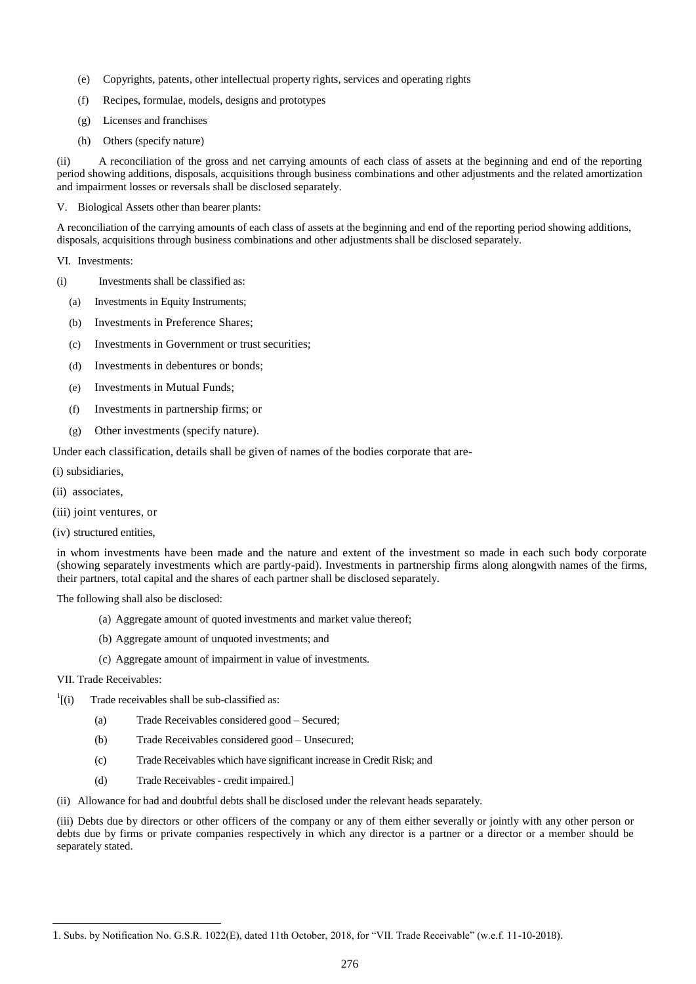- (e) Copyrights, patents, other intellectual property rights, services and operating rights
- (f) Recipes, formulae, models, designs and prototypes
- (g) Licenses and franchises
- (h) Others (specify nature)

(ii) A reconciliation of the gross and net carrying amounts of each class of assets at the beginning and end of the reporting period showing additions, disposals, acquisitions through business combinations and other adjustments and the related amortization and impairment losses or reversals shall be disclosed separately.

V. Biological Assets other than bearer plants:

A reconciliation of the carrying amounts of each class of assets at the beginning and end of the reporting period showing additions, disposals, acquisitions through business combinations and other adjustments shall be disclosed separately.

VI. Investments:

- (i) Investments shall be classified as:
	- (a) Investments in Equity Instruments;
	- (b) Investments in Preference Shares;
	- (c) Investments in Government or trust securities;
	- (d) Investments in debentures or bonds;
	- (e) Investments in Mutual Funds;
	- (f) Investments in partnership firms; or
	- (g) Other investments (specify nature).

Under each classification, details shall be given of names of the bodies corporate that are-

- (i) subsidiaries,
- (ii) associates,
- (iii) joint ventures, or
- (iv) structured entities,

in whom investments have been made and the nature and extent of the investment so made in each such body corporate (showing separately investments which are partly-paid). Investments in partnership firms along alongwith names of the firms, their partners, total capital and the shares of each partner shall be disclosed separately.

The following shall also be disclosed:

- (a) Aggregate amount of quoted investments and market value thereof;
- (b) Aggregate amount of unquoted investments; and
- (c) Aggregate amount of impairment in value of investments.

VII. Trade Receivables:

-

- $\frac{1}{1}$ [(i) Trade receivables shall be sub-classified as:
	- (a) Trade Receivables considered good Secured;
	- (b) Trade Receivables considered good Unsecured;
	- (c) Trade Receivables which have significant increase in Credit Risk; and
	- (d) Trade Receivables credit impaired.]
- (ii) Allowance for bad and doubtful debts shall be disclosed under the relevant heads separately.

(iii) Debts due by directors or other officers of the company or any of them either severally or jointly with any other person or debts due by firms or private companies respectively in which any director is a partner or a director or a member should be separately stated.

<sup>1.</sup> Subs. by Notification No. G.S.R. 1022(E), dated 11th October, 2018, for "VII. Trade Receivable" (w.e.f. 11-10-2018).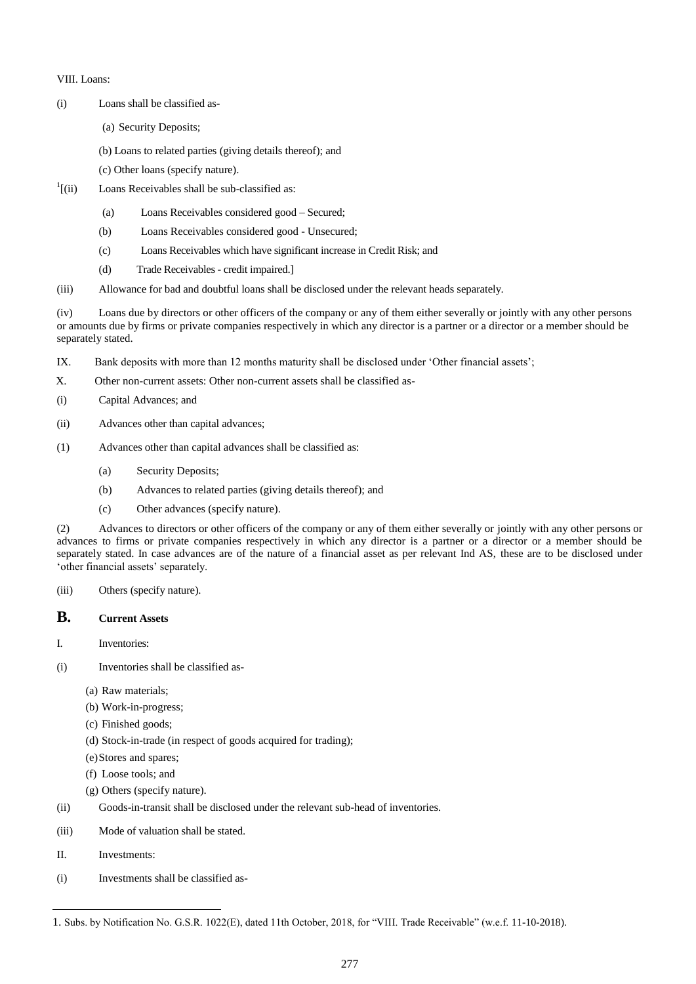### VIII. Loans:

- (i) Loans shall be classified as-
	- (a) Security Deposits;
	- (b) Loans to related parties (giving details thereof); and
	- (c) Other loans (specify nature).
- $\frac{1}{1}$ [(ii) Loans Receivables shall be sub-classified as:
	- (a) Loans Receivables considered good Secured;
	- (b) Loans Receivables considered good Unsecured;
	- (c) Loans Receivables which have significant increase in Credit Risk; and
	- (d) Trade Receivables credit impaired.]
- (iii) Allowance for bad and doubtful loans shall be disclosed under the relevant heads separately.

(iv) Loans due by directors or other officers of the company or any of them either severally or jointly with any other persons or amounts due by firms or private companies respectively in which any director is a partner or a director or a member should be separately stated.

- IX. Bank deposits with more than 12 months maturity shall be disclosed under 'Other financial assets';
- X. Other non-current assets: Other non-current assets shall be classified as-
- (i) Capital Advances; and
- (ii) Advances other than capital advances;
- (1) Advances other than capital advances shall be classified as:
	- (a) Security Deposits;
	- (b) Advances to related parties (giving details thereof); and
	- (c) Other advances (specify nature).

(2) Advances to directors or other officers of the company or any of them either severally or jointly with any other persons or advances to firms or private companies respectively in which any director is a partner or a director or a member should be separately stated. In case advances are of the nature of a financial asset as per relevant Ind AS, these are to be disclosed under 'other financial assets' separately.

(iii) Others (specify nature).

## **B. Current Assets**

- I. Inventories:
- (i) Inventories shall be classified as-
	- (a) Raw materials;
	- (b) Work-in-progress;
	- (c) Finished goods;
	- (d) Stock-in-trade (in respect of goods acquired for trading);
	- (e)Stores and spares;
	- (f) Loose tools; and
	- (g) Others (specify nature).
- (ii) Goods-in-transit shall be disclosed under the relevant sub-head of inventories.
- (iii) Mode of valuation shall be stated.
- II. Investments:

-

(i) Investments shall be classified as-

<sup>1.</sup> Subs. by Notification No. G.S.R. 1022(E), dated 11th October, 2018, for "VIII. Trade Receivable" (w.e.f. 11-10-2018).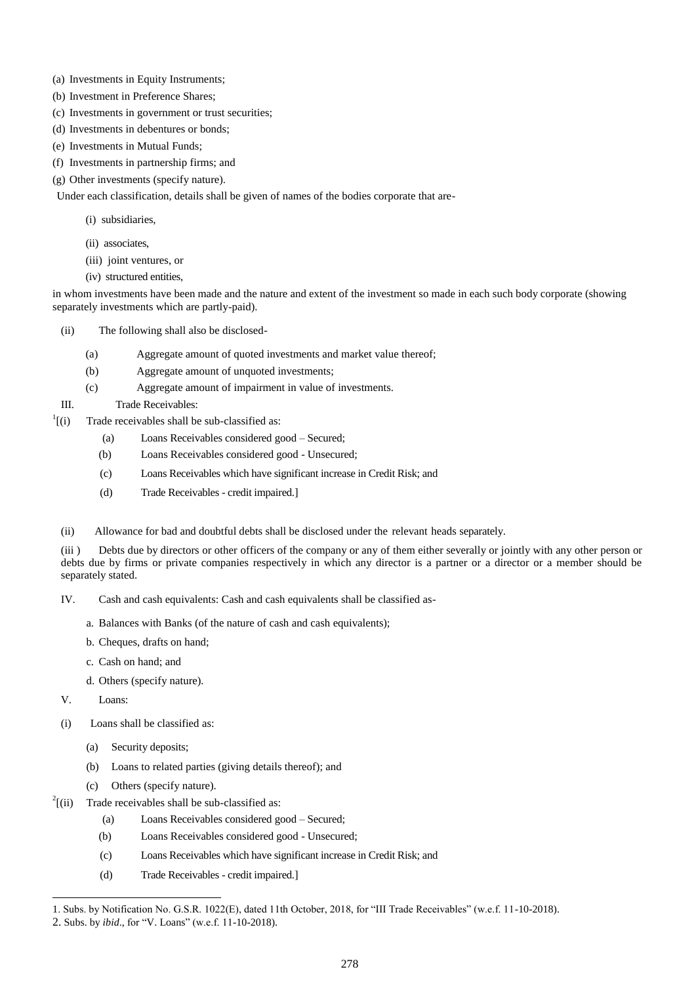- (a) Investments in Equity Instruments;
- (b) Investment in Preference Shares;
- (c) Investments in government or trust securities;
- (d) Investments in debentures or bonds;
- (e) Investments in Mutual Funds;
- (f) Investments in partnership firms; and
- (g) Other investments (specify nature).

Under each classification, details shall be given of names of the bodies corporate that are-

- (i) subsidiaries,
- (ii) associates,
- (iii) joint ventures, or
- (iv) structured entities,

in whom investments have been made and the nature and extent of the investment so made in each such body corporate (showing separately investments which are partly-paid).

- (ii) The following shall also be disclosed-
	- (a) Aggregate amount of quoted investments and market value thereof;
	- (b) Aggregate amount of unquoted investments;
	- (c) Aggregate amount of impairment in value of investments.
- III. Trade Receivables:
- $\frac{1}{1}$ [(i) Trade receivables shall be sub-classified as:
	- (a) Loans Receivables considered good Secured;
	- (b) Loans Receivables considered good Unsecured;
	- (c) Loans Receivables which have significant increase in Credit Risk; and
	- (d) Trade Receivables credit impaired.]
	- (ii) Allowance for bad and doubtful debts shall be disclosed under the relevant heads separately.

(iii ) Debts due by directors or other officers of the company or any of them either severally or jointly with any other person or debts due by firms or private companies respectively in which any director is a partner or a director or a member should be separately stated.

IV. Cash and cash equivalents: Cash and cash equivalents shall be classified as-

- a. Balances with Banks (of the nature of cash and cash equivalents);
- b. Cheques, drafts on hand;
- c. Cash on hand; and
- d. Others (specify nature).
- V. Loans:

 $\overline{a}$ 

- (i) Loans shall be classified as:
	- (a) Security deposits;
	- (b) Loans to related parties (giving details thereof); and
	- (c) Others (specify nature).
- $\frac{2}{i}$  (ii) Trade receivables shall be sub-classified as:
	- (a) Loans Receivables considered good Secured;
	- (b) Loans Receivables considered good Unsecured;
	- (c) Loans Receivables which have significant increase in Credit Risk; and
	- (d) Trade Receivables credit impaired.]

<sup>1.</sup> Subs. by Notification No. G.S.R. 1022(E), dated 11th October, 2018, for "III Trade Receivables" (w.e.f. 11-10-2018).

<sup>2.</sup> Subs. by *ibid.*, for "V. Loans" (w.e.f. 11-10-2018).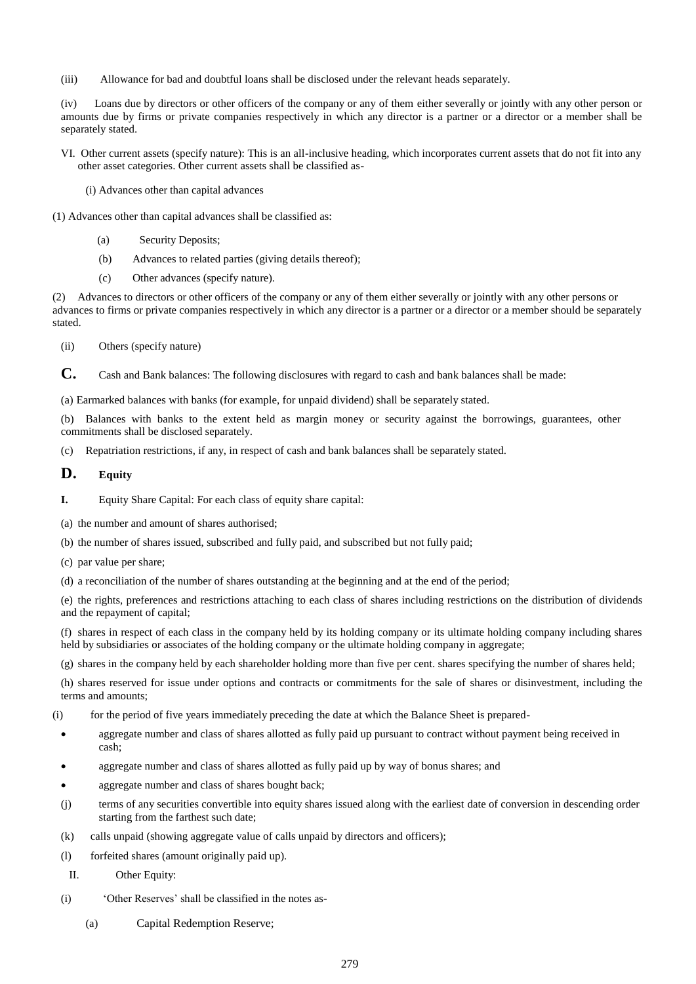(iii) Allowance for bad and doubtful loans shall be disclosed under the relevant heads separately.

(iv) Loans due by directors or other officers of the company or any of them either severally or jointly with any other person or amounts due by firms or private companies respectively in which any director is a partner or a director or a member shall be separately stated.

- VI. Other current assets (specify nature): This is an all-inclusive heading, which incorporates current assets that do not fit into any other asset categories. Other current assets shall be classified as-
	- (i) Advances other than capital advances

(1) Advances other than capital advances shall be classified as:

- (a) Security Deposits;
- (b) Advances to related parties (giving details thereof);
- (c) Other advances (specify nature).

(2) Advances to directors or other officers of the company or any of them either severally or jointly with any other persons or advances to firms or private companies respectively in which any director is a partner or a director or a member should be separately stated.

(ii) Others (specify nature)

**C.** Cash and Bank balances: The following disclosures with regard to cash and bank balances shall be made:

(a) Earmarked balances with banks (for example, for unpaid dividend) shall be separately stated.

(b) Balances with banks to the extent held as margin money or security against the borrowings, guarantees, other commitments shall be disclosed separately.

(c) Repatriation restrictions, if any, in respect of cash and bank balances shall be separately stated.

## **D. Equity**

**I.** Equity Share Capital: For each class of equity share capital:

- (a) the number and amount of shares authorised;
- (b) the number of shares issued, subscribed and fully paid, and subscribed but not fully paid;
- (c) par value per share;

(d) a reconciliation of the number of shares outstanding at the beginning and at the end of the period;

(e) the rights, preferences and restrictions attaching to each class of shares including restrictions on the distribution of dividends and the repayment of capital;

(f) shares in respect of each class in the company held by its holding company or its ultimate holding company including shares held by subsidiaries or associates of the holding company or the ultimate holding company in aggregate;

(g) shares in the company held by each shareholder holding more than five per cent. shares specifying the number of shares held;

(h) shares reserved for issue under options and contracts or commitments for the sale of shares or disinvestment, including the terms and amounts;

(i) for the period of five years immediately preceding the date at which the Balance Sheet is prepared-

- aggregate number and class of shares allotted as fully paid up pursuant to contract without payment being received in cash;
- aggregate number and class of shares allotted as fully paid up by way of bonus shares; and
- aggregate number and class of shares bought back;
- (j) terms of any securities convertible into equity shares issued along with the earliest date of conversion in descending order starting from the farthest such date;
- (k) calls unpaid (showing aggregate value of calls unpaid by directors and officers);
- (l) forfeited shares (amount originally paid up).
- II. Other Equity:
- (i) <sup>(i)</sup> Other Reserves' shall be classified in the notes as-
	- (a) Capital Redemption Reserve;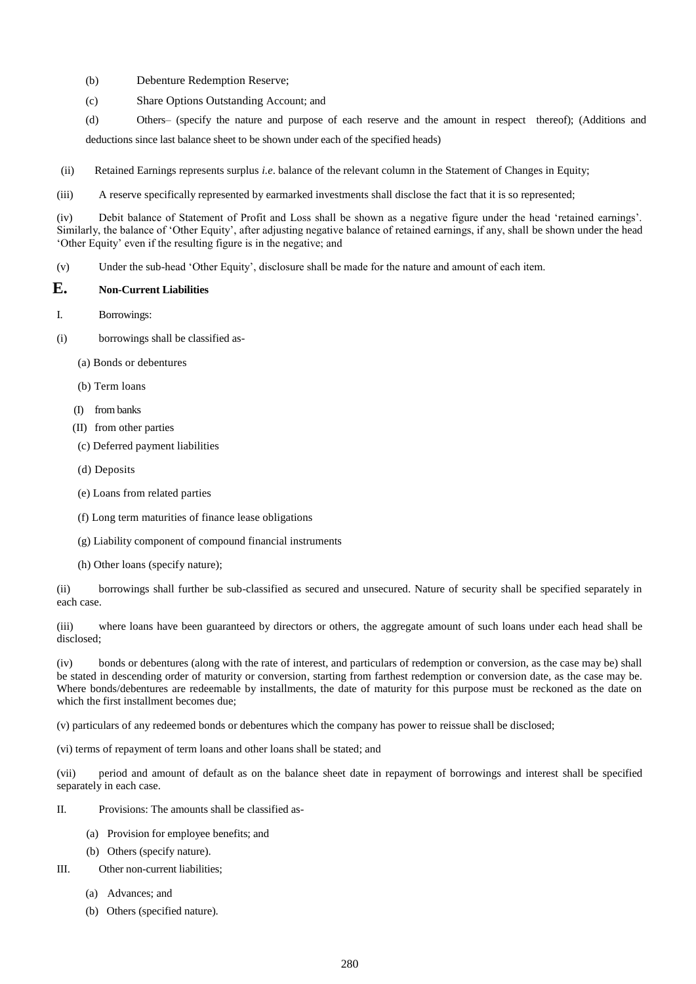- (b) Debenture Redemption Reserve;
- (c) Share Options Outstanding Account; and
- (d) Others– (specify the nature and purpose of each reserve and the amount in respect thereof); (Additions and

deductions since last balance sheet to be shown under each of the specified heads)

- (ii) Retained Earnings represents surplus *i.e*. balance of the relevant column in the Statement of Changes in Equity;
- (iii) A reserve specifically represented by earmarked investments shall disclose the fact that it is so represented;

(iv) Debit balance of Statement of Profit and Loss shall be shown as a negative figure under the head ‗retained earnings'. Similarly, the balance of 'Other Equity', after adjusting negative balance of retained earnings, if any, shall be shown under the head ‗Other Equity' even if the resulting figure is in the negative; and

(v) Under the sub-head ‗Other Equity', disclosure shall be made for the nature and amount of each item.

# **E. Non-Current Liabilities**

I. Borrowings:

(i) borrowings shall be classified as-

- (a) Bonds or debentures
- (b) Term loans
- (I) from banks
- (II) from other parties
- (c) Deferred payment liabilities
- (d) Deposits
- (e) Loans from related parties
- (f) Long term maturities of finance lease obligations
- (g) Liability component of compound financial instruments
- (h) Other loans (specify nature);

(ii) borrowings shall further be sub-classified as secured and unsecured. Nature of security shall be specified separately in each case.

(iii) where loans have been guaranteed by directors or others, the aggregate amount of such loans under each head shall be disclosed;

(iv) bonds or debentures (along with the rate of interest, and particulars of redemption or conversion, as the case may be) shall be stated in descending order of maturity or conversion, starting from farthest redemption or conversion date, as the case may be. Where bonds/debentures are redeemable by installments, the date of maturity for this purpose must be reckoned as the date on which the first installment becomes due;

(v) particulars of any redeemed bonds or debentures which the company has power to reissue shall be disclosed;

(vi) terms of repayment of term loans and other loans shall be stated; and

(vii) period and amount of default as on the balance sheet date in repayment of borrowings and interest shall be specified separately in each case.

- II. Provisions: The amounts shall be classified as-
	- (a) Provision for employee benefits; and
	- (b) Others (specify nature).
- III. Other non-current liabilities;
	- (a) Advances; and
	- (b) Others (specified nature).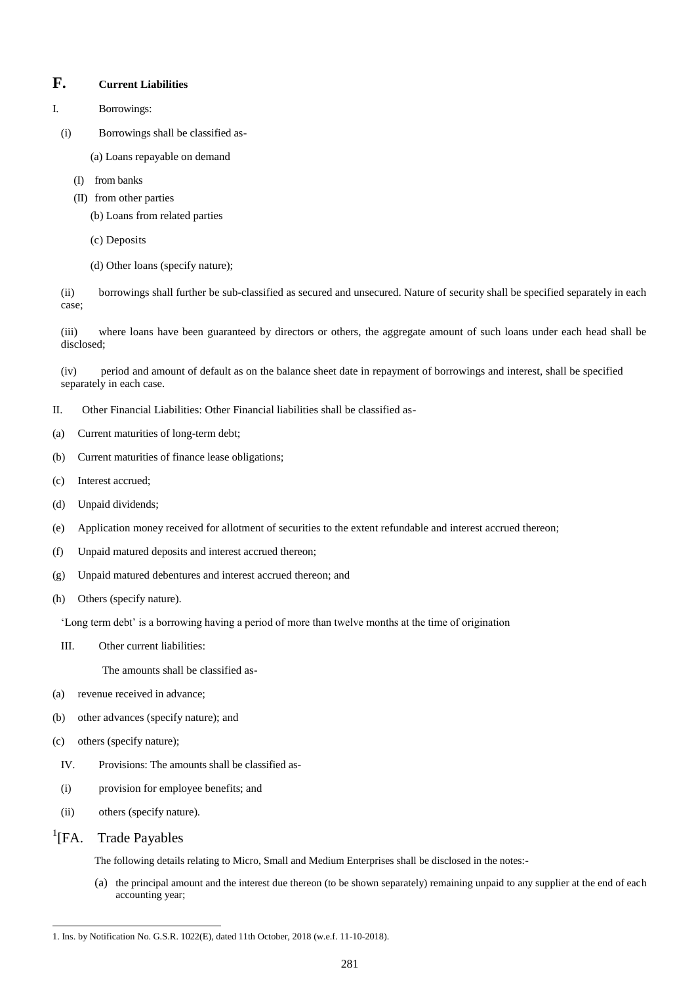## **F. Current Liabilities**

- I. Borrowings:
	- (i) Borrowings shall be classified as-
		- (a) Loans repayable on demand
		- (I) from banks
		- (II) from other parties
			- (b) Loans from related parties
			- (c) Deposits
			- (d) Other loans (specify nature);

(ii) borrowings shall further be sub-classified as secured and unsecured. Nature of security shall be specified separately in each case;

(iii) where loans have been guaranteed by directors or others, the aggregate amount of such loans under each head shall be disclosed;

(iv) period and amount of default as on the balance sheet date in repayment of borrowings and interest, shall be specified separately in each case.

- II. Other Financial Liabilities: Other Financial liabilities shall be classified as-
- (a) Current maturities of long-term debt;
- (b) Current maturities of finance lease obligations;
- (c) Interest accrued;
- (d) Unpaid dividends;
- (e) Application money received for allotment of securities to the extent refundable and interest accrued thereon;
- (f) Unpaid matured deposits and interest accrued thereon;
- (g) Unpaid matured debentures and interest accrued thereon; and
- (h) Others (specify nature).

‗Long term debt' is a borrowing having a period of more than twelve months at the time of origination

III. Other current liabilities:

The amounts shall be classified as-

- (a) revenue received in advance;
- (b) other advances (specify nature); and
- (c) others (specify nature);
	- IV. Provisions: The amounts shall be classified as-
	- (i) provision for employee benefits; and
	- (ii) others (specify nature).

#### ${}^{1}$ [FA. Trade Payables

The following details relating to Micro, Small and Medium Enterprises shall be disclosed in the notes:-

(a) the principal amount and the interest due thereon (to be shown separately) remaining unpaid to any supplier at the end of each accounting year;

<sup>-</sup>1. Ins. by Notification No. G.S.R. 1022(E), dated 11th October, 2018 (w.e.f. 11-10-2018).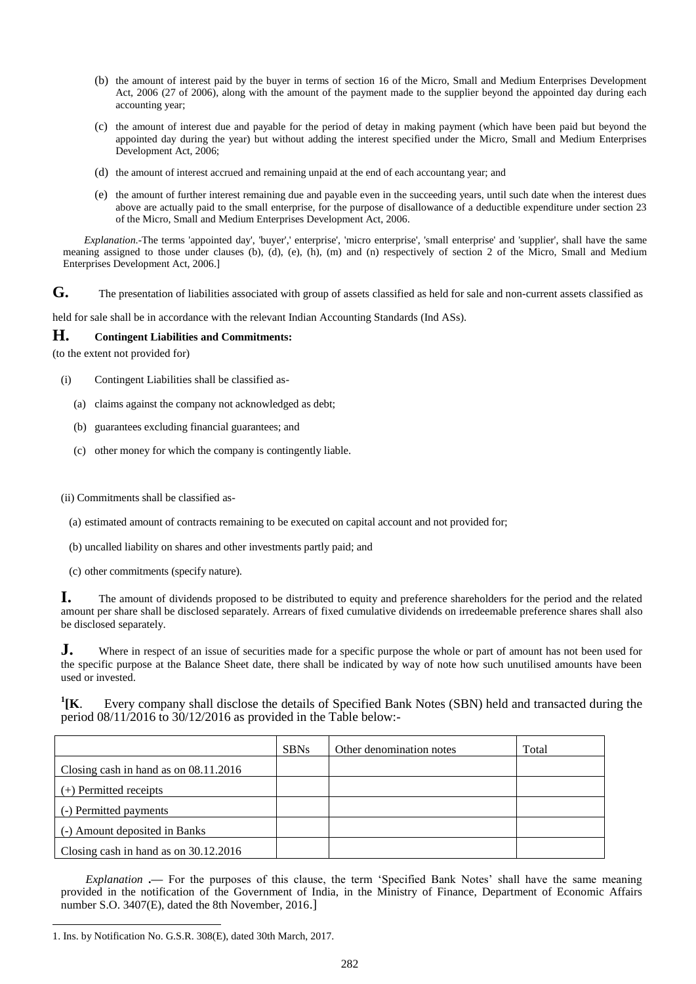- (b) the amount of interest paid by the buyer in terms of section 16 of the Micro, Small and Medium Enterprises Development Act, 2006 (27 of 2006), along with the amount of the payment made to the supplier beyond the appointed day during each accounting year;
- (c) the amount of interest due and payable for the period of detay in making payment (which have been paid but beyond the appointed day during the year) but without adding the interest specified under the Micro, Small and Medium Enterprises Development Act, 2006;
- (d) the amount of interest accrued and remaining unpaid at the end of each accountang year; and
- (e) the amount of further interest remaining due and payable even in the succeeding years, until such date when the interest dues above are actually paid to the small enterprise, for the purpose of disallowance of a deductible expenditure under section 23 of the Micro, Small and Medium Enterprises Development Act, 2006.

*Explanation*.-The terms 'appointed day', 'buyer',' enterprise', 'micro enterprise', 'small enterprise' and 'supplier', shall have the same meaning assigned to those under clauses (b), (d), (e), (h), (m) and (n) respectively of section 2 of the Micro, Small and Medium Enterprises Development Act, 2006.]

G. The presentation of liabilities associated with group of assets classified as held for sale and non-current assets classified as

held for sale shall be in accordance with the relevant Indian Accounting Standards (Ind ASs).

### **H. Contingent Liabilities and Commitments:**

(to the extent not provided for)

- (i) Contingent Liabilities shall be classified as-
	- (a) claims against the company not acknowledged as debt;
	- (b) guarantees excluding financial guarantees; and
	- (c) other money for which the company is contingently liable.

### (ii) Commitments shall be classified as-

- (a) estimated amount of contracts remaining to be executed on capital account and not provided for;
- (b) uncalled liability on shares and other investments partly paid; and

(c) other commitments (specify nature).

**I.** The amount of dividends proposed to be distributed to equity and preference shareholders for the period and the related amount per share shall be disclosed separately. Arrears of fixed cumulative dividends on irredeemable preference shares shall also be disclosed separately.

**J.** Where in respect of an issue of securities made for a specific purpose the whole or part of amount has not been used for the specific purpose at the Balance Sheet date, there shall be indicated by way of note how such unutilised amounts have been used or invested.

 $\mathbf{H}$ <sup>1</sup> $\mathbf{K}$ . **[K**. Every company shall disclose the details of Specified Bank Notes (SBN) held and transacted during the period 08/11/2016 to 30/12/2016 as provided in the Table below:-

|                                         | <b>SBNs</b> | Other denomination notes | Total |
|-----------------------------------------|-------------|--------------------------|-------|
| Closing cash in hand as on $08.11.2016$ |             |                          |       |
| $(+)$ Permitted receipts                |             |                          |       |
| (-) Permitted payments                  |             |                          |       |
| (-) Amount deposited in Banks           |             |                          |       |
| Closing cash in hand as on 30.12.2016   |             |                          |       |

*Explanation* **.—** For the purposes of this clause, the term 'Specified Bank Notes' shall have the same meaning provided in the notification of the Government of India, in the Ministry of Finance, Department of Economic Affairs number S.O. 3407(E), dated the 8th November, 2016.]

-

<sup>1.</sup> Ins. by Notification No. G.S.R. 308(E), dated 30th March, 2017.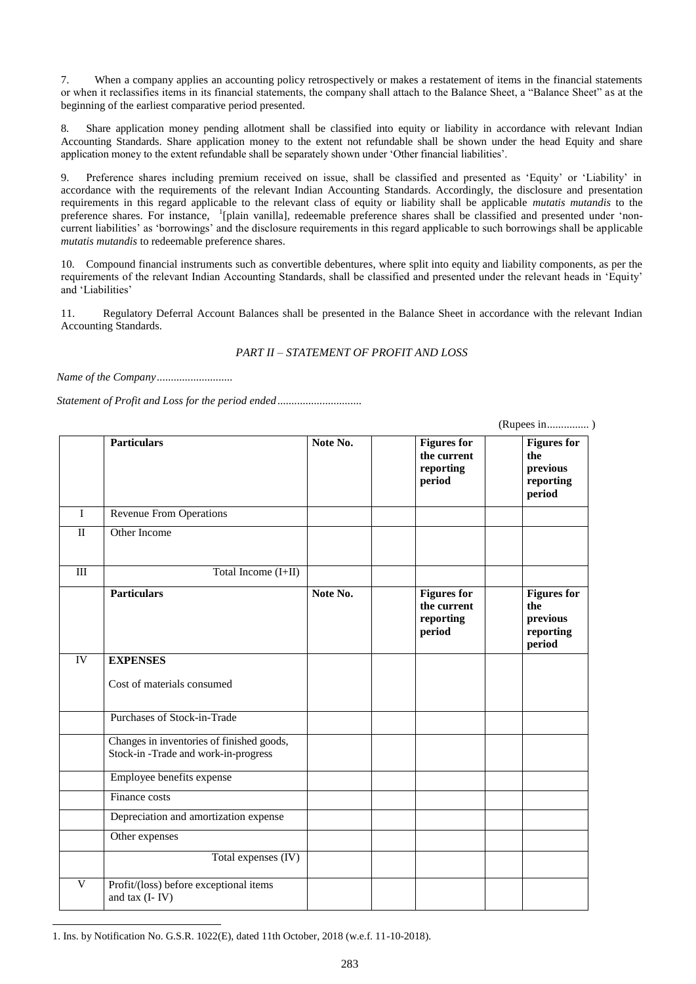7. When a company applies an accounting policy retrospectively or makes a restatement of items in the financial statements or when it reclassifies items in its financial statements, the company shall attach to the Balance Sheet, a "Balance Sheet" as at the beginning of the earliest comparative period presented.

8. Share application money pending allotment shall be classified into equity or liability in accordance with relevant Indian Accounting Standards. Share application money to the extent not refundable shall be shown under the head Equity and share application money to the extent refundable shall be separately shown under 'Other financial liabilities'.

9. Preference shares including premium received on issue, shall be classified and presented as 'Equity' or 'Liability' in accordance with the requirements of the relevant Indian Accounting Standards. Accordingly, the disclosure and presentation requirements in this regard applicable to the relevant class of equity or liability shall be applicable *mutatis mutandis* to the preference shares. For instance, <sup>1</sup>[plain vanilla], redeemable preference shares shall be classified and presented under 'noncurrent liabilities' as ‗borrowings' and the disclosure requirements in this regard applicable to such borrowings shall be applicable *mutatis mutandis* to redeemable preference shares.

10. Compound financial instruments such as convertible debentures, where split into equity and liability components, as per the requirements of the relevant Indian Accounting Standards, shall be classified and presented under the relevant heads in 'Equity' and 'Liabilities'

11. Regulatory Deferral Account Balances shall be presented in the Balance Sheet in accordance with the relevant Indian Accounting Standards.

## *PART II – STATEMENT OF PROFIT AND LOSS*

*Name of the Company ...........................*

*Statement of Profit and Loss for the period ended ..............................*

|              | <b>Particulars</b>                                                               | Note No. | <b>Figures for</b><br>the current<br>reporting<br>period | <b>Figures for</b><br>the<br>previous<br>reporting<br>period |
|--------------|----------------------------------------------------------------------------------|----------|----------------------------------------------------------|--------------------------------------------------------------|
| $\mathbf I$  | <b>Revenue From Operations</b>                                                   |          |                                                          |                                                              |
| $\mathbf{I}$ | Other Income                                                                     |          |                                                          |                                                              |
| $\rm III$    | Total Income (I+II)                                                              |          |                                                          |                                                              |
|              | <b>Particulars</b>                                                               | Note No. | <b>Figures</b> for<br>the current<br>reporting<br>period | <b>Figures for</b><br>the<br>previous<br>reporting<br>period |
| <b>IV</b>    | <b>EXPENSES</b>                                                                  |          |                                                          |                                                              |
|              | Cost of materials consumed                                                       |          |                                                          |                                                              |
|              | Purchases of Stock-in-Trade                                                      |          |                                                          |                                                              |
|              | Changes in inventories of finished goods,<br>Stock-in-Trade and work-in-progress |          |                                                          |                                                              |
|              | Employee benefits expense                                                        |          |                                                          |                                                              |
|              | Finance costs                                                                    |          |                                                          |                                                              |
|              | Depreciation and amortization expense                                            |          |                                                          |                                                              |
|              | Other expenses                                                                   |          |                                                          |                                                              |
|              | Total expenses (IV)                                                              |          |                                                          |                                                              |
| $\mathbf{V}$ | Profit/(loss) before exceptional items<br>and tax (I-IV)                         |          |                                                          |                                                              |

<sup>-</sup>1. Ins. by Notification No. G.S.R. 1022(E), dated 11th October, 2018 (w.e.f. 11-10-2018).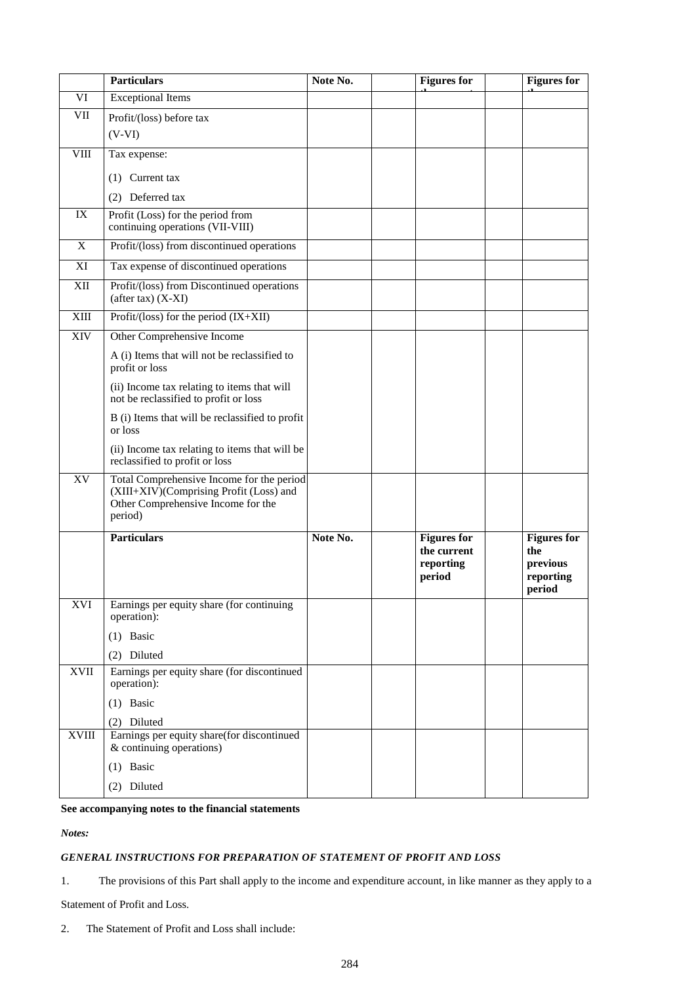|                          | <b>Particulars</b>                                                                                                                    | Note No. | <b>Figures</b> for                                       | <b>Figures</b> for                                           |
|--------------------------|---------------------------------------------------------------------------------------------------------------------------------------|----------|----------------------------------------------------------|--------------------------------------------------------------|
| $\overline{\rm VI}$      | <b>Exceptional Items</b>                                                                                                              |          |                                                          |                                                              |
| VII                      | Profit/(loss) before tax                                                                                                              |          |                                                          |                                                              |
|                          | $(V-VI)$                                                                                                                              |          |                                                          |                                                              |
| $\overline{\text{VIII}}$ | Tax expense:                                                                                                                          |          |                                                          |                                                              |
|                          | $(1)$ Current tax                                                                                                                     |          |                                                          |                                                              |
|                          | (2) Deferred tax                                                                                                                      |          |                                                          |                                                              |
| IX                       | Profit (Loss) for the period from<br>continuing operations (VII-VIII)                                                                 |          |                                                          |                                                              |
| $\overline{X}$           | Profit/(loss) from discontinued operations                                                                                            |          |                                                          |                                                              |
| XI                       | Tax expense of discontinued operations                                                                                                |          |                                                          |                                                              |
| $\overline{XII}$         | Profit/(loss) from Discontinued operations<br>$(after tax) (X-XI)$                                                                    |          |                                                          |                                                              |
| XIII                     | Profit/(loss) for the period $(IX+XII)$                                                                                               |          |                                                          |                                                              |
| <b>XIV</b>               | Other Comprehensive Income                                                                                                            |          |                                                          |                                                              |
|                          | A (i) Items that will not be reclassified to<br>profit or loss                                                                        |          |                                                          |                                                              |
|                          | (ii) Income tax relating to items that will<br>not be reclassified to profit or loss                                                  |          |                                                          |                                                              |
|                          | B (i) Items that will be reclassified to profit<br>or loss                                                                            |          |                                                          |                                                              |
|                          | (ii) Income tax relating to items that will be<br>reclassified to profit or loss                                                      |          |                                                          |                                                              |
| XV                       | Total Comprehensive Income for the period<br>(XIII+XIV)(Comprising Profit (Loss) and<br>Other Comprehensive Income for the<br>period) |          |                                                          |                                                              |
|                          | <b>Particulars</b>                                                                                                                    | Note No. | <b>Figures</b> for<br>the current<br>reporting<br>period | <b>Figures</b> for<br>the<br>previous<br>reporting<br>period |
| <b>XVI</b>               | Earnings per equity share (for continuing<br>operation):                                                                              |          |                                                          |                                                              |
|                          | $(1)$ Basic                                                                                                                           |          |                                                          |                                                              |
|                          | (2) Diluted                                                                                                                           |          |                                                          |                                                              |
| <b>XVII</b>              | Earnings per equity share (for discontinued<br>operation):                                                                            |          |                                                          |                                                              |
|                          | $(1)$ Basic                                                                                                                           |          |                                                          |                                                              |
|                          | (2) Diluted                                                                                                                           |          |                                                          |                                                              |
| <b>XVIII</b>             | Earnings per equity share(for discontinued<br>& continuing operations)                                                                |          |                                                          |                                                              |
|                          | $(1)$ Basic                                                                                                                           |          |                                                          |                                                              |
|                          | (2) Diluted                                                                                                                           |          |                                                          |                                                              |

**See accompanying notes to the financial statements**

*Notes:*

## *GENERAL INSTRUCTIONS FOR PREPARATION OF STATEMENT OF PROFIT AND LOSS*

1. The provisions of this Part shall apply to the income and expenditure account, in like manner as they apply to a

Statement of Profit and Loss.

2. The Statement of Profit and Loss shall include: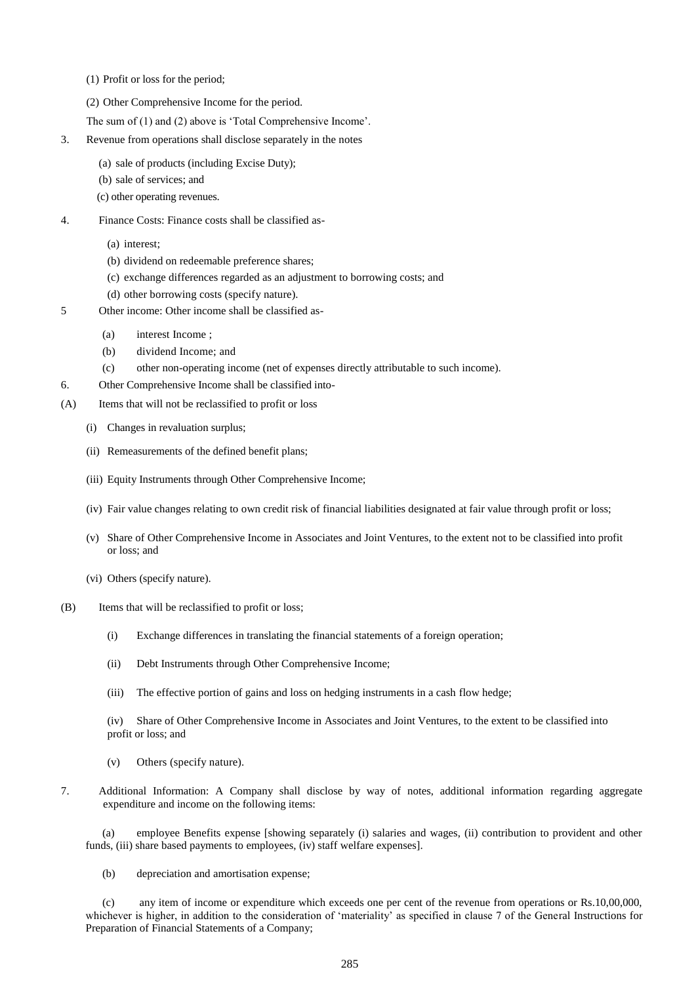(1) Profit or loss for the period;

(2) Other Comprehensive Income for the period.

The sum of (1) and (2) above is 'Total Comprehensive Income'.

- 3. Revenue from operations shall disclose separately in the notes
	- (a) sale of products (including Excise Duty);
	- (b) sale of services; and
	- (c) other operating revenues.
- 4. Finance Costs: Finance costs shall be classified as-
	- (a) interest;
	- (b) dividend on redeemable preference shares;
	- (c) exchange differences regarded as an adjustment to borrowing costs; and
	- (d) other borrowing costs (specify nature).
- 5 Other income: Other income shall be classified as-
	- (a) interest Income ;
	- (b) dividend Income; and
	- (c) other non-operating income (net of expenses directly attributable to such income).
- 6. Other Comprehensive Income shall be classified into-
- (A) Items that will not be reclassified to profit or loss
	- (i) Changes in revaluation surplus;
	- (ii) Remeasurements of the defined benefit plans;
	- (iii) Equity Instruments through Other Comprehensive Income;
	- (iv) Fair value changes relating to own credit risk of financial liabilities designated at fair value through profit or loss;
	- (v) Share of Other Comprehensive Income in Associates and Joint Ventures, to the extent not to be classified into profit or loss; and
	- (vi) Others (specify nature).
- (B) Items that will be reclassified to profit or loss;
	- (i) Exchange differences in translating the financial statements of a foreign operation;
	- (ii) Debt Instruments through Other Comprehensive Income;
	- (iii) The effective portion of gains and loss on hedging instruments in a cash flow hedge;

(iv) Share of Other Comprehensive Income in Associates and Joint Ventures, to the extent to be classified into profit or loss; and

- (v) Others (specify nature).
- 7. Additional Information: A Company shall disclose by way of notes, additional information regarding aggregate expenditure and income on the following items:

(a) employee Benefits expense [showing separately (i) salaries and wages, (ii) contribution to provident and other funds, (iii) share based payments to employees, (iv) staff welfare expenses].

(b) depreciation and amortisation expense;

(c) any item of income or expenditure which exceeds one per cent of the revenue from operations or Rs.10,00,000, whichever is higher, in addition to the consideration of 'materiality' as specified in clause 7 of the General Instructions for Preparation of Financial Statements of a Company;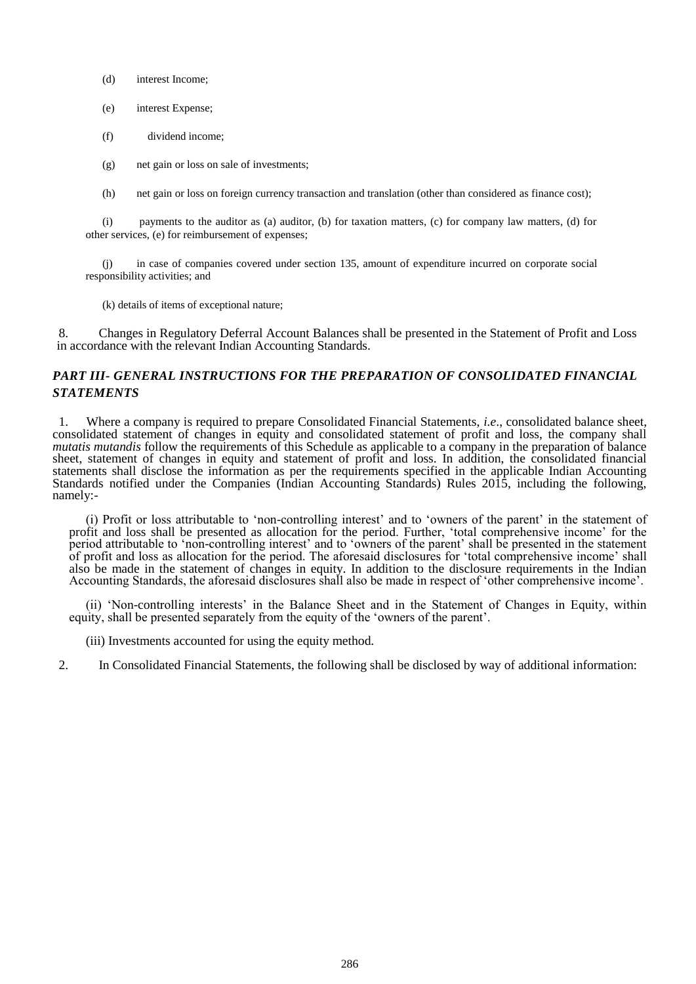- (d) interest Income;
- (e) interest Expense;
- (f) dividend income;
- (g) net gain or loss on sale of investments;

(h) net gain or loss on foreign currency transaction and translation (other than considered as finance cost);

(i) payments to the auditor as (a) auditor, (b) for taxation matters, (c) for company law matters, (d) for other services, (e) for reimbursement of expenses;

(j) in case of companies covered under section 135, amount of expenditure incurred on corporate social responsibility activities; and

(k) details of items of exceptional nature;

8. Changes in Regulatory Deferral Account Balances shall be presented in the Statement of Profit and Loss in accordance with the relevant Indian Accounting Standards.

# *PART III- GENERAL INSTRUCTIONS FOR THE PREPARATION OF CONSOLIDATED FINANCIAL STATEMENTS*

1. Where a company is required to prepare Consolidated Financial Statements, *i.e*., consolidated balance sheet, consolidated statement of changes in equity and consolidated statement of profit and loss, the company shall *mutatis mutandis* follow the requirements of this Schedule as applicable to a company in the preparation of balance sheet, statement of changes in equity and statement of profit and loss. In addition, the consolidated financial statements shall disclose the information as per the requirements specified in the applicable Indian Accounting Standards notified under the Companies (Indian Accounting Standards) Rules 2015, including the following, namely:-

(i) Profit or loss attributable to 'non-controlling interest' and to 'owners of the parent' in the statement of profit and loss shall be presented as allocation for the period. Further, ‗total comprehensive income' for the period attributable to 'non-controlling interest' and to 'owners of the parent' shall be presented in the statement of profit and loss as allocation for the period. The aforesaid disclosures for ‗total comprehensive income' shall also be made in the statement of changes in equity. In addition to the disclosure requirements in the Indian Accounting Standards, the aforesaid disclosures shall also be made in respect of 'other comprehensive income'.

(ii) ‗Non-controlling interests' in the Balance Sheet and in the Statement of Changes in Equity, within equity, shall be presented separately from the equity of the 'owners of the parent'.

(iii) Investments accounted for using the equity method.

2. In Consolidated Financial Statements, the following shall be disclosed by way of additional information: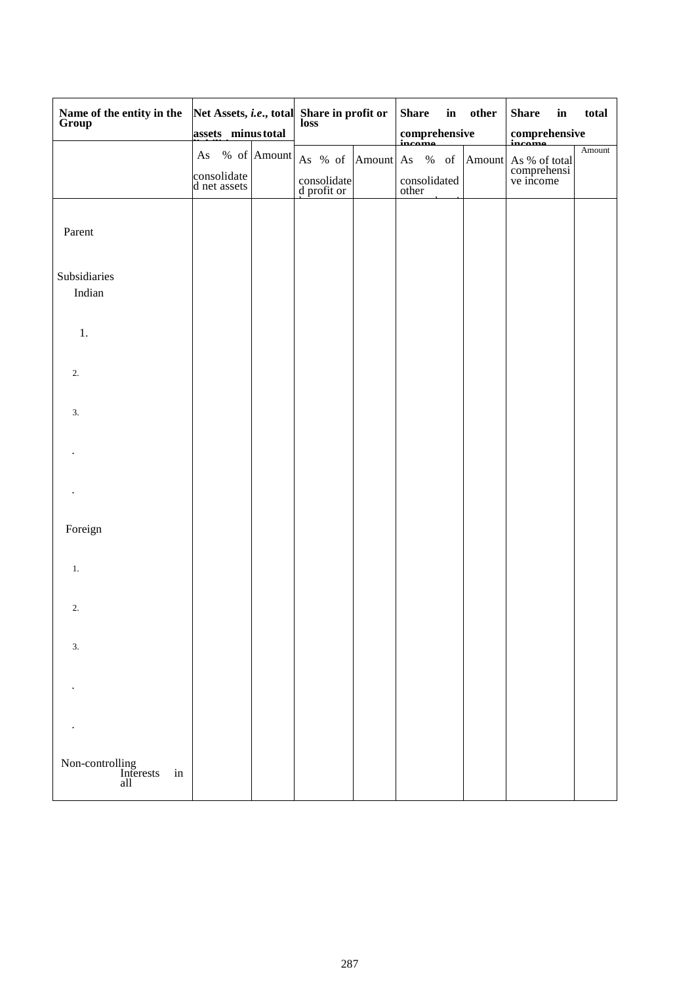| Name of the entity in the<br>Group        | Net Assets, i.e., total                       | Share in profit or<br>loss                         | <b>Share</b><br>other<br>$\mathbf{in}$  | <b>Share</b><br>$\mathbf{in}$<br>total              |  |  |
|-------------------------------------------|-----------------------------------------------|----------------------------------------------------|-----------------------------------------|-----------------------------------------------------|--|--|
|                                           | assets minus total                            |                                                    | comprehensive<br>income                 | comprehensive<br>income                             |  |  |
|                                           | As % of Amount<br>consolidate<br>d net assets | As % of<br>Amount As<br>consolidate<br>d profit or | % of<br>Amount<br>consolidated<br>other | Amount<br>As % of total<br>comprehensi<br>ve income |  |  |
| Parent                                    |                                               |                                                    |                                         |                                                     |  |  |
|                                           |                                               |                                                    |                                         |                                                     |  |  |
| Subsidiaries                              |                                               |                                                    |                                         |                                                     |  |  |
| Indian                                    |                                               |                                                    |                                         |                                                     |  |  |
| 1.                                        |                                               |                                                    |                                         |                                                     |  |  |
| 2.                                        |                                               |                                                    |                                         |                                                     |  |  |
| 3.                                        |                                               |                                                    |                                         |                                                     |  |  |
|                                           |                                               |                                                    |                                         |                                                     |  |  |
|                                           |                                               |                                                    |                                         |                                                     |  |  |
| Foreign                                   |                                               |                                                    |                                         |                                                     |  |  |
| $1. \,$                                   |                                               |                                                    |                                         |                                                     |  |  |
| 2.                                        |                                               |                                                    |                                         |                                                     |  |  |
| 3.                                        |                                               |                                                    |                                         |                                                     |  |  |
| $\bullet$                                 |                                               |                                                    |                                         |                                                     |  |  |
| $\ddot{\phantom{0}}$                      |                                               |                                                    |                                         |                                                     |  |  |
| Non-controlling<br>Interests<br>all<br>in |                                               |                                                    |                                         |                                                     |  |  |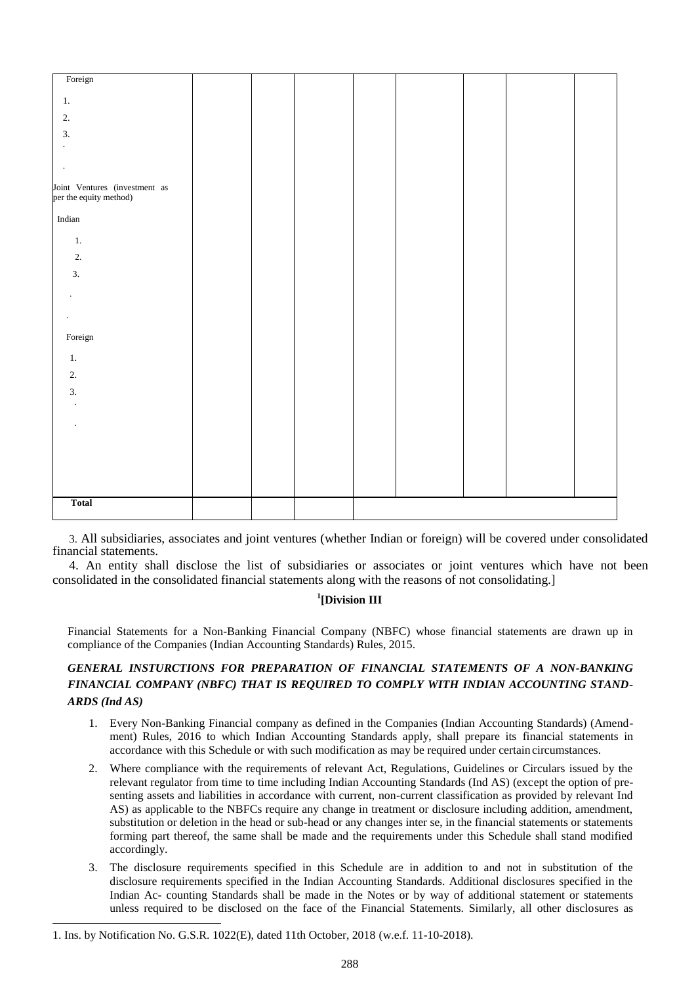| Foreign                                                 |  |  |  |  |
|---------------------------------------------------------|--|--|--|--|
| $1. \,$                                                 |  |  |  |  |
| 2.                                                      |  |  |  |  |
| 3.                                                      |  |  |  |  |
| $\mathbf{r}$                                            |  |  |  |  |
|                                                         |  |  |  |  |
| Joint Ventures (investment as<br>per the equity method) |  |  |  |  |
| $\operatorname{Indian}$                                 |  |  |  |  |
| $1. \,$                                                 |  |  |  |  |
| 2.                                                      |  |  |  |  |
| 3.                                                      |  |  |  |  |
| ×                                                       |  |  |  |  |
| $\blacksquare$                                          |  |  |  |  |
| Foreign                                                 |  |  |  |  |
| 1.                                                      |  |  |  |  |
| $\overline{2}$ .                                        |  |  |  |  |
| 3.                                                      |  |  |  |  |
|                                                         |  |  |  |  |
|                                                         |  |  |  |  |
|                                                         |  |  |  |  |
|                                                         |  |  |  |  |
|                                                         |  |  |  |  |
| <b>Total</b>                                            |  |  |  |  |
|                                                         |  |  |  |  |

3. All subsidiaries, associates and joint ventures (whether Indian or foreign) will be covered under consolidated financial statements.

4. An entity shall disclose the list of subsidiaries or associates or joint ventures which have not been consolidated in the consolidated financial statements along with the reasons of not consolidating.]

# **1 [Division III**

Financial Statements for a Non-Banking Financial Company (NBFC) whose financial statements are drawn up in compliance of the Companies (Indian Accounting Standards) Rules, 2015.

# *GENERAL INSTURCTIONS FOR PREPARATION OF FINANCIAL STATEMENTS OF A NON-BANKING FINANCIAL COMPANY (NBFC) THAT IS REQUIRED TO COMPLY WITH INDIAN ACCOUNTING STAND-ARDS (Ind AS)*

- 1. Every Non-Banking Financial company as defined in the Companies (Indian Accounting Standards) (Amendment) Rules, 2016 to which Indian Accounting Standards apply, shall prepare its financial statements in accordance with this Schedule or with such modification as may be required under certain circumstances.
- 2. Where compliance with the requirements of relevant Act, Regulations, Guidelines or Circulars issued by the relevant regulator from time to time including Indian Accounting Standards (Ind AS) (except the option of presenting assets and liabilities in accordance with current, non-current classification as provided by relevant Ind AS) as applicable to the NBFCs require any change in treatment or disclosure including addition, amendment, substitution or deletion in the head or sub-head or any changes inter se, in the financial statements or statements forming part thereof, the same shall be made and the requirements under this Schedule shall stand modified accordingly.
- 3. The disclosure requirements specified in this Schedule are in addition to and not in substitution of the disclosure requirements specified in the Indian Accounting Standards. Additional disclosures specified in the Indian Ac- counting Standards shall be made in the Notes or by way of additional statement or statements unless required to be disclosed on the face of the Financial Statements. Similarly, all other disclosures as

-

<sup>1.</sup> Ins. by Notification No. G.S.R. 1022(E), dated 11th October, 2018 (w.e.f. 11-10-2018).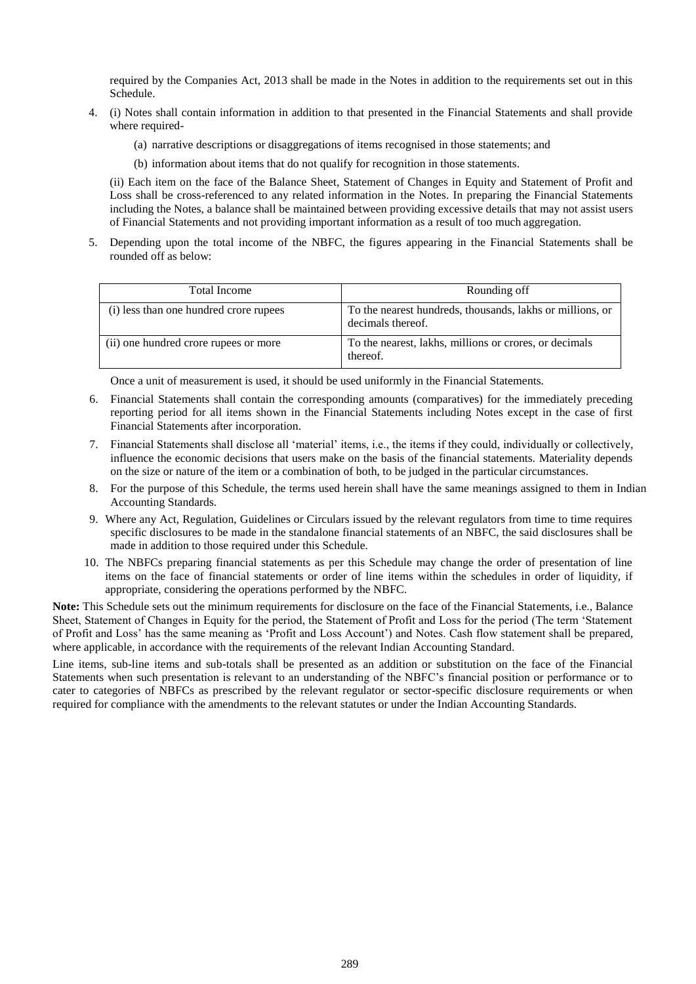required by the Companies Act, 2013 shall be made in the Notes in addition to the requirements set out in this Schedule.

- 4. (i) Notes shall contain information in addition to that presented in the Financial Statements and shall provide where required-
	- (a) narrative descriptions or disaggregations of items recognised in those statements; and
	- (b) information about items that do not qualify for recognition in those statements.

(ii) Each item on the face of the Balance Sheet, Statement of Changes in Equity and Statement of Profit and Loss shall be cross-referenced to any related information in the Notes. In preparing the Financial Statements including the Notes, a balance shall be maintained between providing excessive details that may not assist users of Financial Statements and not providing important information as a result of too much aggregation.

5. Depending upon the total income of the NBFC, the figures appearing in the Financial Statements shall be rounded off as below:

| <b>Total Income</b>                    | Rounding off                                                                   |
|----------------------------------------|--------------------------------------------------------------------------------|
| (i) less than one hundred crore rupees | To the nearest hundreds, thousands, lakhs or millions, or<br>decimals thereof. |
| (ii) one hundred crore rupees or more  | To the nearest, lakhs, millions or crores, or decimals<br>thereof.             |

Once a unit of measurement is used, it should be used uniformly in the Financial Statements.

- 6. Financial Statements shall contain the corresponding amounts (comparatives) for the immediately preceding reporting period for all items shown in the Financial Statements including Notes except in the case of first Financial Statements after incorporation.
- 7. Financial Statements shall disclose all ‗material' items, i.e., the items if they could, individually or collectively, influence the economic decisions that users make on the basis of the financial statements. Materiality depends on the size or nature of the item or a combination of both, to be judged in the particular circumstances.
- 8. For the purpose of this Schedule, the terms used herein shall have the same meanings assigned to them in Indian Accounting Standards.
- 9. Where any Act, Regulation, Guidelines or Circulars issued by the relevant regulators from time to time requires specific disclosures to be made in the standalone financial statements of an NBFC, the said disclosures shall be made in addition to those required under this Schedule.
- 10. The NBFCs preparing financial statements as per this Schedule may change the order of presentation of line items on the face of financial statements or order of line items within the schedules in order of liquidity, if appropriate, considering the operations performed by the NBFC.

**Note:** This Schedule sets out the minimum requirements for disclosure on the face of the Financial Statements, i.e., Balance Sheet, Statement of Changes in Equity for the period, the Statement of Profit and Loss for the period (The term 'Statement of Profit and Loss' has the same meaning as ‗Profit and Loss Account') and Notes. Cash flow statement shall be prepared, where applicable, in accordance with the requirements of the relevant Indian Accounting Standard.

Line items, sub-line items and sub-totals shall be presented as an addition or substitution on the face of the Financial Statements when such presentation is relevant to an understanding of the NBFC's financial position or performance or to cater to categories of NBFCs as prescribed by the relevant regulator or sector-specific disclosure requirements or when required for compliance with the amendments to the relevant statutes or under the Indian Accounting Standards.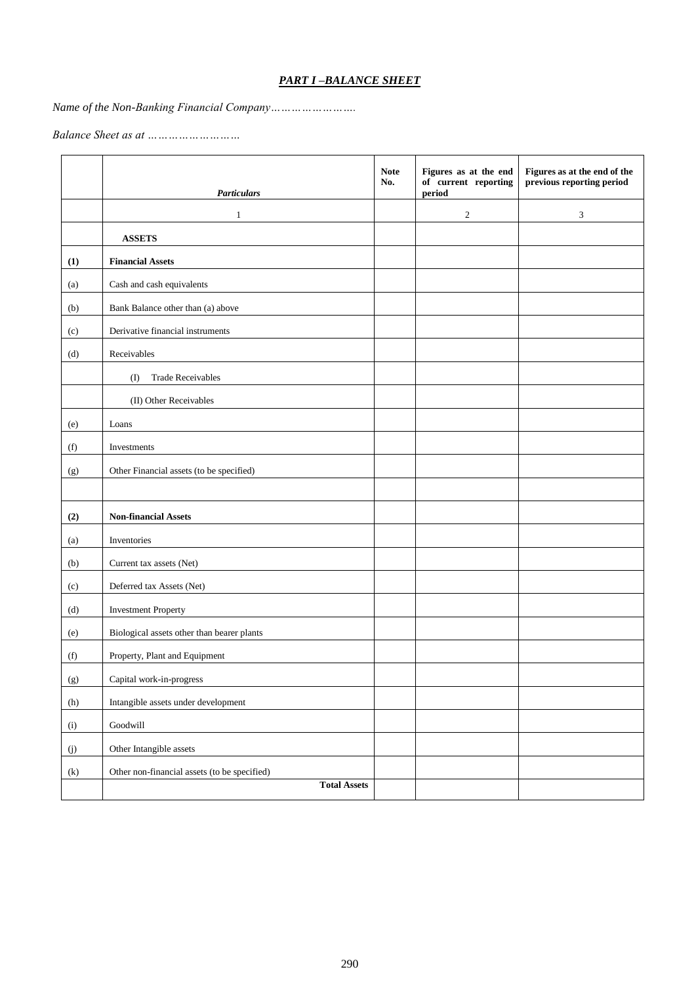# *PART I –BALANCE SHEET*

*Name of the Non-Banking Financial Company…………………….*

*Balance Sheet as at ………………………*

|                            | <b>Particulars</b>                           | <b>Note</b><br>No. | Figures as at the end<br>of current reporting<br>period | Figures as at the end of the<br>previous reporting period |
|----------------------------|----------------------------------------------|--------------------|---------------------------------------------------------|-----------------------------------------------------------|
|                            | $\mathbf{1}$                                 |                    | $\boldsymbol{2}$                                        | 3                                                         |
|                            | <b>ASSETS</b>                                |                    |                                                         |                                                           |
| (1)                        | <b>Financial Assets</b>                      |                    |                                                         |                                                           |
| (a)                        | Cash and cash equivalents                    |                    |                                                         |                                                           |
| (b)                        | Bank Balance other than (a) above            |                    |                                                         |                                                           |
| (c)                        | Derivative financial instruments             |                    |                                                         |                                                           |
| (d)                        | Receivables                                  |                    |                                                         |                                                           |
|                            | (1)<br><b>Trade Receivables</b>              |                    |                                                         |                                                           |
|                            | (II) Other Receivables                       |                    |                                                         |                                                           |
| (e)                        | Loans                                        |                    |                                                         |                                                           |
| (f)                        | Investments                                  |                    |                                                         |                                                           |
| (g)                        | Other Financial assets (to be specified)     |                    |                                                         |                                                           |
|                            |                                              |                    |                                                         |                                                           |
| (2)                        | <b>Non-financial Assets</b>                  |                    |                                                         |                                                           |
| (a)                        | Inventories                                  |                    |                                                         |                                                           |
| (b)                        | Current tax assets (Net)                     |                    |                                                         |                                                           |
| (c)                        | Deferred tax Assets (Net)                    |                    |                                                         |                                                           |
| (d)                        | <b>Investment Property</b>                   |                    |                                                         |                                                           |
| (e)                        | Biological assets other than bearer plants   |                    |                                                         |                                                           |
| (f)                        | Property, Plant and Equipment                |                    |                                                         |                                                           |
| (g)                        | Capital work-in-progress                     |                    |                                                         |                                                           |
| (h)                        | Intangible assets under development          |                    |                                                         |                                                           |
| (i)                        | $\operatorname{Good}$                        |                    |                                                         |                                                           |
| (j)                        | Other Intangible assets                      |                    |                                                         |                                                           |
| $\left( \mathbf{k}\right)$ | Other non-financial assets (to be specified) |                    |                                                         |                                                           |
|                            | <b>Total Assets</b>                          |                    |                                                         |                                                           |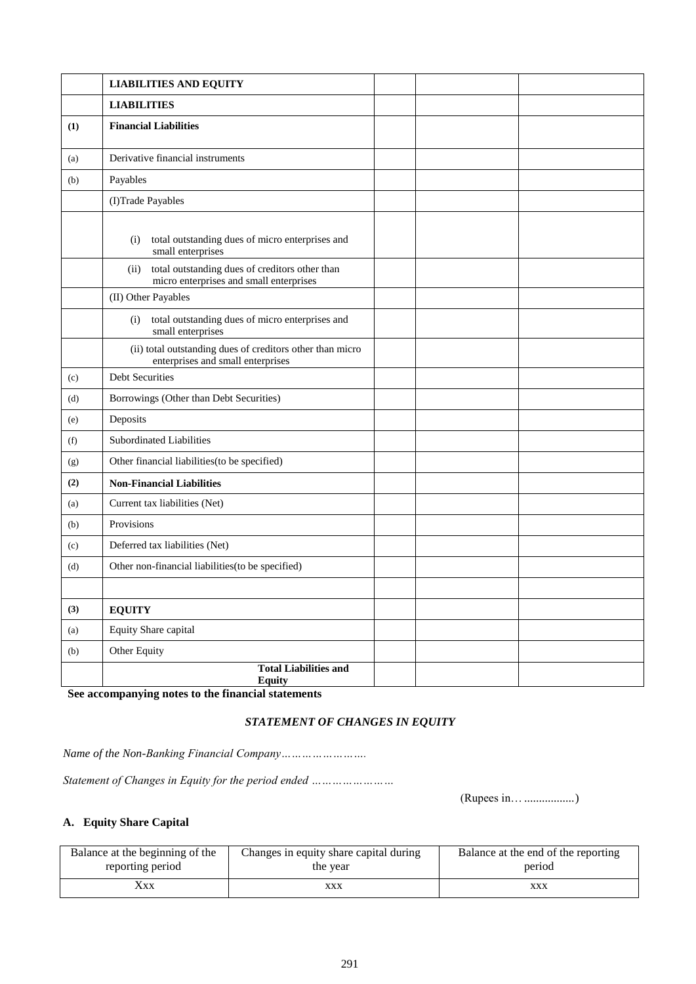|     | <b>LIABILITIES AND EQUITY</b>                                                                                                         |  |
|-----|---------------------------------------------------------------------------------------------------------------------------------------|--|
|     | <b>LIABILITIES</b>                                                                                                                    |  |
| (1) | <b>Financial Liabilities</b>                                                                                                          |  |
| (a) | Derivative financial instruments                                                                                                      |  |
| (b) | Payables                                                                                                                              |  |
|     | (I)Trade Payables                                                                                                                     |  |
|     | total outstanding dues of micro enterprises and<br>(i)<br>small enterprises<br>total outstanding dues of creditors other than<br>(ii) |  |
|     | micro enterprises and small enterprises                                                                                               |  |
|     | (II) Other Payables                                                                                                                   |  |
|     | total outstanding dues of micro enterprises and<br>(i)<br>small enterprises                                                           |  |
|     | (ii) total outstanding dues of creditors other than micro<br>enterprises and small enterprises                                        |  |
| (c) | <b>Debt Securities</b>                                                                                                                |  |
| (d) | Borrowings (Other than Debt Securities)                                                                                               |  |
| (e) | Deposits                                                                                                                              |  |
| (f) | <b>Subordinated Liabilities</b>                                                                                                       |  |
| (g) | Other financial liabilities (to be specified)                                                                                         |  |
| (2) | <b>Non-Financial Liabilities</b>                                                                                                      |  |
| (a) | Current tax liabilities (Net)                                                                                                         |  |
| (b) | Provisions                                                                                                                            |  |
| (c) | Deferred tax liabilities (Net)                                                                                                        |  |
| (d) | Other non-financial liabilities (to be specified)                                                                                     |  |
|     |                                                                                                                                       |  |
| (3) | <b>EQUITY</b>                                                                                                                         |  |
| (a) | Equity Share capital                                                                                                                  |  |
| (b) | Other Equity                                                                                                                          |  |
|     | <b>Total Liabilities and</b><br><b>Equity</b>                                                                                         |  |

**See accompanying notes to the financial statements**

# *STATEMENT OF CHANGES IN EQUITY*

*Name of the Non-Banking Financial Company…………………….*

*Statement of Changes in Equity for the period ended ……………………*

(Rupees in… .................)

# **A. Equity Share Capital**

| Balance at the beginning of the | Changes in equity share capital during | Balance at the end of the reporting |
|---------------------------------|----------------------------------------|-------------------------------------|
| reporting period                | the year                               | period                              |
| Xxx                             | xxx                                    | xxx                                 |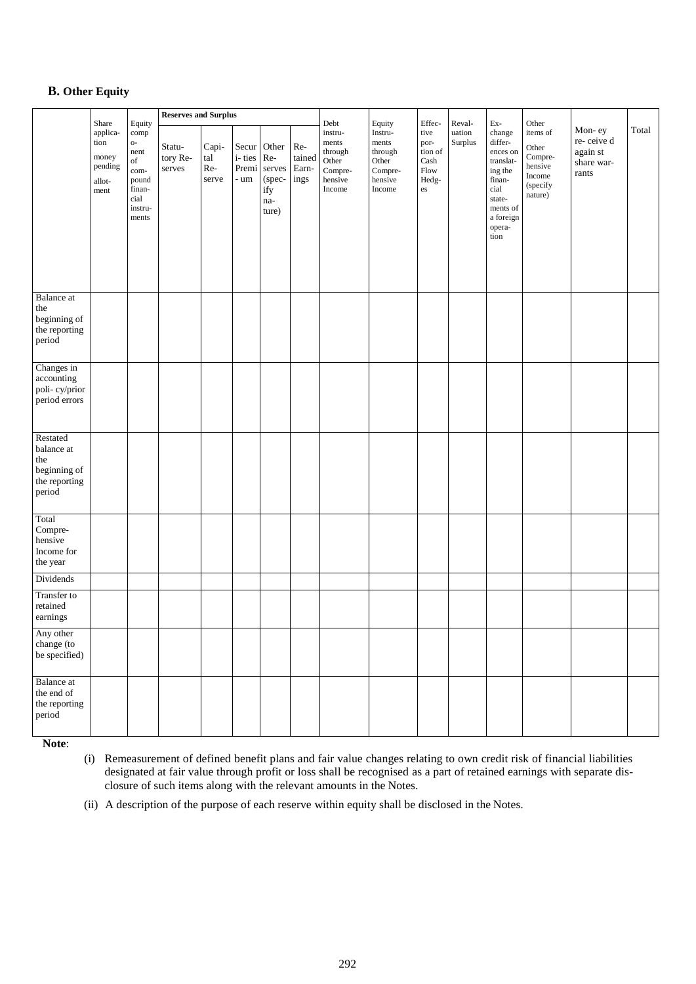# **B. Other Equity**

| Share<br>applica-<br>tion<br>money<br>allot-<br>ment                     |         |                                                                                                           | <b>Reserves and Surplus</b>  |                              |                                                         |                                                         |                                |                                                                                                      |                                                                                |                                                                        |                             |                                                                                                                                                         |                                                                                   |                                                         |       |
|--------------------------------------------------------------------------|---------|-----------------------------------------------------------------------------------------------------------|------------------------------|------------------------------|---------------------------------------------------------|---------------------------------------------------------|--------------------------------|------------------------------------------------------------------------------------------------------|--------------------------------------------------------------------------------|------------------------------------------------------------------------|-----------------------------|---------------------------------------------------------------------------------------------------------------------------------------------------------|-----------------------------------------------------------------------------------|---------------------------------------------------------|-------|
|                                                                          | pending | Equity<br>comp<br>$O-$<br>nent<br>$_{\mathrm{of}}$<br>com-<br>pound<br>finan-<br>cial<br>instru-<br>ments | Statu-<br>tory Re-<br>serves | Capi-<br>tal<br>Re-<br>serve | Secur<br>i-ties<br>Premi<br>$\mbox{-}\operatorname{um}$ | Other<br>Re-<br>serves<br>(spec-<br>ify<br>na-<br>ture) | Re-<br>tained<br>Earn-<br>ings | Debt<br>instru-<br>$\mathop{\rm ments}\nolimits$<br>through<br>Other<br>Compre-<br>hensive<br>Income | Equity<br>Instru-<br>ments<br>through<br>Other<br>Compre-<br>hensive<br>Income | Effec-<br>tive<br>por-<br>tion of<br>Cash<br>Flow<br>Hedg-<br>$\rm es$ | Reval-<br>uation<br>Surplus | $\mathop{\textrm{Ex-}}$<br>change<br>differ-<br>ences on<br>translat-<br>ing the<br>finan-<br>cial<br>state-<br>ments of<br>a foreign<br>opera-<br>tion | Other<br>items of<br>Other<br>Compre-<br>hensive<br>Income<br>(specify<br>nature) | Mon-ey<br>re-ceive d<br>again st<br>share war-<br>rants | Total |
| <b>Balance</b> at<br>the<br>beginning of<br>the reporting<br>period      |         |                                                                                                           |                              |                              |                                                         |                                                         |                                |                                                                                                      |                                                                                |                                                                        |                             |                                                                                                                                                         |                                                                                   |                                                         |       |
| Changes in<br>accounting<br>poli-cy/prior<br>period errors               |         |                                                                                                           |                              |                              |                                                         |                                                         |                                |                                                                                                      |                                                                                |                                                                        |                             |                                                                                                                                                         |                                                                                   |                                                         |       |
| Restated<br>balance at<br>the<br>beginning of<br>the reporting<br>period |         |                                                                                                           |                              |                              |                                                         |                                                         |                                |                                                                                                      |                                                                                |                                                                        |                             |                                                                                                                                                         |                                                                                   |                                                         |       |
| Total<br>Compre-<br>hensive<br>Income for<br>the year                    |         |                                                                                                           |                              |                              |                                                         |                                                         |                                |                                                                                                      |                                                                                |                                                                        |                             |                                                                                                                                                         |                                                                                   |                                                         |       |
| Dividends                                                                |         |                                                                                                           |                              |                              |                                                         |                                                         |                                |                                                                                                      |                                                                                |                                                                        |                             |                                                                                                                                                         |                                                                                   |                                                         |       |
| Transfer to<br>retained<br>earnings                                      |         |                                                                                                           |                              |                              |                                                         |                                                         |                                |                                                                                                      |                                                                                |                                                                        |                             |                                                                                                                                                         |                                                                                   |                                                         |       |
| Any other<br>change (to<br>be specified)                                 |         |                                                                                                           |                              |                              |                                                         |                                                         |                                |                                                                                                      |                                                                                |                                                                        |                             |                                                                                                                                                         |                                                                                   |                                                         |       |
| <b>Balance</b> at<br>the end of<br>the reporting<br>period               |         |                                                                                                           |                              |                              |                                                         |                                                         |                                |                                                                                                      |                                                                                |                                                                        |                             |                                                                                                                                                         |                                                                                   |                                                         |       |

**Note**:

(i) Remeasurement of defined benefit plans and fair value changes relating to own credit risk of financial liabilities designated at fair value through profit or loss shall be recognised as a part of retained earnings with separate disclosure of such items along with the relevant amounts in the Notes.

(ii) A description of the purpose of each reserve within equity shall be disclosed in the Notes.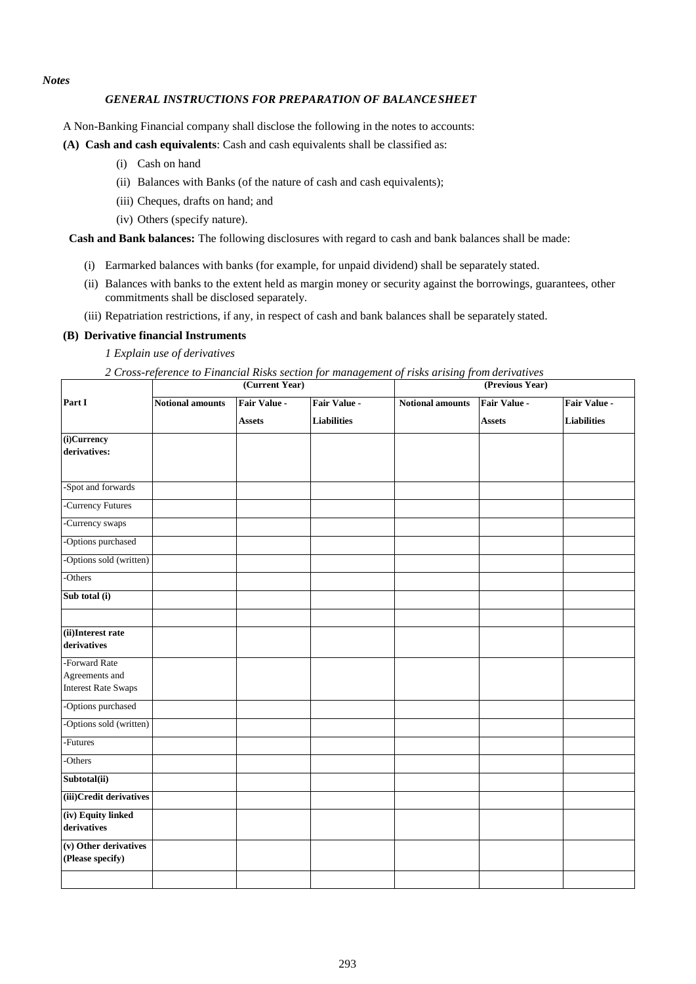*Notes*

# *GENERAL INSTRUCTIONS FOR PREPARATION OF BALANCESHEET*

A Non-Banking Financial company shall disclose the following in the notes to accounts:

- **(A) Cash and cash equivalents**: Cash and cash equivalents shall be classified as:
	- (i) Cash on hand
	- (ii) Balances with Banks (of the nature of cash and cash equivalents);
	- (iii) Cheques, drafts on hand; and
	- (iv) Others (specify nature).

**Cash and Bank balances:** The following disclosures with regard to cash and bank balances shall be made:

- (i) Earmarked balances with banks (for example, for unpaid dividend) shall be separately stated.
- (ii) Balances with banks to the extent held as margin money or security against the borrowings, guarantees, other commitments shall be disclosed separately.
- (iii) Repatriation restrictions, if any, in respect of cash and bank balances shall be separately stated.

## **(B) Derivative financial Instruments**

*1 Explain use of derivatives*

*2 Cross-reference to Financial Risks section for management of risks arising from derivatives*

|                                              |                         | (Current Year) |                     | (Previous Year)         |                     |                     |  |  |
|----------------------------------------------|-------------------------|----------------|---------------------|-------------------------|---------------------|---------------------|--|--|
| Part I                                       | <b>Notional amounts</b> | Fair Value -   | <b>Fair Value -</b> | <b>Notional amounts</b> | <b>Fair Value -</b> | <b>Fair Value -</b> |  |  |
|                                              |                         | <b>Assets</b>  | <b>Liabilities</b>  |                         | <b>Assets</b>       | <b>Liabilities</b>  |  |  |
| (i)Currency                                  |                         |                |                     |                         |                     |                     |  |  |
| derivatives:                                 |                         |                |                     |                         |                     |                     |  |  |
|                                              |                         |                |                     |                         |                     |                     |  |  |
| -Spot and forwards                           |                         |                |                     |                         |                     |                     |  |  |
| -Currency Futures                            |                         |                |                     |                         |                     |                     |  |  |
| -Currency swaps                              |                         |                |                     |                         |                     |                     |  |  |
| -Options purchased                           |                         |                |                     |                         |                     |                     |  |  |
| -Options sold (written)                      |                         |                |                     |                         |                     |                     |  |  |
| -Others                                      |                         |                |                     |                         |                     |                     |  |  |
| Sub total (i)                                |                         |                |                     |                         |                     |                     |  |  |
|                                              |                         |                |                     |                         |                     |                     |  |  |
| (ii)Interest rate                            |                         |                |                     |                         |                     |                     |  |  |
| derivatives                                  |                         |                |                     |                         |                     |                     |  |  |
| -Forward Rate                                |                         |                |                     |                         |                     |                     |  |  |
| Agreements and<br><b>Interest Rate Swaps</b> |                         |                |                     |                         |                     |                     |  |  |
|                                              |                         |                |                     |                         |                     |                     |  |  |
| -Options purchased                           |                         |                |                     |                         |                     |                     |  |  |
| -Options sold (written)                      |                         |                |                     |                         |                     |                     |  |  |
| -Futures                                     |                         |                |                     |                         |                     |                     |  |  |
| -Others                                      |                         |                |                     |                         |                     |                     |  |  |
| Subtotal(ii)                                 |                         |                |                     |                         |                     |                     |  |  |
| (iii)Credit derivatives                      |                         |                |                     |                         |                     |                     |  |  |
| (iv) Equity linked                           |                         |                |                     |                         |                     |                     |  |  |
| derivatives                                  |                         |                |                     |                         |                     |                     |  |  |
| (v) Other derivatives                        |                         |                |                     |                         |                     |                     |  |  |
| (Please specify)                             |                         |                |                     |                         |                     |                     |  |  |
|                                              |                         |                |                     |                         |                     |                     |  |  |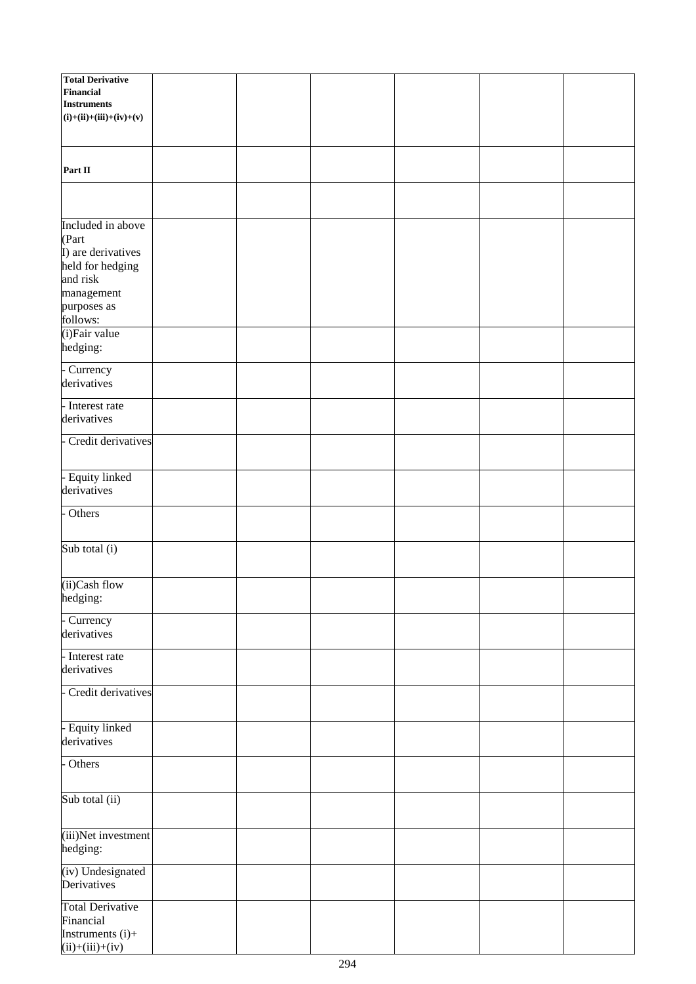| <b>Total Derivative</b>                |  |  |  |
|----------------------------------------|--|--|--|
| <b>Financial</b><br><b>Instruments</b> |  |  |  |
| $(i)+(ii)+(iii)+(iv)+(v)$              |  |  |  |
|                                        |  |  |  |
|                                        |  |  |  |
| Part II                                |  |  |  |
|                                        |  |  |  |
| Included in above                      |  |  |  |
| (Part                                  |  |  |  |
| I) are derivatives                     |  |  |  |
| held for hedging<br>and risk           |  |  |  |
| management                             |  |  |  |
| purposes as                            |  |  |  |
| follows:                               |  |  |  |
| (i)Fair value<br>hedging:              |  |  |  |
| - Currency                             |  |  |  |
| derivatives                            |  |  |  |
| - Interest rate<br>derivatives         |  |  |  |
|                                        |  |  |  |
| Credit derivatives                     |  |  |  |
| - Equity linked                        |  |  |  |
| derivatives                            |  |  |  |
| - Others                               |  |  |  |
| Sub total $(i)$                        |  |  |  |
|                                        |  |  |  |
| $(ii)$ Cash flow                       |  |  |  |
| hedging:                               |  |  |  |
| - Currency                             |  |  |  |
| derivatives                            |  |  |  |
| - Interest rate                        |  |  |  |
| derivatives                            |  |  |  |
| - Credit derivatives                   |  |  |  |
| Equity linked                          |  |  |  |
| derivatives                            |  |  |  |
| Others                                 |  |  |  |
| Sub total (ii)                         |  |  |  |
|                                        |  |  |  |
| (iii)Net investment                    |  |  |  |
| hedging:                               |  |  |  |
| (iv) Undesignated<br>Derivatives       |  |  |  |
| <b>Total Derivative</b>                |  |  |  |
| Financial                              |  |  |  |
| Instruments $(i)$ +                    |  |  |  |
| $(ii)+(iii)+(iv)$                      |  |  |  |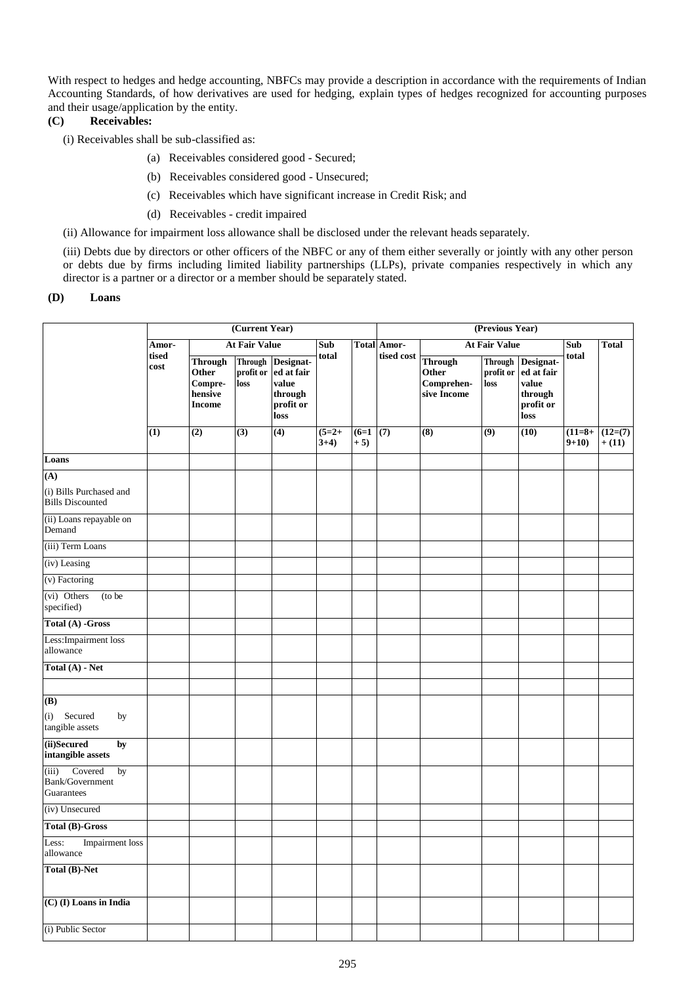With respect to hedges and hedge accounting, NBFCs may provide a description in accordance with the requirements of Indian Accounting Standards, of how derivatives are used for hedging, explain types of hedges recognized for accounting purposes and their usage/application by the entity.

# **(C) Receivables:**

- (i) Receivables shall be sub-classified as:
	- (a) Receivables considered good Secured;
	- (b) Receivables considered good Unsecured;
	- (c) Receivables which have significant increase in Credit Risk; and
	- (d) Receivables credit impaired
- (ii) Allowance for impairment loss allowance shall be disclosed under the relevant heads separately.

(iii) Debts due by directors or other officers of the NBFC or any of them either severally or jointly with any other person or debts due by firms including limited liability partnerships (LLPs), private companies respectively in which any director is a partner or a director or a member should be separately stated.

### **(D) Loans**

|                                                           | (Current Year) |                                                         |                      |                                                                                    |                   |                     |                    | (Previous Year)                                      |                                     |                                                                  |                    |                        |  |  |
|-----------------------------------------------------------|----------------|---------------------------------------------------------|----------------------|------------------------------------------------------------------------------------|-------------------|---------------------|--------------------|------------------------------------------------------|-------------------------------------|------------------------------------------------------------------|--------------------|------------------------|--|--|
|                                                           | Amor-          |                                                         | <b>At Fair Value</b> |                                                                                    | Sub               |                     | <b>Total Amor-</b> |                                                      | <b>At Fair Value</b>                |                                                                  | Sub                | Total                  |  |  |
|                                                           | tised<br>cost  | <b>Through</b><br>Other<br>Compre-<br>hensive<br>Income | loss                 | Through Designat-<br>profit or ed at fair<br>value<br>through<br>profit or<br>loss | total             |                     | tised cost         | <b>Through</b><br>Other<br>Comprehen-<br>sive Income | <b>Through</b><br>profit or<br>loss | Designat-<br>ed at fair<br>value<br>through<br>profit or<br>loss | total              |                        |  |  |
|                                                           | (1)            | $\overline{(2)}$                                        | $\overline{(3)}$     | $\overline{(4)}$                                                                   | $(5=2+$<br>$3+4)$ | $(6=1)(7)$<br>$+5)$ |                    | (8)                                                  | $\overline{(9)}$                    | (10)                                                             | $(11=8+$<br>$9+10$ | $(12=(7))$<br>$+ (11)$ |  |  |
| Loans                                                     |                |                                                         |                      |                                                                                    |                   |                     |                    |                                                      |                                     |                                                                  |                    |                        |  |  |
| (A)<br>(i) Bills Purchased and<br><b>Bills Discounted</b> |                |                                                         |                      |                                                                                    |                   |                     |                    |                                                      |                                     |                                                                  |                    |                        |  |  |
| (ii) Loans repayable on<br>Demand                         |                |                                                         |                      |                                                                                    |                   |                     |                    |                                                      |                                     |                                                                  |                    |                        |  |  |
| (iii) Term Loans                                          |                |                                                         |                      |                                                                                    |                   |                     |                    |                                                      |                                     |                                                                  |                    |                        |  |  |
| (iv) Leasing                                              |                |                                                         |                      |                                                                                    |                   |                     |                    |                                                      |                                     |                                                                  |                    |                        |  |  |
| (v) Factoring                                             |                |                                                         |                      |                                                                                    |                   |                     |                    |                                                      |                                     |                                                                  |                    |                        |  |  |
| $(vi)$ Others<br>$($ to be<br>specified)                  |                |                                                         |                      |                                                                                    |                   |                     |                    |                                                      |                                     |                                                                  |                    |                        |  |  |
| Total (A) -Gross                                          |                |                                                         |                      |                                                                                    |                   |                     |                    |                                                      |                                     |                                                                  |                    |                        |  |  |
| Less: Impairment loss<br>allowance                        |                |                                                         |                      |                                                                                    |                   |                     |                    |                                                      |                                     |                                                                  |                    |                        |  |  |
| Total $(A)$ - Net                                         |                |                                                         |                      |                                                                                    |                   |                     |                    |                                                      |                                     |                                                                  |                    |                        |  |  |
| <b>(B)</b><br>Secured<br>(i)<br>by<br>tangible assets     |                |                                                         |                      |                                                                                    |                   |                     |                    |                                                      |                                     |                                                                  |                    |                        |  |  |
| (ii)Secured<br>by<br>intangible assets                    |                |                                                         |                      |                                                                                    |                   |                     |                    |                                                      |                                     |                                                                  |                    |                        |  |  |
| Covered<br>(iii)<br>by<br>Bank/Government<br>Guarantees   |                |                                                         |                      |                                                                                    |                   |                     |                    |                                                      |                                     |                                                                  |                    |                        |  |  |
| (iv) Unsecured                                            |                |                                                         |                      |                                                                                    |                   |                     |                    |                                                      |                                     |                                                                  |                    |                        |  |  |
| <b>Total (B)-Gross</b>                                    |                |                                                         |                      |                                                                                    |                   |                     |                    |                                                      |                                     |                                                                  |                    |                        |  |  |
| Less:<br>Impairment loss<br>allowance                     |                |                                                         |                      |                                                                                    |                   |                     |                    |                                                      |                                     |                                                                  |                    |                        |  |  |
| Total (B)-Net                                             |                |                                                         |                      |                                                                                    |                   |                     |                    |                                                      |                                     |                                                                  |                    |                        |  |  |
| $(C)$ (I) Loans in India                                  |                |                                                         |                      |                                                                                    |                   |                     |                    |                                                      |                                     |                                                                  |                    |                        |  |  |
| (i) Public Sector                                         |                |                                                         |                      |                                                                                    |                   |                     |                    |                                                      |                                     |                                                                  |                    |                        |  |  |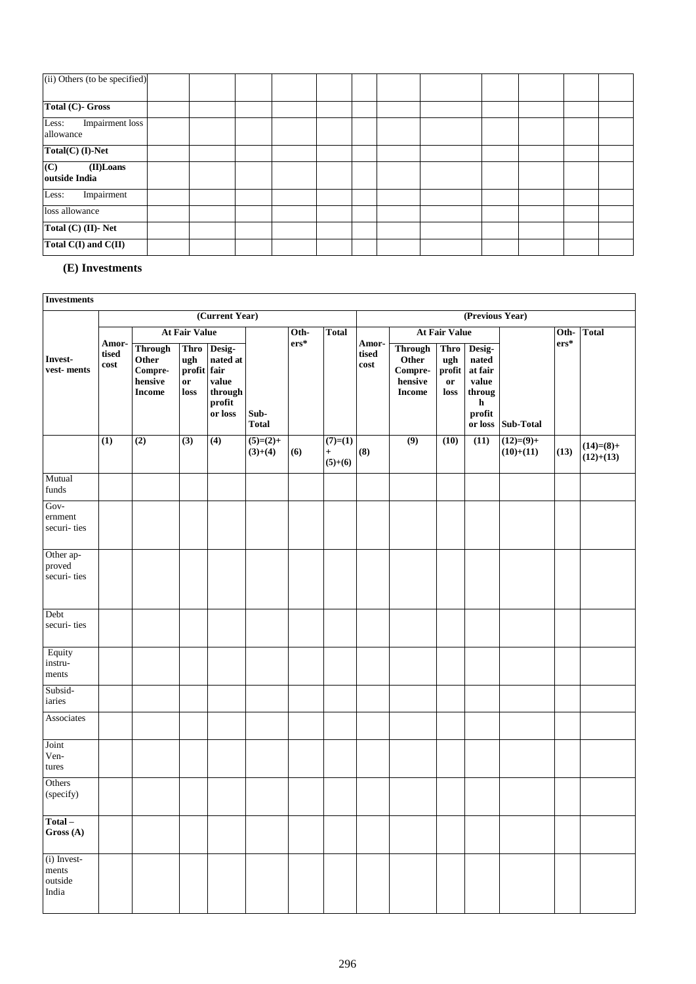| (ii) Others (to be specified)         |  |  |  |  |  |  |
|---------------------------------------|--|--|--|--|--|--|
| Total (C)- Gross                      |  |  |  |  |  |  |
| Impairment loss<br>Less:<br>allowance |  |  |  |  |  |  |
| Total(C) (I)-Net                      |  |  |  |  |  |  |
| (C)<br>(II)Loans<br>outside India     |  |  |  |  |  |  |
| Less:<br>Impairment                   |  |  |  |  |  |  |
| loss allowance                        |  |  |  |  |  |  |
| Total (C) (II)- Net                   |  |  |  |  |  |  |
| Total C(I) and C(II)                  |  |  |  |  |  |  |

# **(E) Investments**

| <b>Investments</b>                                               |                        |                                                                |                                                          |                                                                  |                         |                          |                                          |                        |                                                                |                                                                    |                                                                                 |                              |                          |                              |  |
|------------------------------------------------------------------|------------------------|----------------------------------------------------------------|----------------------------------------------------------|------------------------------------------------------------------|-------------------------|--------------------------|------------------------------------------|------------------------|----------------------------------------------------------------|--------------------------------------------------------------------|---------------------------------------------------------------------------------|------------------------------|--------------------------|------------------------------|--|
|                                                                  |                        |                                                                |                                                          | (Current Year)                                                   |                         |                          |                                          | (Previous Year)        |                                                                |                                                                    |                                                                                 |                              |                          |                              |  |
| Invest-<br>vest-ments                                            | Amor-<br>tised<br>cost | <b>Through</b><br>Other<br>Compre-<br>hensive<br><b>Income</b> | <b>At Fair Value</b><br>ugh<br>profit fair<br>or<br>loss | Thro Desig-<br>nated at<br>value<br>through<br>profit<br>or loss | Sub-<br><b>Total</b>    | Oth-<br>$\mathrm{ers}^*$ | <b>Total</b>                             | Amor-<br>tised<br>cost | <b>Through</b><br>Other<br>Compre-<br>hensive<br><b>Income</b> | <b>At Fair Value</b><br><b>Thro</b><br>ugh<br>profit<br>or<br>loss | Desig-<br>nated<br>at fair<br>value<br>throug<br>${\bf h}$<br>profit<br>or loss | <b>Sub-Total</b>             | Oth-<br>$\mathrm{ers}^*$ | <b>Total</b>                 |  |
|                                                                  | (1)                    | (2)                                                            | (3)                                                      | $\overline{(4)}$                                                 | $(5)=(2)+$<br>$(3)+(4)$ | (6)                      | $(7)=(1)$<br>$\overline{+}$<br>$(5)+(6)$ | (8)                    | $\overline{(9)}$                                               | (10)                                                               | (11)                                                                            | $(12)= (9) +$<br>$(10)+(11)$ | (13)                     | $(14)= (8) +$<br>$(12)+(13)$ |  |
| Mutual<br>funds                                                  |                        |                                                                |                                                          |                                                                  |                         |                          |                                          |                        |                                                                |                                                                    |                                                                                 |                              |                          |                              |  |
| $Gov-$<br>ernment<br>securi-ties                                 |                        |                                                                |                                                          |                                                                  |                         |                          |                                          |                        |                                                                |                                                                    |                                                                                 |                              |                          |                              |  |
| Other ap-<br>proved<br>securi-ties                               |                        |                                                                |                                                          |                                                                  |                         |                          |                                          |                        |                                                                |                                                                    |                                                                                 |                              |                          |                              |  |
| Debt<br>securi-ties                                              |                        |                                                                |                                                          |                                                                  |                         |                          |                                          |                        |                                                                |                                                                    |                                                                                 |                              |                          |                              |  |
| Equity<br>instru-<br>$\mathop{\rm ments}\nolimits$               |                        |                                                                |                                                          |                                                                  |                         |                          |                                          |                        |                                                                |                                                                    |                                                                                 |                              |                          |                              |  |
| Subsid-<br>iaries                                                |                        |                                                                |                                                          |                                                                  |                         |                          |                                          |                        |                                                                |                                                                    |                                                                                 |                              |                          |                              |  |
| Associates                                                       |                        |                                                                |                                                          |                                                                  |                         |                          |                                          |                        |                                                                |                                                                    |                                                                                 |                              |                          |                              |  |
| Joint<br>Ven-<br>$\tt{tures}$                                    |                        |                                                                |                                                          |                                                                  |                         |                          |                                          |                        |                                                                |                                                                    |                                                                                 |                              |                          |                              |  |
| Others<br>(specify)                                              |                        |                                                                |                                                          |                                                                  |                         |                          |                                          |                        |                                                                |                                                                    |                                                                                 |                              |                          |                              |  |
| Total-<br>Gross (A)                                              |                        |                                                                |                                                          |                                                                  |                         |                          |                                          |                        |                                                                |                                                                    |                                                                                 |                              |                          |                              |  |
| (i) Invest-<br>$\mathop{\rm ments}\nolimits$<br>outside<br>India |                        |                                                                |                                                          |                                                                  |                         |                          |                                          |                        |                                                                |                                                                    |                                                                                 |                              |                          |                              |  |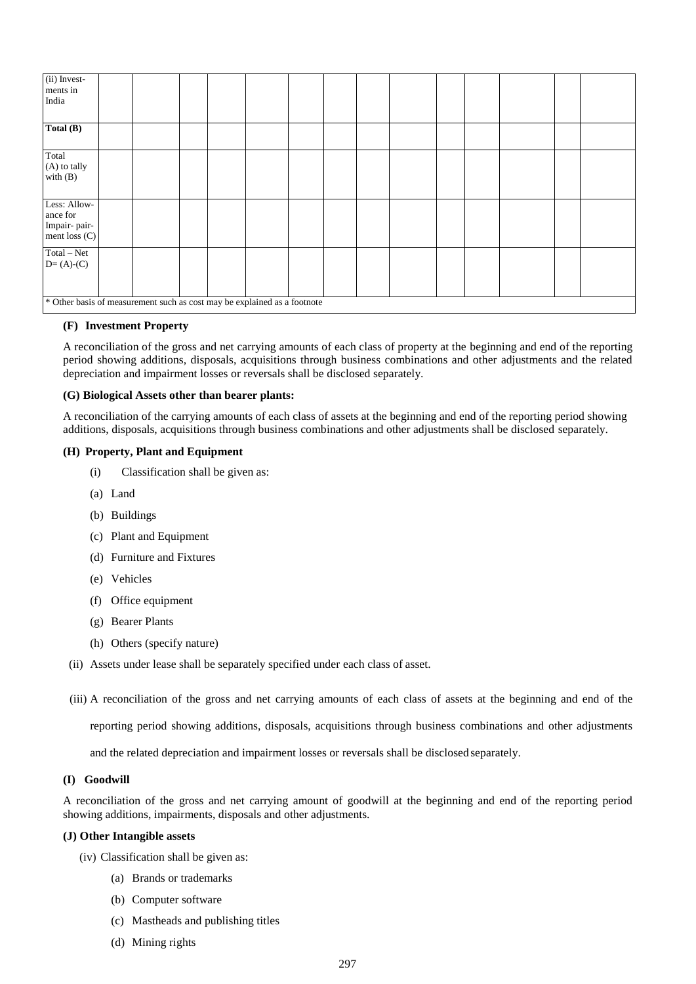| (ii) Invest-<br>ments in<br>India                         |                                                                          |  |  |  |  |  |  |  |  |  |  |  |  |
|-----------------------------------------------------------|--------------------------------------------------------------------------|--|--|--|--|--|--|--|--|--|--|--|--|
| Total $(B)$                                               |                                                                          |  |  |  |  |  |  |  |  |  |  |  |  |
| Total<br>(A) to tally<br>with $(B)$                       |                                                                          |  |  |  |  |  |  |  |  |  |  |  |  |
| Less: Allow-<br>ance for<br>Impair-pair-<br>ment loss (C) |                                                                          |  |  |  |  |  |  |  |  |  |  |  |  |
| $Total - Net$<br>$D=(A)-(C)$                              |                                                                          |  |  |  |  |  |  |  |  |  |  |  |  |
|                                                           | * Other basis of measurement such as cost may be explained as a footnote |  |  |  |  |  |  |  |  |  |  |  |  |

### **(F) Investment Property**

A reconciliation of the gross and net carrying amounts of each class of property at the beginning and end of the reporting period showing additions, disposals, acquisitions through business combinations and other adjustments and the related depreciation and impairment losses or reversals shall be disclosed separately.

### **(G) Biological Assets other than bearer plants:**

A reconciliation of the carrying amounts of each class of assets at the beginning and end of the reporting period showing additions, disposals, acquisitions through business combinations and other adjustments shall be disclosed separately.

### **(H) Property, Plant and Equipment**

- (i) Classification shall be given as:
- (a) Land
- (b) Buildings
- (c) Plant and Equipment
- (d) Furniture and Fixtures
- (e) Vehicles
- (f) Office equipment
- (g) Bearer Plants
- (h) Others (specify nature)
- (ii) Assets under lease shall be separately specified under each class of asset.
- (iii) A reconciliation of the gross and net carrying amounts of each class of assets at the beginning and end of the

reporting period showing additions, disposals, acquisitions through business combinations and other adjustments

and the related depreciation and impairment losses or reversals shall be disclosed separately.

### **(I) Goodwill**

A reconciliation of the gross and net carrying amount of goodwill at the beginning and end of the reporting period showing additions, impairments, disposals and other adjustments.

## **(J) Other Intangible assets**

(iv) Classification shall be given as:

- (a) Brands or trademarks
- (b) Computer software
- (c) Mastheads and publishing titles
- (d) Mining rights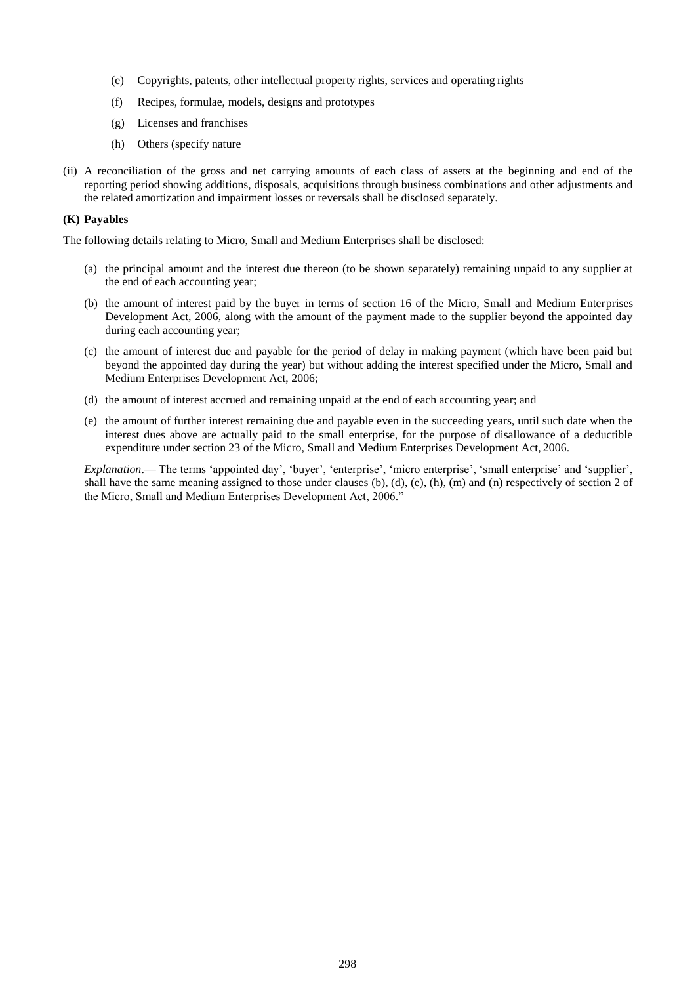- (e) Copyrights, patents, other intellectual property rights, services and operating rights
- (f) Recipes, formulae, models, designs and prototypes
- (g) Licenses and franchises
- (h) Others (specify nature
- (ii) A reconciliation of the gross and net carrying amounts of each class of assets at the beginning and end of the reporting period showing additions, disposals, acquisitions through business combinations and other adjustments and the related amortization and impairment losses or reversals shall be disclosed separately.

### **(K) Payables**

The following details relating to Micro, Small and Medium Enterprises shall be disclosed:

- (a) the principal amount and the interest due thereon (to be shown separately) remaining unpaid to any supplier at the end of each accounting year;
- (b) the amount of interest paid by the buyer in terms of section 16 of the Micro, Small and Medium Enterprises Development Act, 2006, along with the amount of the payment made to the supplier beyond the appointed day during each accounting year;
- (c) the amount of interest due and payable for the period of delay in making payment (which have been paid but beyond the appointed day during the year) but without adding the interest specified under the Micro, Small and Medium Enterprises Development Act, 2006;
- (d) the amount of interest accrued and remaining unpaid at the end of each accounting year; and
- (e) the amount of further interest remaining due and payable even in the succeeding years, until such date when the interest dues above are actually paid to the small enterprise, for the purpose of disallowance of a deductible expenditure under section 23 of the Micro, Small and Medium Enterprises Development Act, 2006.

*Explanation*.— The terms 'appointed day', 'buyer', 'enterprise', 'micro enterprise', 'small enterprise' and 'supplier', shall have the same meaning assigned to those under clauses (b), (d), (e), (h), (m) and (n) respectively of section 2 of the Micro, Small and Medium Enterprises Development Act, 2006."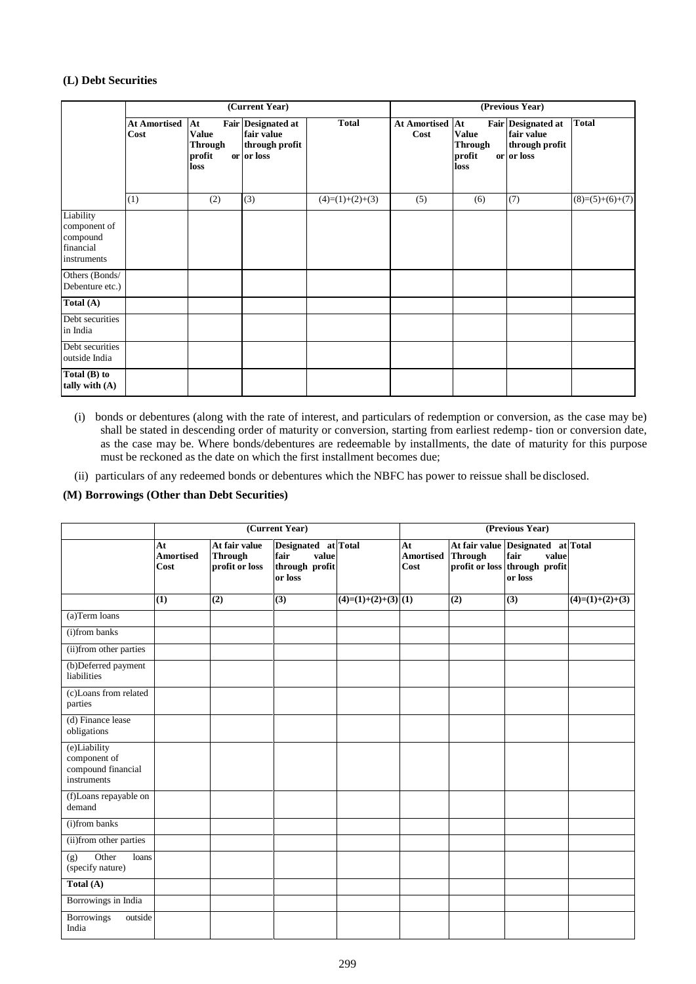## **(L) Debt Securities**

|                                                                   |                             |                                                 | (Current Year)                                                   |                   | (Previous Year)         |                                                  |                                                                  |                   |  |  |  |
|-------------------------------------------------------------------|-----------------------------|-------------------------------------------------|------------------------------------------------------------------|-------------------|-------------------------|--------------------------------------------------|------------------------------------------------------------------|-------------------|--|--|--|
|                                                                   | <b>At Amortised</b><br>Cost | At<br><b>Value</b><br>Through<br>profit<br>loss | Fair Designated at<br>fair value<br>through profit<br>or or loss | <b>Total</b>      | At Amortised At<br>Cost | <b>Value</b><br><b>Through</b><br>profit<br>loss | Fair Designated at<br>fair value<br>through profit<br>or or loss | <b>Total</b>      |  |  |  |
|                                                                   | (1)                         | (2)                                             | (3)                                                              | $(4)=(1)+(2)+(3)$ | (5)                     | (6)                                              | (7)                                                              | $(8)=(5)+(6)+(7)$ |  |  |  |
| Liability<br>component of<br>compound<br>financial<br>instruments |                             |                                                 |                                                                  |                   |                         |                                                  |                                                                  |                   |  |  |  |
| Others (Bonds/<br>Debenture etc.)                                 |                             |                                                 |                                                                  |                   |                         |                                                  |                                                                  |                   |  |  |  |
| Total (A)                                                         |                             |                                                 |                                                                  |                   |                         |                                                  |                                                                  |                   |  |  |  |
| Debt securities<br>in India                                       |                             |                                                 |                                                                  |                   |                         |                                                  |                                                                  |                   |  |  |  |
| Debt securities<br>outside India                                  |                             |                                                 |                                                                  |                   |                         |                                                  |                                                                  |                   |  |  |  |
| Total $(B)$ to<br>tally with $(A)$                                |                             |                                                 |                                                                  |                   |                         |                                                  |                                                                  |                   |  |  |  |

- (i) bonds or debentures (along with the rate of interest, and particulars of redemption or conversion, as the case may be) shall be stated in descending order of maturity or conversion, starting from earliest redemp- tion or conversion date, as the case may be. Where bonds/debentures are redeemable by installments, the date of maturity for this purpose must be reckoned as the date on which the first installment becomes due;
- (ii) particulars of any redeemed bonds or debentures which the NBFC has power to reissue shall be disclosed.

### **(M) Borrowings (Other than Debt Securities)**

|                                                                   |                                |                                                   | (Current Year)                                                    | (Previous Year)      |                                |                |                                                                                                |                   |
|-------------------------------------------------------------------|--------------------------------|---------------------------------------------------|-------------------------------------------------------------------|----------------------|--------------------------------|----------------|------------------------------------------------------------------------------------------------|-------------------|
|                                                                   | At<br><b>Amortised</b><br>Cost | At fair value<br><b>Through</b><br>profit or loss | Designated at Total<br>fair<br>value<br>through profit<br>or loss |                      | At<br><b>Amortised</b><br>Cost | <b>Through</b> | At fair value Designated at Total<br>fair<br>value<br>profit or loss through profit<br>or loss |                   |
|                                                                   | (1)                            | (2)                                               | (3)                                                               | $(4)=(1)+(2)+(3)(1)$ |                                | (2)            | (3)                                                                                            | $(4)=(1)+(2)+(3)$ |
| (a)Term loans                                                     |                                |                                                   |                                                                   |                      |                                |                |                                                                                                |                   |
| (i)from banks                                                     |                                |                                                   |                                                                   |                      |                                |                |                                                                                                |                   |
| (ii)from other parties                                            |                                |                                                   |                                                                   |                      |                                |                |                                                                                                |                   |
| (b)Deferred payment<br>liabilities                                |                                |                                                   |                                                                   |                      |                                |                |                                                                                                |                   |
| (c)Loans from related<br>parties                                  |                                |                                                   |                                                                   |                      |                                |                |                                                                                                |                   |
| (d) Finance lease<br>obligations                                  |                                |                                                   |                                                                   |                      |                                |                |                                                                                                |                   |
| (e)Liability<br>component of<br>compound financial<br>instruments |                                |                                                   |                                                                   |                      |                                |                |                                                                                                |                   |
| (f)Loans repayable on<br>demand                                   |                                |                                                   |                                                                   |                      |                                |                |                                                                                                |                   |
| (i)from banks                                                     |                                |                                                   |                                                                   |                      |                                |                |                                                                                                |                   |
| (ii)from other parties                                            |                                |                                                   |                                                                   |                      |                                |                |                                                                                                |                   |
| Other<br>(g)<br>loans<br>(specify nature)                         |                                |                                                   |                                                                   |                      |                                |                |                                                                                                |                   |
| Total (A)                                                         |                                |                                                   |                                                                   |                      |                                |                |                                                                                                |                   |
| Borrowings in India                                               |                                |                                                   |                                                                   |                      |                                |                |                                                                                                |                   |
| outside<br><b>Borrowings</b><br>India                             |                                |                                                   |                                                                   |                      |                                |                |                                                                                                |                   |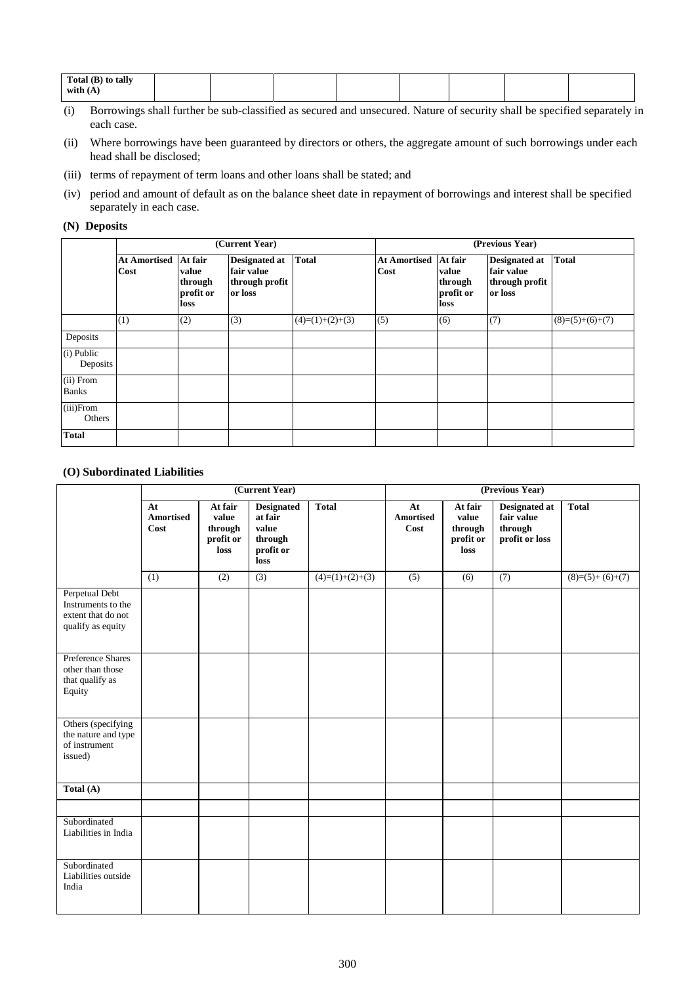- (i) Borrowings shall further be sub-classified as secured and unsecured. Nature of security shall be specified separately in each case.
- (ii) Where borrowings have been guaranteed by directors or others, the aggregate amount of such borrowings under each head shall be disclosed;
- (iii) terms of repayment of term loans and other loans shall be stated; and
- (iv) period and amount of default as on the balance sheet date in repayment of borrowings and interest shall be specified separately in each case.

# **(N) Deposits**

|                           |                             |                                                  | (Current Year)                                                  |                   | (Previous Year)             |                                                  |                                                                 |                   |  |  |
|---------------------------|-----------------------------|--------------------------------------------------|-----------------------------------------------------------------|-------------------|-----------------------------|--------------------------------------------------|-----------------------------------------------------------------|-------------------|--|--|
|                           | <b>At Amortised</b><br>Cost | At fair<br>value<br>through<br>profit or<br>loss | <b>Designated at</b><br>fair value<br>through profit<br>or loss | <b>Total</b>      | <b>At Amortised</b><br>Cost | At fair<br>value<br>through<br>profit or<br>loss | <b>Designated at</b><br>fair value<br>through profit<br>or loss | <b>Total</b>      |  |  |
|                           | (1)                         | (2)                                              | (3)                                                             | $(4)=(1)+(2)+(3)$ | (5)                         | (6)                                              | (7)                                                             | $(8)=(5)+(6)+(7)$ |  |  |
| Deposits                  |                             |                                                  |                                                                 |                   |                             |                                                  |                                                                 |                   |  |  |
| (i) Public<br>Deposits    |                             |                                                  |                                                                 |                   |                             |                                                  |                                                                 |                   |  |  |
| (ii) From<br><b>Banks</b> |                             |                                                  |                                                                 |                   |                             |                                                  |                                                                 |                   |  |  |
| (iii)From<br>Others       |                             |                                                  |                                                                 |                   |                             |                                                  |                                                                 |                   |  |  |
| <b>Total</b>              |                             |                                                  |                                                                 |                   |                             |                                                  |                                                                 |                   |  |  |

## **(O) Subordinated Liabilities**

|                                                                                 |                                |                                                  | (Current Year)                                                        |                   | (Previous Year)         |                                                  |                                                          |                   |  |  |
|---------------------------------------------------------------------------------|--------------------------------|--------------------------------------------------|-----------------------------------------------------------------------|-------------------|-------------------------|--------------------------------------------------|----------------------------------------------------------|-------------------|--|--|
|                                                                                 | At<br><b>Amortised</b><br>Cost | At fair<br>value<br>through<br>profit or<br>loss | <b>Designated</b><br>at fair<br>value<br>through<br>profit or<br>loss | <b>Total</b>      | At<br>Amortised<br>Cost | At fair<br>value<br>through<br>profit or<br>loss | Designated at<br>fair value<br>through<br>profit or loss | <b>Total</b>      |  |  |
|                                                                                 | $\overline{(1)}$               | $\overline{(2)}$                                 | $\overline{(3)}$                                                      | $(4)=(1)+(2)+(3)$ | (5)                     | (6)                                              | (7)                                                      | $(8)=(5)+(6)+(7)$ |  |  |
| Perpetual Debt<br>Instruments to the<br>extent that do not<br>qualify as equity |                                |                                                  |                                                                       |                   |                         |                                                  |                                                          |                   |  |  |
| <b>Preference Shares</b><br>other than those<br>that qualify as<br>Equity       |                                |                                                  |                                                                       |                   |                         |                                                  |                                                          |                   |  |  |
| Others (specifying<br>the nature and type<br>of instrument<br>issued)           |                                |                                                  |                                                                       |                   |                         |                                                  |                                                          |                   |  |  |
| Total $(A)$                                                                     |                                |                                                  |                                                                       |                   |                         |                                                  |                                                          |                   |  |  |
|                                                                                 |                                |                                                  |                                                                       |                   |                         |                                                  |                                                          |                   |  |  |
| Subordinated<br>Liabilities in India                                            |                                |                                                  |                                                                       |                   |                         |                                                  |                                                          |                   |  |  |
| Subordinated<br>Liabilities outside<br>India                                    |                                |                                                  |                                                                       |                   |                         |                                                  |                                                          |                   |  |  |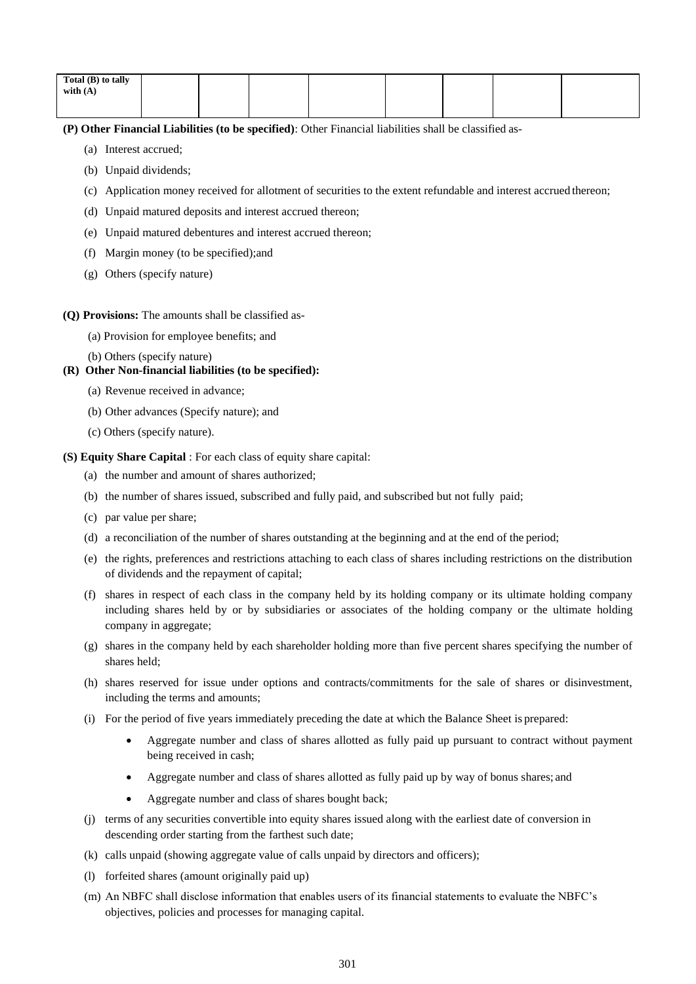| Total (B) to tally<br>with (A) |  |  |  |  |
|--------------------------------|--|--|--|--|
|                                |  |  |  |  |
|                                |  |  |  |  |

**(P) Other Financial Liabilities (to be specified)**: Other Financial liabilities shall be classified as-

- (a) Interest accrued;
- (b) Unpaid dividends;
- (c) Application money received for allotment of securities to the extent refundable and interest accrued thereon;
- (d) Unpaid matured deposits and interest accrued thereon;
- (e) Unpaid matured debentures and interest accrued thereon;
- (f) Margin money (to be specified);and
- (g) Others (specify nature)

### **(Q) Provisions:** The amounts shall be classified as-

- (a) Provision for employee benefits; and
- (b) Others (specify nature)

## **(R) Other Non-financial liabilities (to be specified):**

- (a) Revenue received in advance;
- (b) Other advances (Specify nature); and
- (c) Others (specify nature).
- **(S) Equity Share Capital** : For each class of equity share capital:
	- (a) the number and amount of shares authorized;
	- (b) the number of shares issued, subscribed and fully paid, and subscribed but not fully paid;
	- (c) par value per share;
	- (d) a reconciliation of the number of shares outstanding at the beginning and at the end of the period;
	- (e) the rights, preferences and restrictions attaching to each class of shares including restrictions on the distribution of dividends and the repayment of capital;
	- (f) shares in respect of each class in the company held by its holding company or its ultimate holding company including shares held by or by subsidiaries or associates of the holding company or the ultimate holding company in aggregate;
	- (g) shares in the company held by each shareholder holding more than five percent shares specifying the number of shares held;
	- (h) shares reserved for issue under options and contracts/commitments for the sale of shares or disinvestment, including the terms and amounts;
	- (i) For the period of five years immediately preceding the date at which the Balance Sheet is prepared:
		- Aggregate number and class of shares allotted as fully paid up pursuant to contract without payment being received in cash;
		- Aggregate number and class of shares allotted as fully paid up by way of bonus shares; and
		- Aggregate number and class of shares bought back;
	- (j) terms of any securities convertible into equity shares issued along with the earliest date of conversion in descending order starting from the farthest such date;
	- (k) calls unpaid (showing aggregate value of calls unpaid by directors and officers);
	- (l) forfeited shares (amount originally paid up)
	- (m) An NBFC shall disclose information that enables users of its financial statements to evaluate the NBFC's objectives, policies and processes for managing capital.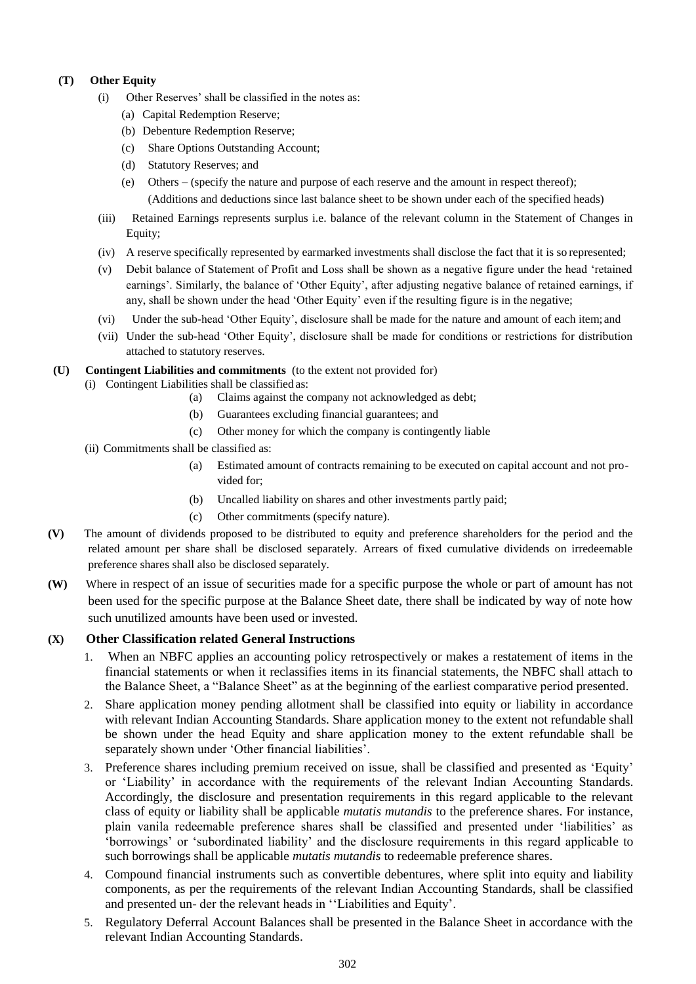# **(T) Other Equity**

- (i) Other Reserves' shall be classified in the notes as:
	- (a) Capital Redemption Reserve;
	- (b) Debenture Redemption Reserve;
	- (c) Share Options Outstanding Account;
	- (d) Statutory Reserves; and
	- (e) Others (specify the nature and purpose of each reserve and the amount in respect thereof); (Additions and deductions since last balance sheet to be shown under each of the specified heads)
- (iii) Retained Earnings represents surplus i.e. balance of the relevant column in the Statement of Changes in Equity;
- (iv) A reserve specifically represented by earmarked investments shall disclose the fact that it is so represented;
- (v) Debit balance of Statement of Profit and Loss shall be shown as a negative figure under the head ‗retained earnings'. Similarly, the balance of 'Other Equity', after adjusting negative balance of retained earnings, if any, shall be shown under the head 'Other Equity' even if the resulting figure is in the negative;
- (vi) Under the sub-head ‗Other Equity', disclosure shall be made for the nature and amount of each item; and
- (vii) Under the sub-head ‗Other Equity', disclosure shall be made for conditions or restrictions for distribution attached to statutory reserves.

## **(U) Contingent Liabilities and commitments** (to the extent not provided for)

- (i) Contingent Liabilities shall be classified as:
	- (a) Claims against the company not acknowledged as debt;
	- (b) Guarantees excluding financial guarantees; and
	- (c) Other money for which the company is contingently liable
- (ii) Commitments shall be classified as:
	- (a) Estimated amount of contracts remaining to be executed on capital account and not provided for;
	- (b) Uncalled liability on shares and other investments partly paid;
	- (c) Other commitments (specify nature).
- **(V)** The amount of dividends proposed to be distributed to equity and preference shareholders for the period and the related amount per share shall be disclosed separately. Arrears of fixed cumulative dividends on irredeemable preference shares shall also be disclosed separately.
- **(W)** Where in respect of an issue of securities made for a specific purpose the whole or part of amount has not been used for the specific purpose at the Balance Sheet date, there shall be indicated by way of note how such unutilized amounts have been used or invested.

# **(X) Other Classification related General Instructions**

- 1. When an NBFC applies an accounting policy retrospectively or makes a restatement of items in the financial statements or when it reclassifies items in its financial statements, the NBFC shall attach to the Balance Sheet, a "Balance Sheet" as at the beginning of the earliest comparative period presented.
- 2. Share application money pending allotment shall be classified into equity or liability in accordance with relevant Indian Accounting Standards. Share application money to the extent not refundable shall be shown under the head Equity and share application money to the extent refundable shall be separately shown under 'Other financial liabilities'.
- 3. Preference shares including premium received on issue, shall be classified and presented as 'Equity' or ‗Liability' in accordance with the requirements of the relevant Indian Accounting Standards. Accordingly, the disclosure and presentation requirements in this regard applicable to the relevant class of equity or liability shall be applicable *mutatis mutandis* to the preference shares. For instance, plain vanila redeemable preference shares shall be classified and presented under ‗liabilities' as ‗borrowings' or ‗subordinated liability' and the disclosure requirements in this regard applicable to such borrowings shall be applicable *mutatis mutandis* to redeemable preference shares.
- 4. Compound financial instruments such as convertible debentures, where split into equity and liability components, as per the requirements of the relevant Indian Accounting Standards, shall be classified and presented un- der the relevant heads in "Liabilities and Equity'.
- 5. Regulatory Deferral Account Balances shall be presented in the Balance Sheet in accordance with the relevant Indian Accounting Standards.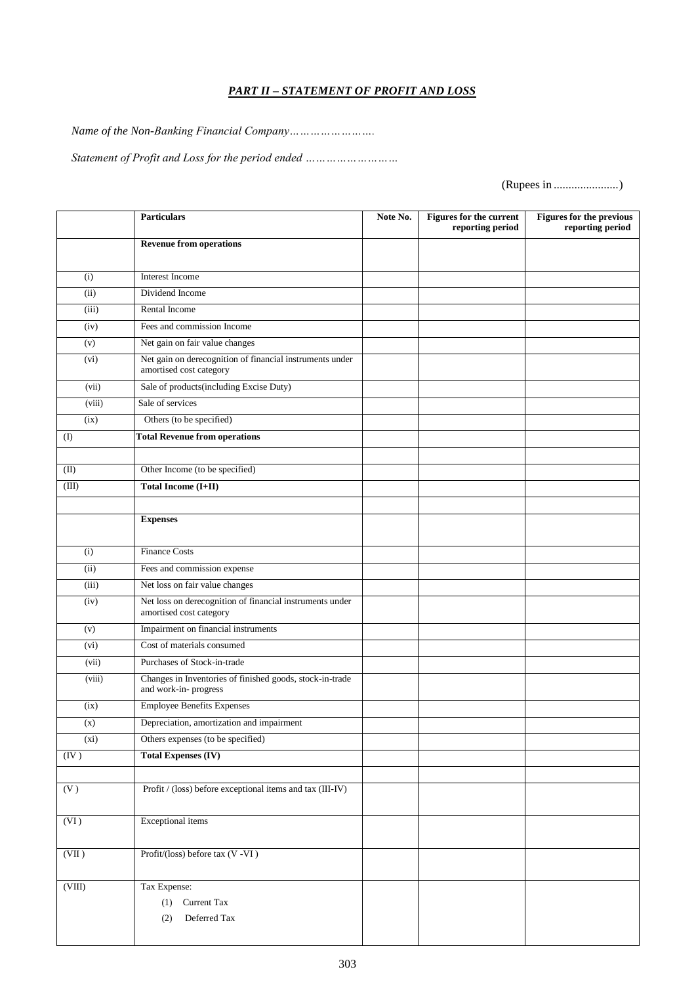# *PART II – STATEMENT OF PROFIT AND LOSS*

*Name of the Non-Banking Financial Company…………………….*

*Statement of Profit and Loss for the period ended ………………………*

(Rupees in ......................)

|                          | <b>Particulars</b>                                                                  | Note No. | <b>Figures for the current</b><br>reporting period | <b>Figures for the previous</b><br>reporting period |  |
|--------------------------|-------------------------------------------------------------------------------------|----------|----------------------------------------------------|-----------------------------------------------------|--|
|                          | <b>Revenue from operations</b>                                                      |          |                                                    |                                                     |  |
|                          |                                                                                     |          |                                                    |                                                     |  |
| (i)                      | Interest Income                                                                     |          |                                                    |                                                     |  |
| (ii)                     | Dividend Income                                                                     |          |                                                    |                                                     |  |
| (iii)                    | Rental Income                                                                       |          |                                                    |                                                     |  |
| (iv)                     | Fees and commission Income                                                          |          |                                                    |                                                     |  |
| (v)                      | Net gain on fair value changes                                                      |          |                                                    |                                                     |  |
| (vi)                     | Net gain on derecognition of financial instruments under<br>amortised cost category |          |                                                    |                                                     |  |
| (vii)                    | Sale of products(including Excise Duty)                                             |          |                                                    |                                                     |  |
| (viii)                   | Sale of services                                                                    |          |                                                    |                                                     |  |
| (ix)                     | Others (to be specified)                                                            |          |                                                    |                                                     |  |
| $($ $\Gamma$             | <b>Total Revenue from operations</b>                                                |          |                                                    |                                                     |  |
|                          |                                                                                     |          |                                                    |                                                     |  |
| (II)                     | Other Income (to be specified)                                                      |          |                                                    |                                                     |  |
| (III)                    | <b>Total Income (I+II)</b>                                                          |          |                                                    |                                                     |  |
|                          |                                                                                     |          |                                                    |                                                     |  |
|                          | <b>Expenses</b>                                                                     |          |                                                    |                                                     |  |
|                          |                                                                                     |          |                                                    |                                                     |  |
| (i)                      | <b>Finance Costs</b>                                                                |          |                                                    |                                                     |  |
| (ii)                     | Fees and commission expense                                                         |          |                                                    |                                                     |  |
| (iii)                    | Net loss on fair value changes                                                      |          |                                                    |                                                     |  |
| (iv)                     | Net loss on derecognition of financial instruments under<br>amortised cost category |          |                                                    |                                                     |  |
| (v)                      | Impairment on financial instruments                                                 |          |                                                    |                                                     |  |
| (vi)                     | Cost of materials consumed                                                          |          |                                                    |                                                     |  |
| (vii)                    | Purchases of Stock-in-trade                                                         |          |                                                    |                                                     |  |
| (viii)                   | Changes in Inventories of finished goods, stock-in-trade<br>and work-in-progress    |          |                                                    |                                                     |  |
| (ix)                     | <b>Employee Benefits Expenses</b>                                                   |          |                                                    |                                                     |  |
| (x)                      | Depreciation, amortization and impairment                                           |          |                                                    |                                                     |  |
| (xi)                     | Others expenses (to be specified)                                                   |          |                                                    |                                                     |  |
| $\overline{(\text{IV})}$ | <b>Total Expenses (IV)</b>                                                          |          |                                                    |                                                     |  |
|                          |                                                                                     |          |                                                    |                                                     |  |
| $\overline{\text{(V)}}$  | Profit / (loss) before exceptional items and tax (III-IV)                           |          |                                                    |                                                     |  |
|                          |                                                                                     |          |                                                    |                                                     |  |
| (VI)                     | <b>Exceptional</b> items                                                            |          |                                                    |                                                     |  |
|                          |                                                                                     |          |                                                    |                                                     |  |
| (VII)                    | Profit/(loss) before tax (V -VI)                                                    |          |                                                    |                                                     |  |
|                          |                                                                                     |          |                                                    |                                                     |  |
| (VIII)                   | Tax Expense:                                                                        |          |                                                    |                                                     |  |
|                          | <b>Current Tax</b><br>(1)                                                           |          |                                                    |                                                     |  |
|                          | Deferred Tax<br>(2)                                                                 |          |                                                    |                                                     |  |
|                          |                                                                                     |          |                                                    |                                                     |  |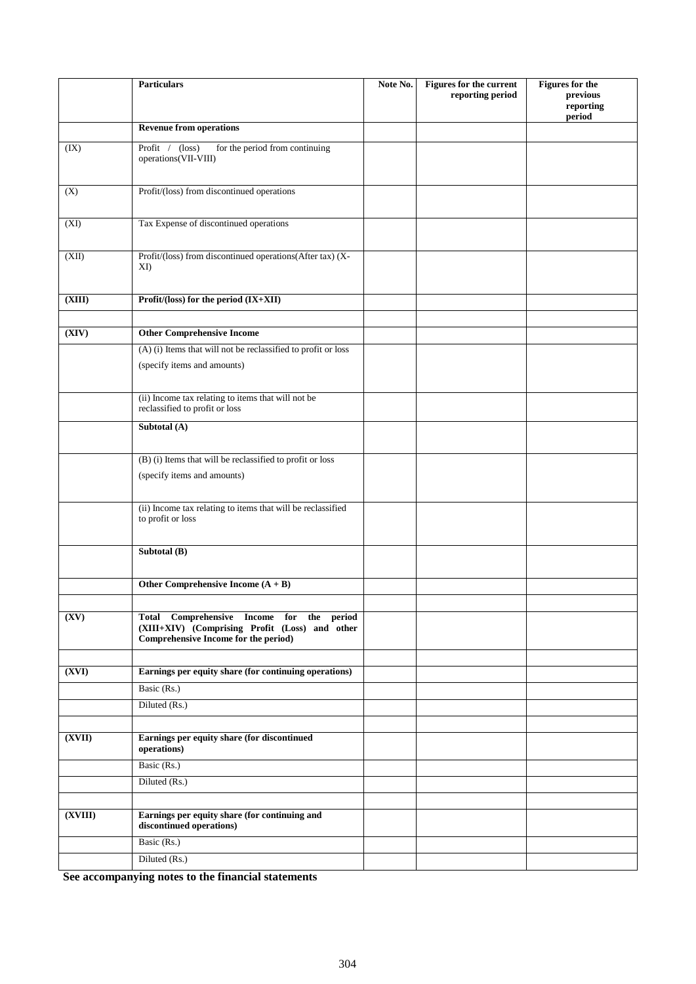|         | <b>Particulars</b>                                                                                                                                  | Note No. | <b>Figures for the current</b><br>reporting period | <b>Figures for the</b><br>previous<br>reporting<br>period |
|---------|-----------------------------------------------------------------------------------------------------------------------------------------------------|----------|----------------------------------------------------|-----------------------------------------------------------|
|         | <b>Revenue from operations</b>                                                                                                                      |          |                                                    |                                                           |
| (IX)    | for the period from continuing<br>Profit / (loss)<br>operations(VII-VIII)                                                                           |          |                                                    |                                                           |
| (X)     | Profit/(loss) from discontinued operations                                                                                                          |          |                                                    |                                                           |
| (XI)    | Tax Expense of discontinued operations                                                                                                              |          |                                                    |                                                           |
| (XII)   | Profit/(loss) from discontinued operations(After tax) (X-<br>XI)                                                                                    |          |                                                    |                                                           |
| (XIII)  | Profit/(loss) for the period (IX+XII)                                                                                                               |          |                                                    |                                                           |
| (XIV)   | <b>Other Comprehensive Income</b>                                                                                                                   |          |                                                    |                                                           |
|         | (A) (i) Items that will not be reclassified to profit or loss                                                                                       |          |                                                    |                                                           |
|         | (specify items and amounts)                                                                                                                         |          |                                                    |                                                           |
|         | (ii) Income tax relating to items that will not be<br>reclassified to profit or loss                                                                |          |                                                    |                                                           |
|         | Subtotal (A)                                                                                                                                        |          |                                                    |                                                           |
|         | (B) (i) Items that will be reclassified to profit or loss                                                                                           |          |                                                    |                                                           |
|         | (specify items and amounts)                                                                                                                         |          |                                                    |                                                           |
|         | (ii) Income tax relating to items that will be reclassified<br>to profit or loss                                                                    |          |                                                    |                                                           |
|         | Subtotal (B)                                                                                                                                        |          |                                                    |                                                           |
|         | Other Comprehensive Income $(A + B)$                                                                                                                |          |                                                    |                                                           |
|         |                                                                                                                                                     |          |                                                    |                                                           |
| (XV)    | <b>Total Comprehensive Income</b><br>for<br>the<br>period<br>(XIII+XIV) (Comprising Profit (Loss) and other<br>Comprehensive Income for the period) |          |                                                    |                                                           |
|         |                                                                                                                                                     |          |                                                    |                                                           |
| (XVI)   | Earnings per equity share (for continuing operations)                                                                                               |          |                                                    |                                                           |
|         | Basic (Rs.)                                                                                                                                         |          |                                                    |                                                           |
|         | Diluted (Rs.)                                                                                                                                       |          |                                                    |                                                           |
|         |                                                                                                                                                     |          |                                                    |                                                           |
| (XVII)  | Earnings per equity share (for discontinued<br>operations)                                                                                          |          |                                                    |                                                           |
|         | Basic (Rs.)                                                                                                                                         |          |                                                    |                                                           |
|         | Diluted (Rs.)                                                                                                                                       |          |                                                    |                                                           |
|         |                                                                                                                                                     |          |                                                    |                                                           |
| (XVIII) | Earnings per equity share (for continuing and<br>discontinued operations)                                                                           |          |                                                    |                                                           |
|         | Basic (Rs.)                                                                                                                                         |          |                                                    |                                                           |
|         | Diluted (Rs.)                                                                                                                                       |          |                                                    |                                                           |

**See accompanying notes to the financial statements**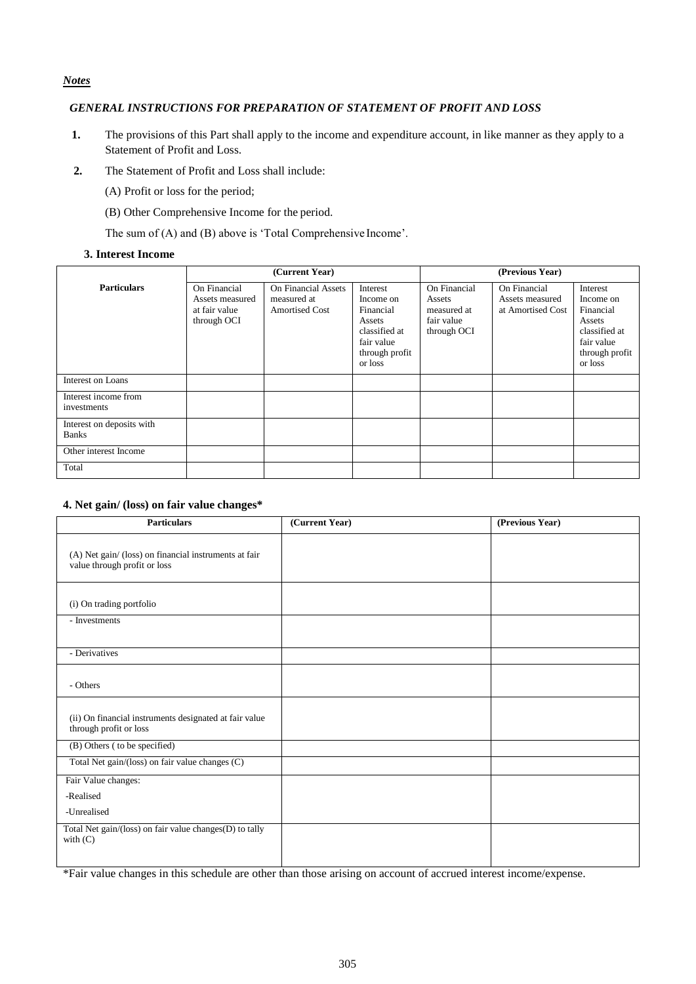## *Notes*

## *GENERAL INSTRUCTIONS FOR PREPARATION OF STATEMENT OF PROFIT AND LOSS*

- **1.** The provisions of this Part shall apply to the income and expenditure account, in like manner as they apply to a Statement of Profit and Loss.
- **2.** The Statement of Profit and Loss shall include:
	- (A) Profit or loss for the period;
	- (B) Other Comprehensive Income for the period.

The sum of (A) and (B) above is 'Total Comprehensive Income'.

## **3. Interest Income**

|                                           |                                                                 | (Current Year)                                                     |                                                                                                          |                                                                    | (Previous Year)                                      |                                                                                                          |  |  |
|-------------------------------------------|-----------------------------------------------------------------|--------------------------------------------------------------------|----------------------------------------------------------------------------------------------------------|--------------------------------------------------------------------|------------------------------------------------------|----------------------------------------------------------------------------------------------------------|--|--|
| <b>Particulars</b>                        | On Financial<br>Assets measured<br>at fair value<br>through OCI | <b>On Financial Assets</b><br>measured at<br><b>Amortised Cost</b> | Interest<br>Income on<br>Financial<br>Assets<br>classified at<br>fair value<br>through profit<br>or loss | On Financial<br>Assets<br>measured at<br>fair value<br>through OCI | On Financial<br>Assets measured<br>at Amortised Cost | Interest<br>Income on<br>Financial<br>Assets<br>classified at<br>fair value<br>through profit<br>or loss |  |  |
| Interest on Loans                         |                                                                 |                                                                    |                                                                                                          |                                                                    |                                                      |                                                                                                          |  |  |
| Interest income from<br>investments       |                                                                 |                                                                    |                                                                                                          |                                                                    |                                                      |                                                                                                          |  |  |
| Interest on deposits with<br><b>Banks</b> |                                                                 |                                                                    |                                                                                                          |                                                                    |                                                      |                                                                                                          |  |  |
| Other interest Income                     |                                                                 |                                                                    |                                                                                                          |                                                                    |                                                      |                                                                                                          |  |  |
| Total                                     |                                                                 |                                                                    |                                                                                                          |                                                                    |                                                      |                                                                                                          |  |  |

## **4. Net gain/ (loss) on fair value changes\***

| <b>Particulars</b>                                                                    | (Current Year) | (Previous Year) |
|---------------------------------------------------------------------------------------|----------------|-----------------|
| (A) Net gain/ (loss) on financial instruments at fair<br>value through profit or loss |                |                 |
| (i) On trading portfolio                                                              |                |                 |
| - Investments                                                                         |                |                 |
| - Derivatives                                                                         |                |                 |
| - Others                                                                              |                |                 |
| (ii) On financial instruments designated at fair value<br>through profit or loss      |                |                 |
| (B) Others (to be specified)                                                          |                |                 |
| Total Net gain/(loss) on fair value changes (C)                                       |                |                 |
| Fair Value changes:<br>-Realised<br>-Unrealised                                       |                |                 |
| Total Net gain/(loss) on fair value changes(D) to tally<br>with $(C)$                 |                |                 |

\*Fair value changes in this schedule are other than those arising on account of accrued interest income/expense.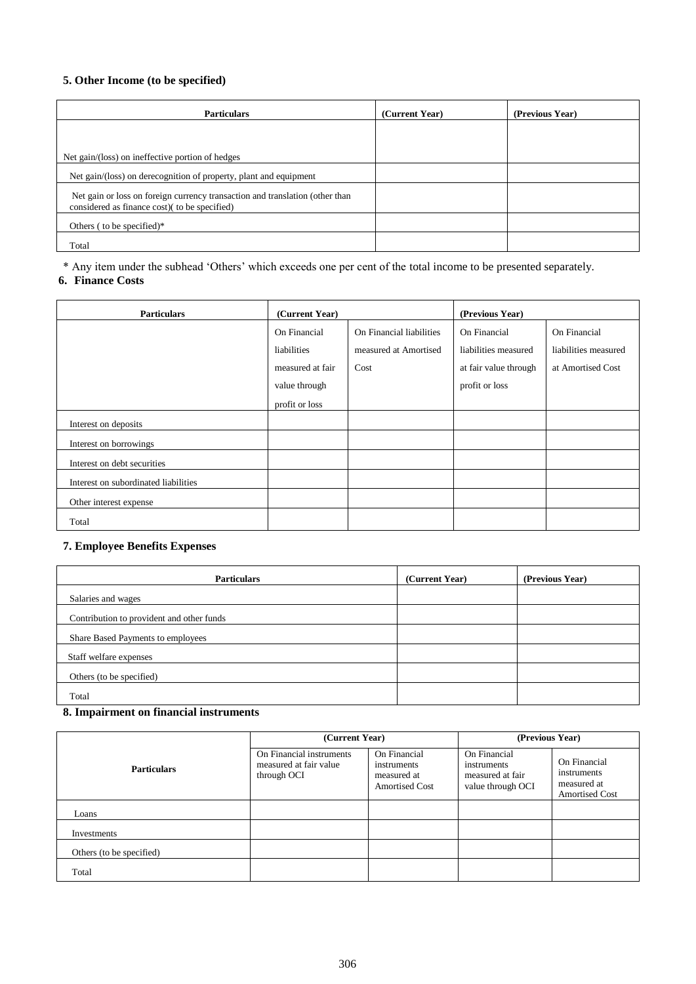# **5. Other Income (to be specified)**

| <b>Particulars</b>                                                                                                            | (Current Year) | (Previous Year) |
|-------------------------------------------------------------------------------------------------------------------------------|----------------|-----------------|
|                                                                                                                               |                |                 |
| Net gain/(loss) on ineffective portion of hedges                                                                              |                |                 |
| Net gain/(loss) on derecognition of property, plant and equipment                                                             |                |                 |
| Net gain or loss on foreign currency transaction and translation (other than<br>considered as finance cost) (to be specified) |                |                 |
| Others (to be specified)*                                                                                                     |                |                 |
| Total                                                                                                                         |                |                 |

\* Any item under the subhead ‗Others' which exceeds one per cent of the total income to be presented separately.

# **6. Finance Costs**

| <b>Particulars</b>                   | (Current Year)   |                          | (Previous Year)       |                      |  |
|--------------------------------------|------------------|--------------------------|-----------------------|----------------------|--|
|                                      | On Financial     | On Financial liabilities | On Financial          | On Financial         |  |
|                                      | liabilities      | measured at Amortised    | liabilities measured  | liabilities measured |  |
|                                      | measured at fair | Cost                     | at fair value through | at Amortised Cost    |  |
|                                      | value through    |                          | profit or loss        |                      |  |
|                                      | profit or loss   |                          |                       |                      |  |
| Interest on deposits                 |                  |                          |                       |                      |  |
| Interest on borrowings               |                  |                          |                       |                      |  |
| Interest on debt securities          |                  |                          |                       |                      |  |
| Interest on subordinated liabilities |                  |                          |                       |                      |  |
| Other interest expense               |                  |                          |                       |                      |  |
| Total                                |                  |                          |                       |                      |  |

# **7. Employee Benefits Expenses**

| <b>Particulars</b>                        | (Current Year) | (Previous Year) |
|-------------------------------------------|----------------|-----------------|
| Salaries and wages                        |                |                 |
| Contribution to provident and other funds |                |                 |
| Share Based Payments to employees         |                |                 |
| Staff welfare expenses                    |                |                 |
| Others (to be specified)                  |                |                 |
| Total                                     |                |                 |

# **8. Impairment on financial instruments**

|                          | (Current Year)                                                    |                                                                     | (Previous Year)                                                      |                                                                     |  |
|--------------------------|-------------------------------------------------------------------|---------------------------------------------------------------------|----------------------------------------------------------------------|---------------------------------------------------------------------|--|
| <b>Particulars</b>       | On Financial instruments<br>measured at fair value<br>through OCI | On Financial<br>instruments<br>measured at<br><b>Amortised Cost</b> | On Financial<br>instruments<br>measured at fair<br>value through OCI | On Financial<br>instruments<br>measured at<br><b>Amortised Cost</b> |  |
| Loans                    |                                                                   |                                                                     |                                                                      |                                                                     |  |
| Investments              |                                                                   |                                                                     |                                                                      |                                                                     |  |
| Others (to be specified) |                                                                   |                                                                     |                                                                      |                                                                     |  |
| Total                    |                                                                   |                                                                     |                                                                      |                                                                     |  |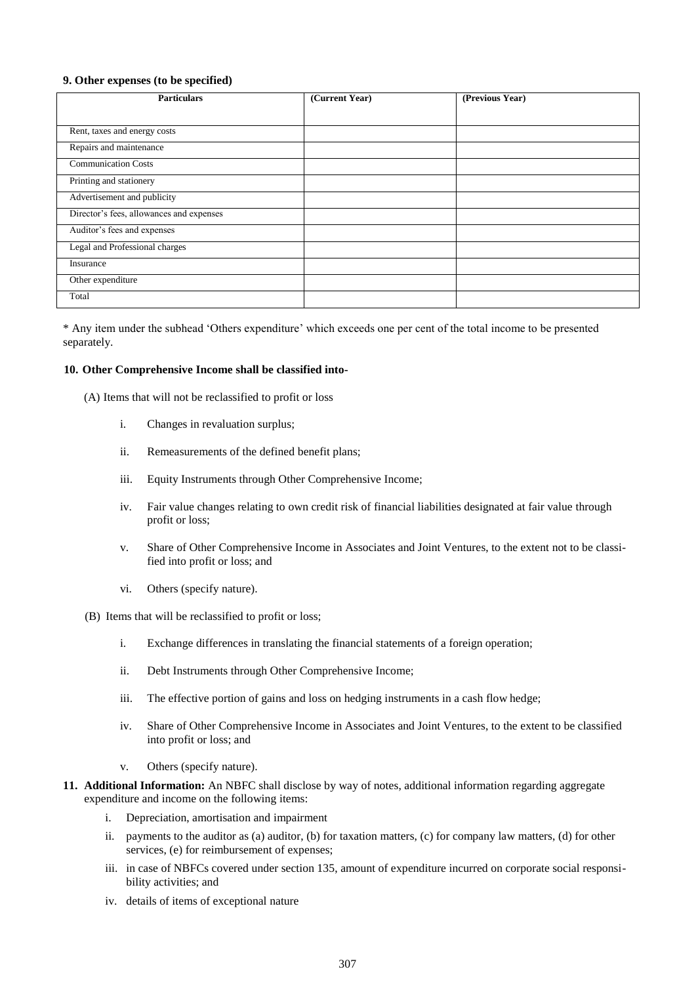## **9. Other expenses (to be specified)**

| <b>Particulars</b>                       | (Current Year) | (Previous Year) |
|------------------------------------------|----------------|-----------------|
|                                          |                |                 |
| Rent, taxes and energy costs             |                |                 |
| Repairs and maintenance                  |                |                 |
| <b>Communication Costs</b>               |                |                 |
| Printing and stationery                  |                |                 |
| Advertisement and publicity              |                |                 |
| Director's fees, allowances and expenses |                |                 |
| Auditor's fees and expenses              |                |                 |
| Legal and Professional charges           |                |                 |
| Insurance                                |                |                 |
| Other expenditure                        |                |                 |
| Total                                    |                |                 |

\* Any item under the subhead ‗Others expenditure' which exceeds one per cent of the total income to be presented separately.

### **10. Other Comprehensive Income shall be classified into-**

(A) Items that will not be reclassified to profit or loss

- i. Changes in revaluation surplus;
- ii. Remeasurements of the defined benefit plans;
- iii. Equity Instruments through Other Comprehensive Income;
- iv. Fair value changes relating to own credit risk of financial liabilities designated at fair value through profit or loss;
- v. Share of Other Comprehensive Income in Associates and Joint Ventures, to the extent not to be classified into profit or loss; and
- vi. Others (specify nature).

(B) Items that will be reclassified to profit or loss;

- i. Exchange differences in translating the financial statements of a foreign operation;
- ii. Debt Instruments through Other Comprehensive Income;
- iii. The effective portion of gains and loss on hedging instruments in a cash flow hedge;
- iv. Share of Other Comprehensive Income in Associates and Joint Ventures, to the extent to be classified into profit or loss; and
- v. Others (specify nature).
- **11. Additional Information:** An NBFC shall disclose by way of notes, additional information regarding aggregate expenditure and income on the following items:
	- i. Depreciation, amortisation and impairment
	- ii. payments to the auditor as (a) auditor, (b) for taxation matters, (c) for company law matters, (d) for other services, (e) for reimbursement of expenses;
	- iii. in case of NBFCs covered under section 135, amount of expenditure incurred on corporate social responsibility activities; and
	- iv. details of items of exceptional nature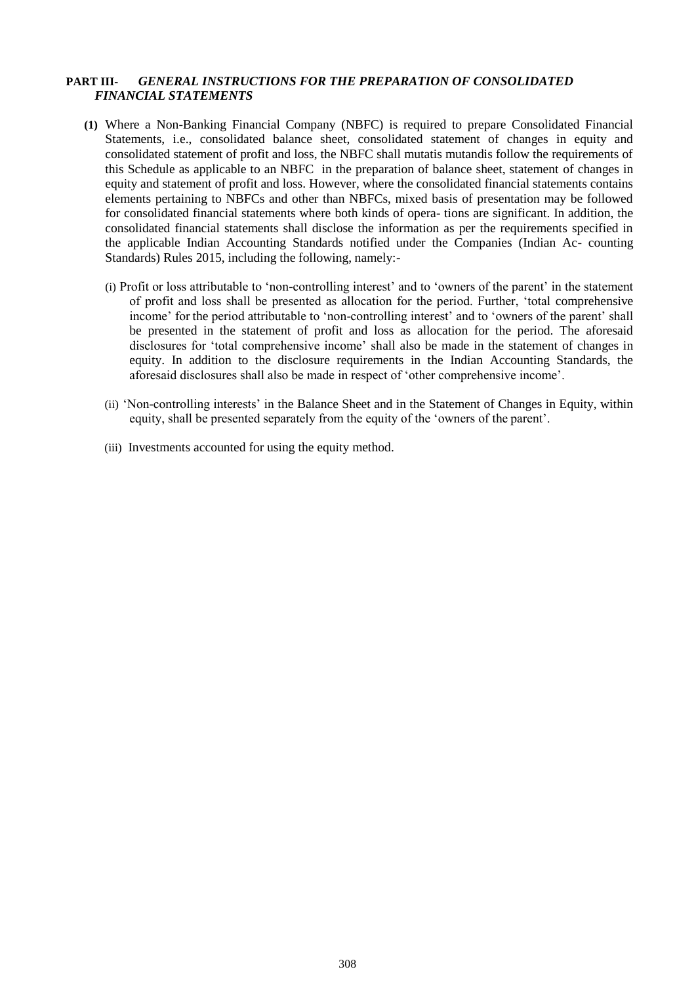# **PART III-** *GENERAL INSTRUCTIONS FOR THE PREPARATION OF CONSOLIDATED FINANCIAL STATEMENTS*

- **(1)** Where a Non-Banking Financial Company (NBFC) is required to prepare Consolidated Financial Statements, i.e., consolidated balance sheet, consolidated statement of changes in equity and consolidated statement of profit and loss, the NBFC shall mutatis mutandis follow the requirements of this Schedule as applicable to an NBFC in the preparation of balance sheet, statement of changes in equity and statement of profit and loss. However, where the consolidated financial statements contains elements pertaining to NBFCs and other than NBFCs, mixed basis of presentation may be followed for consolidated financial statements where both kinds of opera- tions are significant. In addition, the consolidated financial statements shall disclose the information as per the requirements specified in the applicable Indian Accounting Standards notified under the Companies (Indian Ac- counting Standards) Rules 2015, including the following, namely:-
	- (i) Profit or loss attributable to ‗non-controlling interest' and to ‗owners of the parent' in the statement of profit and loss shall be presented as allocation for the period. Further, ‗total comprehensive income' for the period attributable to 'non-controlling interest' and to 'owners of the parent' shall be presented in the statement of profit and loss as allocation for the period. The aforesaid disclosures for 'total comprehensive income' shall also be made in the statement of changes in equity. In addition to the disclosure requirements in the Indian Accounting Standards, the aforesaid disclosures shall also be made in respect of 'other comprehensive income'.
	- (ii) ‗Non-controlling interests' in the Balance Sheet and in the Statement of Changes in Equity, within equity, shall be presented separately from the equity of the 'owners of the parent'.
	- (iii) Investments accounted for using the equity method.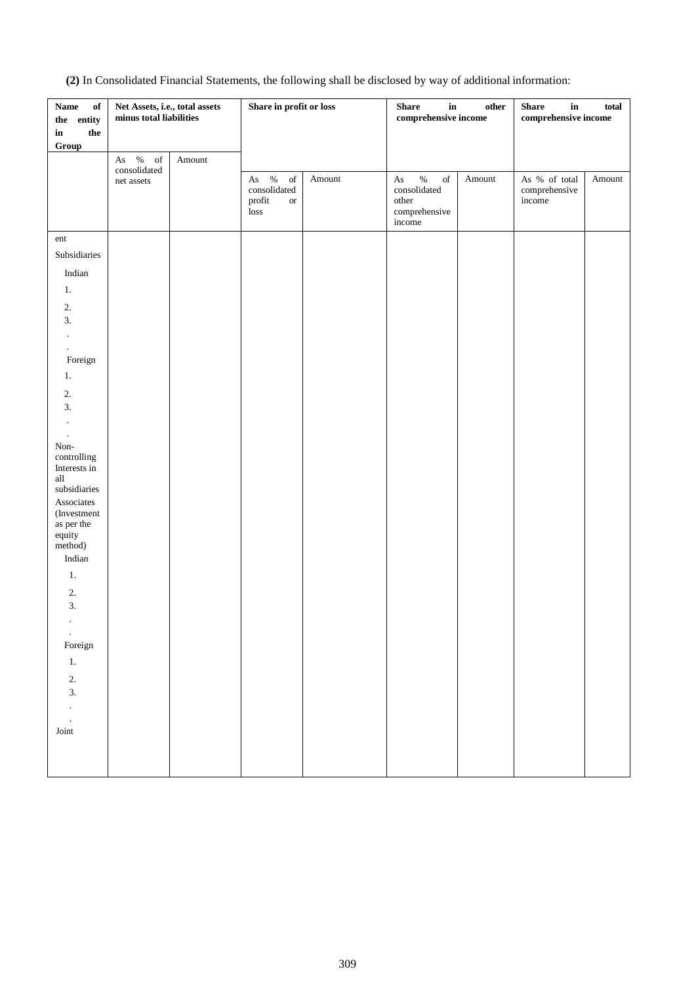# **(2)** In Consolidated Financial Statements, the following shall be disclosed by way of additional information:

| Name<br>of<br>the entity      | Net Assets, i.e., total assets<br>minus total liabilities |        | Share in profit or loss                                               |        | <b>Share</b><br>$\mathbf{in}$<br>other<br>comprehensive income                                                   |        | <b>Share</b><br>$\boldsymbol{\mathrm{in}}$<br>total<br>$\mbox{comprehensive}\mbox{ income}$ |        |  |
|-------------------------------|-----------------------------------------------------------|--------|-----------------------------------------------------------------------|--------|------------------------------------------------------------------------------------------------------------------|--------|---------------------------------------------------------------------------------------------|--------|--|
| the<br>$\mathbf{in}$<br>Group |                                                           |        |                                                                       |        |                                                                                                                  |        |                                                                                             |        |  |
|                               | $\%$<br>of<br>As<br>consolidated                          | Amount | As $%$<br>$% \left( \left( \mathcal{A},\mathcal{A}\right) \right)$ of | Amount | $\%$<br>$% \left( \left( \mathcal{A},\mathcal{A}\right) \right) =\left( \mathcal{A},\mathcal{A}\right)$ of<br>As | Amount | As % of total                                                                               | Amount |  |
|                               | net assets                                                |        | $\,$ consolidated $\,$<br>profit<br>$\alpha$<br>loss                  |        | consolidated<br>other<br>comprehensive<br>income                                                                 |        | comprehensive<br>income                                                                     |        |  |
| ent                           |                                                           |        |                                                                       |        |                                                                                                                  |        |                                                                                             |        |  |
| Subsidiaries                  |                                                           |        |                                                                       |        |                                                                                                                  |        |                                                                                             |        |  |
| Indian                        |                                                           |        |                                                                       |        |                                                                                                                  |        |                                                                                             |        |  |
| 1.                            |                                                           |        |                                                                       |        |                                                                                                                  |        |                                                                                             |        |  |
| 2.                            |                                                           |        |                                                                       |        |                                                                                                                  |        |                                                                                             |        |  |
| 3.<br>$\cdot$                 |                                                           |        |                                                                       |        |                                                                                                                  |        |                                                                                             |        |  |
| $\cdot$                       |                                                           |        |                                                                       |        |                                                                                                                  |        |                                                                                             |        |  |
| Foreign                       |                                                           |        |                                                                       |        |                                                                                                                  |        |                                                                                             |        |  |
| 1.                            |                                                           |        |                                                                       |        |                                                                                                                  |        |                                                                                             |        |  |
| 2.<br>3.                      |                                                           |        |                                                                       |        |                                                                                                                  |        |                                                                                             |        |  |
| $\blacksquare$                |                                                           |        |                                                                       |        |                                                                                                                  |        |                                                                                             |        |  |
| $\cdot$                       |                                                           |        |                                                                       |        |                                                                                                                  |        |                                                                                             |        |  |
| $\mbox{Non-}$<br>controlling  |                                                           |        |                                                                       |        |                                                                                                                  |        |                                                                                             |        |  |
| Interests in<br>all           |                                                           |        |                                                                       |        |                                                                                                                  |        |                                                                                             |        |  |
| subsidiaries                  |                                                           |        |                                                                       |        |                                                                                                                  |        |                                                                                             |        |  |
| Associates<br>(Investment     |                                                           |        |                                                                       |        |                                                                                                                  |        |                                                                                             |        |  |
| as per the                    |                                                           |        |                                                                       |        |                                                                                                                  |        |                                                                                             |        |  |
| equity<br>method)             |                                                           |        |                                                                       |        |                                                                                                                  |        |                                                                                             |        |  |
| Indian                        |                                                           |        |                                                                       |        |                                                                                                                  |        |                                                                                             |        |  |
| $1.$                          |                                                           |        |                                                                       |        |                                                                                                                  |        |                                                                                             |        |  |
| 2.                            |                                                           |        |                                                                       |        |                                                                                                                  |        |                                                                                             |        |  |
| 3.                            |                                                           |        |                                                                       |        |                                                                                                                  |        |                                                                                             |        |  |
|                               |                                                           |        |                                                                       |        |                                                                                                                  |        |                                                                                             |        |  |
| Foreign                       |                                                           |        |                                                                       |        |                                                                                                                  |        |                                                                                             |        |  |
| $1. \,$                       |                                                           |        |                                                                       |        |                                                                                                                  |        |                                                                                             |        |  |
| 2.<br>3.                      |                                                           |        |                                                                       |        |                                                                                                                  |        |                                                                                             |        |  |
|                               |                                                           |        |                                                                       |        |                                                                                                                  |        |                                                                                             |        |  |
| $\ddot{\phantom{a}}$          |                                                           |        |                                                                       |        |                                                                                                                  |        |                                                                                             |        |  |
| Joint                         |                                                           |        |                                                                       |        |                                                                                                                  |        |                                                                                             |        |  |
|                               |                                                           |        |                                                                       |        |                                                                                                                  |        |                                                                                             |        |  |
|                               |                                                           |        |                                                                       |        |                                                                                                                  |        |                                                                                             |        |  |